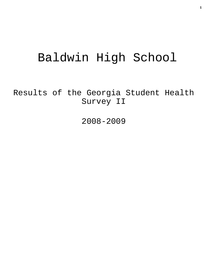# Baldwin High School

Results of the Georgia Student Health Survey II

2008-2009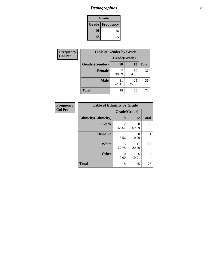# *Demographics* **2**

| Grade                    |    |  |  |  |
|--------------------------|----|--|--|--|
| <b>Grade   Frequency</b> |    |  |  |  |
| 10                       | 18 |  |  |  |
| 12                       | 55 |  |  |  |

| <b>Frequency</b> | <b>Table of Gender by Grade</b> |              |             |              |  |  |
|------------------|---------------------------------|--------------|-------------|--------------|--|--|
| <b>Col Pct</b>   |                                 | Grade(Grade) |             |              |  |  |
|                  | Gender(Gender)                  | 10           | 12          | <b>Total</b> |  |  |
|                  | <b>Female</b>                   | 38.89        | 30<br>54.55 | 37           |  |  |
|                  | <b>Male</b>                     | 11<br>61.11  | 25<br>45.45 | 36           |  |  |
|                  | <b>Total</b>                    | 18           | 55          | 73           |  |  |

| <b>Frequency</b> |
|------------------|
| <b>Col Pct</b>   |

| <b>Table of Ethnicity by Grade</b> |              |             |              |  |  |  |
|------------------------------------|--------------|-------------|--------------|--|--|--|
|                                    | Grade(Grade) |             |              |  |  |  |
| <b>Ethnicity</b> (Ethnicity)       | 10           | 12          | <b>Total</b> |  |  |  |
| <b>Black</b>                       | 12<br>66.67  | 38<br>69.09 | 50           |  |  |  |
| <b>Hispanic</b>                    | 5.56         | 0<br>0.00   |              |  |  |  |
| White                              | 5<br>27.78   | 11<br>20.00 | 16           |  |  |  |
| <b>Other</b>                       | 0<br>0.00    | 6<br>10.91  | 6            |  |  |  |
| <b>Total</b>                       | 18           | 55          | 73           |  |  |  |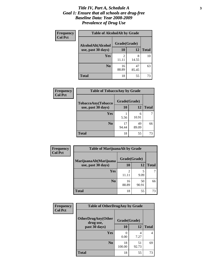#### *Title IV, Part A, Schedule A* **3** *Goal 1: Ensure that all schools are drug-free Baseline Data: Year 2008-2009 Prevalence of Drug Use*

| Frequency      | <b>Table of AlcoholAlt by Grade</b> |                         |             |              |  |  |
|----------------|-------------------------------------|-------------------------|-------------|--------------|--|--|
| <b>Col Pct</b> | AlcoholAlt(Alcohol                  | Grade(Grade)            |             |              |  |  |
|                | use, past 30 days)                  | 10                      | 12          | <b>Total</b> |  |  |
|                | Yes                                 | $\mathfrak{D}$<br>11.11 | 8<br>14.55  | 10           |  |  |
|                | N <sub>0</sub>                      | 16<br>88.89             | 47<br>85.45 | 63           |  |  |
|                | <b>Total</b>                        | 18                      | 55          | 73           |  |  |

| <b>Frequency</b> | <b>Table of TobaccoAny by Grade</b> |              |             |              |  |
|------------------|-------------------------------------|--------------|-------------|--------------|--|
| <b>Col Pct</b>   | TobaccoAny(Tobacco                  | Grade(Grade) |             |              |  |
|                  | use, past 30 days)                  | <b>10</b>    | 12          | <b>Total</b> |  |
|                  | Yes                                 | 5.56         | 6<br>10.91  |              |  |
|                  | N <sub>0</sub>                      | 17<br>94.44  | 49<br>89.09 | 66           |  |
|                  | <b>Total</b>                        | 18           | 55          | 73           |  |

| Frequency<br><b>Col Pct</b> | <b>Table of MarijuanaAlt by Grade</b> |                         |             |              |  |
|-----------------------------|---------------------------------------|-------------------------|-------------|--------------|--|
|                             | MarijuanaAlt(Marijuana                | Grade(Grade)            |             |              |  |
|                             | use, past 30 days)                    | 10                      | 12          | <b>Total</b> |  |
|                             | Yes                                   | $\mathfrak{D}$<br>11.11 | 5<br>9.09   |              |  |
|                             | N <sub>0</sub>                        | 16<br>88.89             | 50<br>90.91 | 66           |  |
|                             | <b>Total</b>                          | 18                      | 55          | 73           |  |

| Frequency<br><b>Col Pct</b> | <b>Table of OtherDrugAny by Grade</b>                  |              |             |              |  |
|-----------------------------|--------------------------------------------------------|--------------|-------------|--------------|--|
|                             | <b>OtherDrugAny(Other</b><br>Grade(Grade)<br>drug use, |              |             |              |  |
|                             | past 30 days)                                          | 10           | 12          | <b>Total</b> |  |
|                             | Yes                                                    | 0.00         | 4<br>7.27   | 4            |  |
|                             | N <sub>0</sub>                                         | 18<br>100.00 | 51<br>92.73 | 69           |  |
|                             | <b>Total</b>                                           | 18           | 55          | 73           |  |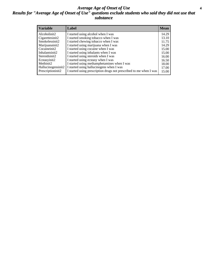#### *Average Age of Onset of Use* **4** *Results for "Average Age of Onset of Use" questions exclude students who said they did not use that substance*

| <b>Variable</b>    | Label                                                              | <b>Mean</b> |
|--------------------|--------------------------------------------------------------------|-------------|
| Alcoholinit2       | I started using alcohol when I was                                 | 14.29       |
| Cigarettesinit2    | I started smoking tobacco when I was                               | 13.10       |
| Smokelessinit2     | I started chewing tobacco when I was                               | 11.75       |
| Marijuanainit2     | I started using marijuana when I was                               | 14.29       |
| Cocaineinit2       | I started using cocaine when I was                                 | 15.00       |
| Inhalantsinit2     | I started using inhalants when I was                               | 15.00       |
| Steroidsinit2      | I started using steroids when I was                                | 16.00       |
| Ecstasyinit2       | I started using ecstasy when I was                                 | 16.50       |
| Methinit2          | I started using methamphetamines when I was                        | 18.00       |
| Hallucinogensinit2 | I started using hallucinogens when I was                           | 17.00       |
| Prescriptioninit2  | I started using prescription drugs not prescribed to me when I was | 15.00       |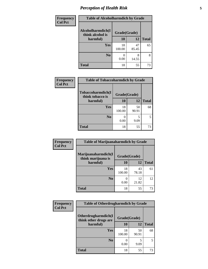# *Perception of Health Risk* **5**

| <b>Frequency</b> | <b>Table of Alcoholharmdich by Grade</b> |              |             |              |  |
|------------------|------------------------------------------|--------------|-------------|--------------|--|
| <b>Col Pct</b>   | Alcoholharmdich(I<br>think alcohol is    | Grade(Grade) |             |              |  |
|                  | harmful)                                 | 10           | 12          | <b>Total</b> |  |
|                  | <b>Yes</b>                               | 18<br>100.00 | 47<br>85.45 | 65           |  |
|                  | N <sub>0</sub>                           | 0.00         | 8<br>14.55  | 8            |  |
|                  | <b>Total</b>                             | 18           | 55          | 73           |  |

| <b>Frequency</b> |                                                   | <b>Table of Tobaccoharmdich by Grade</b> |             |              |  |
|------------------|---------------------------------------------------|------------------------------------------|-------------|--------------|--|
| <b>Col Pct</b>   | Tobaccoharmdich(I<br>think tobacco is<br>harmful) | Grade(Grade)                             |             |              |  |
|                  |                                                   | 10                                       | 12          | <b>Total</b> |  |
|                  | Yes                                               | 18<br>100.00                             | 50<br>90.91 | 68           |  |
|                  | N <sub>0</sub>                                    | 0<br>0.00                                | 5<br>9.09   |              |  |
|                  | Total                                             | 18                                       | 55          | 73           |  |

| <b>Frequency</b> | <b>Table of Marijuanaharmdich by Grade</b> |              |             |              |  |  |
|------------------|--------------------------------------------|--------------|-------------|--------------|--|--|
| <b>Col Pct</b>   | Marijuanaharmdich(I<br>think marijuana is  | Grade(Grade) |             |              |  |  |
|                  | harmful)                                   | 10           | 12          | <b>Total</b> |  |  |
|                  | Yes                                        | 18<br>100.00 | 43<br>78.18 | 61           |  |  |
|                  | N <sub>0</sub>                             | 0.00         | 12<br>21.82 | 12           |  |  |
|                  | <b>Total</b>                               | 18           | 55          | 73           |  |  |

| Frequency      | <b>Table of Otherdrugharmdich by Grade</b>   |              |             |              |
|----------------|----------------------------------------------|--------------|-------------|--------------|
| <b>Col Pct</b> | Otherdrugharmdich(I<br>think other drugs are | Grade(Grade) |             |              |
|                | harmful)                                     | 10           | 12          | <b>Total</b> |
|                | <b>Yes</b>                                   | 18<br>100.00 | 50<br>90.91 | 68           |
|                | N <sub>0</sub>                               | 0.00         | 9.09        | 5            |
|                | <b>Total</b>                                 | 18           | 55          | 73           |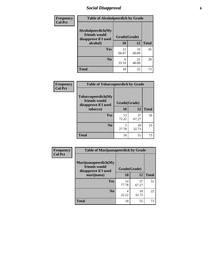# *Social Disapproval* **6**

| <b>Frequency</b> |                                                             | <b>Table of Alcoholpeerdich by Grade</b> |             |              |  |  |
|------------------|-------------------------------------------------------------|------------------------------------------|-------------|--------------|--|--|
| <b>Col Pct</b>   | Alcoholpeerdich(My<br>friends would<br>disapprove if I used | Grade(Grade)                             |             |              |  |  |
|                  | alcohol)                                                    | 10                                       | 12          | <b>Total</b> |  |  |
|                  | <b>Yes</b>                                                  | 12<br>66.67                              | 33<br>60.00 | 45           |  |  |
|                  | N <sub>0</sub>                                              | 6<br>33.33                               | 22<br>40.00 | 28           |  |  |
|                  | <b>Total</b>                                                | 18                                       | 55          | 73           |  |  |

| <b>Frequency</b> |
|------------------|
| <b>Col Pct</b>   |

| <b>Table of Tobaccopeerdich by Grade</b>                    |              |             |              |  |  |
|-------------------------------------------------------------|--------------|-------------|--------------|--|--|
| Tobaccopeerdich(My<br>friends would<br>disapprove if I used | Grade(Grade) |             |              |  |  |
| tobacco)                                                    | 10           | 12          | <b>Total</b> |  |  |
| Yes                                                         | 13<br>72.22  | 37<br>67.27 | 50           |  |  |
| N <sub>0</sub>                                              | 5<br>27.78   | 18<br>32.73 | 23           |  |  |
| <b>Total</b>                                                | 18           | 55          | 73           |  |  |

| <b>Frequency</b> | <b>Table of Marijuanapeerdich by Grade</b>                    |              |             |              |  |
|------------------|---------------------------------------------------------------|--------------|-------------|--------------|--|
| <b>Col Pct</b>   | Marijuanapeerdich(My<br>friends would<br>disapprove if I used | Grade(Grade) |             |              |  |
|                  | marijuana)                                                    | 10           | 12          | <b>Total</b> |  |
|                  | <b>Yes</b>                                                    | 14<br>77.78  | 37<br>67.27 | 51           |  |
|                  | N <sub>0</sub>                                                | 4<br>22.22   | 18<br>32.73 | 22           |  |
|                  | <b>Total</b>                                                  | 18           | 55          | 73           |  |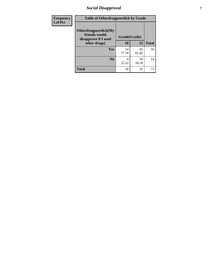# *Social Disapproval* **7**

| Frequency      | <b>Table of Otherdrugpeerdich by Grade</b>                    |              |             |              |  |
|----------------|---------------------------------------------------------------|--------------|-------------|--------------|--|
| <b>Col Pct</b> | Otherdrugpeerdich(My<br>friends would<br>disapprove if I used | Grade(Grade) |             |              |  |
|                | other drugs)                                                  | 10           | 12          | <b>Total</b> |  |
|                | Yes                                                           | 14<br>77.78  | 45<br>81.82 | 59           |  |
|                | N <sub>0</sub>                                                | 4<br>22.22   | 10<br>18.18 | 14           |  |
|                | <b>Total</b>                                                  | 18           | 55          | 73           |  |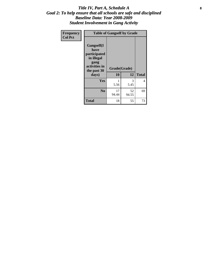#### Title IV, Part A, Schedule A **8** *Goal 2: To help ensure that all schools are safe and disciplined Baseline Data: Year 2008-2009 Student Involvement in Gang Activity*

| Frequency      | <b>Table of Gangself by Grade</b>                                                                 |                    |             |              |  |
|----------------|---------------------------------------------------------------------------------------------------|--------------------|-------------|--------------|--|
| <b>Col Pct</b> | Gangself(I<br>have<br>participated<br>in illegal<br>gang<br>activities in<br>the past 30<br>days) | Grade(Grade)<br>10 | 12          | <b>Total</b> |  |
|                | Yes                                                                                               | 1<br>5.56          | 3<br>5.45   | 4            |  |
|                | N <sub>0</sub>                                                                                    | 17<br>94.44        | 52<br>94.55 | 69           |  |
|                | <b>Total</b>                                                                                      | 18                 | 55          | 73           |  |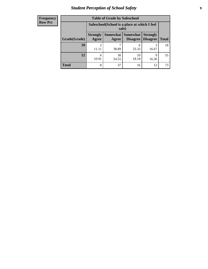# *Student Perception of School Safety* **9**

| <b>Frequency</b> |
|------------------|
| <b>Row Pct</b>   |

| <b>Table of Grade by Safeschool</b> |                                                                                                                                      |                                                        |             |            |    |  |
|-------------------------------------|--------------------------------------------------------------------------------------------------------------------------------------|--------------------------------------------------------|-------------|------------|----|--|
|                                     |                                                                                                                                      | Safeschool (School is a place at which I feel<br>safe) |             |            |    |  |
| Grade(Grade)                        | Somewhat  <br><b>Somewhat</b><br><b>Strongly</b><br><b>Strongly</b><br><b>Disagree</b><br>Agree<br>Disagree<br><b>Total</b><br>Agree |                                                        |             |            |    |  |
| 10                                  | 2<br>11.11                                                                                                                           | 38.89                                                  | 6<br>33.33  | 3<br>16.67 | 18 |  |
| 12                                  | 6<br>10.91                                                                                                                           | 30<br>54.55                                            | 10<br>18.18 | 9<br>16.36 | 55 |  |
| <b>Total</b>                        | 8                                                                                                                                    | 37                                                     | 16          | 12         | 73 |  |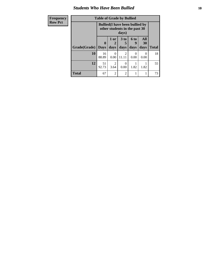#### *Students Who Have Been Bullied* **10**

| Frequency      | <b>Table of Grade by Bullied</b> |                  |                                                                                  |                         |                          |                   |              |
|----------------|----------------------------------|------------------|----------------------------------------------------------------------------------|-------------------------|--------------------------|-------------------|--------------|
| <b>Row Pct</b> |                                  |                  | <b>Bullied</b> (I have been bullied by<br>other students in the past 30<br>days) |                         |                          |                   |              |
|                | Grade(Grade)                     | 0<br><b>Days</b> | 1 or<br>2<br>days                                                                | 3 <sub>to</sub><br>days | <b>6 to</b><br>9<br>days | All<br>30<br>days | <b>Total</b> |
|                | 10                               | 16<br>88.89      | 0<br>0.00                                                                        | $\mathcal{D}$<br>11.11  | 0<br>0.00                | 0<br>0.00         | 18           |
|                | 12                               | 51<br>92.73      | 2<br>3.64                                                                        | 0.00                    | 1.82                     | 1.82              | 55           |
|                | <b>Total</b>                     | 67               | $\overline{2}$                                                                   | $\overline{2}$          | 1                        |                   | 73           |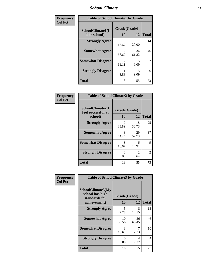#### *School Climate* **11**

| Frequency      | <b>Table of SchoolClimate1 by Grade</b> |                         |             |              |  |  |
|----------------|-----------------------------------------|-------------------------|-------------|--------------|--|--|
| <b>Col Pct</b> | SchoolClimate1(I<br>like school)        | Grade(Grade)<br>10      | 12          | <b>Total</b> |  |  |
|                | <b>Strongly Agree</b>                   | 3<br>16.67              | 11<br>20.00 | 14           |  |  |
|                | <b>Somewhat Agree</b>                   | 12<br>66.67             | 34<br>61.82 | 46           |  |  |
|                | <b>Somewhat Disagree</b>                | $\mathfrak{D}$<br>11.11 | 5<br>9.09   | 7            |  |  |
|                | <b>Strongly Disagree</b>                | 5.56                    | 5<br>9.09   | 6            |  |  |
|                | <b>Total</b>                            | 18                      | 55          | 73           |  |  |

| <b>Frequency</b> |
|------------------|
| <b>Col Pct</b>   |

| <b>Table of SchoolClimate2 by Grade</b>           |                    |                        |              |  |
|---------------------------------------------------|--------------------|------------------------|--------------|--|
| SchoolClimate2(I<br>feel successful at<br>school) | Grade(Grade)<br>10 | 12                     | <b>Total</b> |  |
| <b>Strongly Agree</b>                             | 38.89              | 18<br>32.73            | 25           |  |
| <b>Somewhat Agree</b>                             | 8<br>44.44         | 29<br>52.73            | 37           |  |
| <b>Somewhat Disagree</b>                          | 3<br>16.67         | 6<br>10.91             | 9            |  |
| <b>Strongly Disagree</b>                          | 0.00               | $\mathfrak{D}$<br>3.64 | 2            |  |
| <b>Total</b>                                      | 18                 | 55                     | 73           |  |

| Frequency      | <b>Table of SchoolClimate3 by Grade</b>                                      |                           |             |              |
|----------------|------------------------------------------------------------------------------|---------------------------|-------------|--------------|
| <b>Col Pct</b> | <b>SchoolClimate3(My</b><br>school has high<br>standards for<br>achievement) | Grade(Grade)<br>10        | 12          | <b>Total</b> |
|                |                                                                              |                           |             |              |
|                | <b>Strongly Agree</b>                                                        | 5<br>27.78                | 8<br>14.55  | 13           |
|                | <b>Somewhat Agree</b>                                                        | 10<br>55.56               | 36<br>65.45 | 46           |
|                | <b>Somewhat Disagree</b>                                                     | 3<br>16.67                | 7<br>12.73  | 10           |
|                | <b>Strongly Disagree</b>                                                     | $\mathbf{\Omega}$<br>0.00 | 4<br>7.27   | 4            |
|                | Total                                                                        | 18                        | 55          | 73           |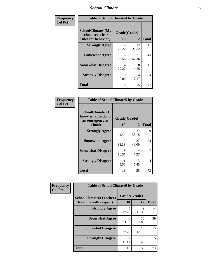#### *School Climate* **12**

| Frequency      | <b>Table of SchoolClimate4 by Grade</b>                              |                    |             |              |
|----------------|----------------------------------------------------------------------|--------------------|-------------|--------------|
| <b>Col Pct</b> | <b>SchoolClimate4(My</b><br>school sets clear<br>rules for behavior) | Grade(Grade)<br>10 | 12          | <b>Total</b> |
|                | <b>Strongly Agree</b>                                                | 4<br>22.22         | 12<br>21.82 | 16           |
|                | <b>Somewhat Agree</b>                                                | 10<br>55.56        | 31<br>56.36 | 41           |
|                | <b>Somewhat Disagree</b>                                             | 4<br>22.22         | 8<br>14.55  | 12           |
|                | <b>Strongly Disagree</b>                                             | 0<br>0.00          | 4<br>7.27   | 4            |
|                | <b>Total</b>                                                         | 18                 | 55          | 73           |

| <b>Table of SchoolClimate5 by Grade</b>                   |              |             |              |  |  |  |
|-----------------------------------------------------------|--------------|-------------|--------------|--|--|--|
| SchoolClimate5(I<br>know what to do in<br>an emergency at | Grade(Grade) |             |              |  |  |  |
| school)                                                   | 10           | 12          | <b>Total</b> |  |  |  |
| <b>Strongly Agree</b>                                     | 8<br>44.44   | 21<br>38.18 | 29           |  |  |  |
| <b>Somewhat Agree</b>                                     | 6<br>33.33   | 27<br>49.09 | 33           |  |  |  |
| <b>Somewhat Disagree</b>                                  | 3<br>16.67   | 4<br>7.27   | 7            |  |  |  |
| <b>Strongly Disagree</b>                                  | 5.56         | 3<br>5.45   | 4            |  |  |  |
| <b>Total</b>                                              | 18           | 55          | 73           |  |  |  |

| Frequency      | <b>Table of SchoolClimate6 by Grade</b>                  |                         |             |              |
|----------------|----------------------------------------------------------|-------------------------|-------------|--------------|
| <b>Col Pct</b> | <b>SchoolClimate6(Teachers</b><br>treat me with respect) | Grade(Grade)<br>10      | 12          | <b>Total</b> |
|                | <b>Strongly Agree</b>                                    | 5<br>27.78              | 9<br>16.36  | 14           |
|                | <b>Somewhat Agree</b>                                    | 6<br>33.33              | 33<br>60.00 | 39           |
|                | <b>Somewhat Disagree</b>                                 | 5<br>27.78              | 10<br>18.18 | 15           |
|                | <b>Strongly Disagree</b>                                 | $\mathfrak{D}$<br>11.11 | 3<br>5.45   | 5            |
|                | <b>Total</b>                                             | 18                      | 55          | 73           |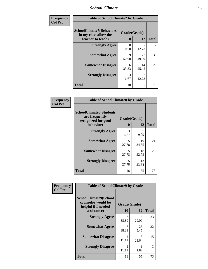#### *School Climate* **13**

| Frequency      | <b>Table of SchoolClimate7 by Grade</b>                                       |                           |             |              |
|----------------|-------------------------------------------------------------------------------|---------------------------|-------------|--------------|
| <b>Col Pct</b> | <b>SchoolClimate7(Behaviors</b><br>in my class allow the<br>teacher to teach) | Grade(Grade)<br><b>10</b> | 12          | <b>Total</b> |
|                | <b>Strongly Agree</b>                                                         | $\Omega$<br>0.00          | 7<br>12.73  |              |
|                | <b>Somewhat Agree</b>                                                         | $\mathbf Q$<br>50.00      | 27<br>49.09 | 36           |
|                | <b>Somewhat Disagree</b>                                                      | 6<br>33.33                | 14<br>25.45 | 20           |
|                | <b>Strongly Disagree</b>                                                      | 3<br>16.67                | 12.73       | 10           |
|                | <b>Total</b>                                                                  | 18                        | 55          | 73           |

| Frequency      | <b>Table of SchoolClimate8 by Grade</b>                                 |                                   |             |              |
|----------------|-------------------------------------------------------------------------|-----------------------------------|-------------|--------------|
| <b>Col Pct</b> | <b>SchoolClimate8(Students</b><br>are frequently<br>recognized for good | Grade(Grade)                      |             |              |
|                | behavior)                                                               | 10                                | 12          | <b>Total</b> |
|                | <b>Strongly Agree</b>                                                   | 3<br>16.67                        | 5<br>9.09   | 8            |
|                | <b>Somewhat Agree</b>                                                   | $\overline{\phantom{0}}$<br>27.78 | 19<br>34.55 | 24           |
|                | <b>Somewhat Disagree</b>                                                | 5<br>27.78                        | 18<br>32.73 | 23           |
|                | <b>Strongly Disagree</b>                                                | 5<br>27.78                        | 13<br>23.64 | 18           |
|                | <b>Total</b>                                                            | 18                                | 55          | 73           |

| Frequency      | <b>Table of SchoolClimate9 by Grade</b>                                           |                         |             |              |
|----------------|-----------------------------------------------------------------------------------|-------------------------|-------------|--------------|
| <b>Col Pct</b> | SchoolClimate9(School<br>counselor would be<br>helpful if I needed<br>assistance) | Grade(Grade)<br>10      | 12          | <b>Total</b> |
|                | <b>Strongly Agree</b>                                                             | 38.89                   | 16<br>29.09 | 23           |
|                | <b>Somewhat Agree</b>                                                             | 7<br>38.89              | 25<br>45.45 | 32           |
|                | <b>Somewhat Disagree</b>                                                          | $\mathfrak{D}$<br>11.11 | 13<br>23.64 | 15           |
|                | <b>Strongly Disagree</b>                                                          | 2<br>11.11              | 1.82        | 3            |
|                | Total                                                                             | 18                      | 55          | 73           |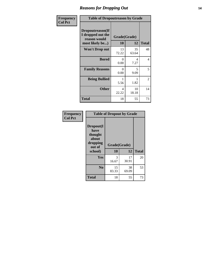### *Reasons for Dropping Out* **14**

| Frequency      | <b>Table of Dropoutreason by Grade</b>                                   |             |                    |                |
|----------------|--------------------------------------------------------------------------|-------------|--------------------|----------------|
| <b>Col Pct</b> | Dropoutreason(If<br>I dropped out the<br>reason would<br>most likely be) | 10          | Grade(Grade)<br>12 | <b>Total</b>   |
|                | <b>Won't Drop out</b>                                                    | 13<br>72.22 | 35<br>63.64        | 48             |
|                | <b>Bored</b>                                                             | 0<br>0.00   | 4<br>7.27          | $\overline{4}$ |
|                | <b>Family Reasons</b>                                                    | 0<br>0.00   | 5<br>9.09          | 5              |
|                | <b>Being Bullied</b>                                                     | 5.56        | 1.82               | 2              |
|                | <b>Other</b>                                                             | 4<br>22.22  | 10<br>18.18        | 14             |
|                | <b>Total</b>                                                             | 18          | 55                 | 73             |

| Frequency      | <b>Table of Dropout by Grade</b>                                       |                    |              |    |  |
|----------------|------------------------------------------------------------------------|--------------------|--------------|----|--|
| <b>Col Pct</b> | Dropout(I<br>have<br>thought<br>about<br>dropping<br>out of<br>school) | Grade(Grade)<br>10 | <b>Total</b> |    |  |
|                |                                                                        |                    | 12           |    |  |
|                | Yes                                                                    | 3<br>16.67         | 17<br>30.91  | 20 |  |
|                | N <sub>0</sub>                                                         | 15<br>83.33        | 38<br>69.09  | 53 |  |
|                | <b>Total</b>                                                           | 18                 | 55           | 73 |  |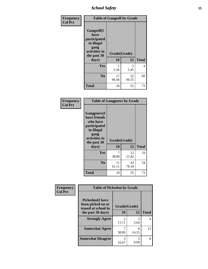*School Safety* **15**

| Frequency      | <b>Table of Gangself by Grade</b>                                                                 |                          |             |              |
|----------------|---------------------------------------------------------------------------------------------------|--------------------------|-------------|--------------|
| <b>Col Pct</b> | Gangself(I<br>have<br>participated<br>in illegal<br>gang<br>activities in<br>the past 30<br>days) | Grade(Grade)<br>10<br>12 |             | <b>Total</b> |
|                |                                                                                                   |                          |             |              |
|                | Yes                                                                                               |                          | 3           | 4            |
|                |                                                                                                   | 5.56                     | 5.45        |              |
|                | N <sub>0</sub>                                                                                    | 17<br>94.44              | 52<br>94.55 | 69           |
|                | <b>Total</b>                                                                                      | 18                       | 55          | 73           |

| Frequency<br><b>Col Pct</b> | <b>Table of Gangpeers by Grade</b>                                                                                             |                    |             |              |  |
|-----------------------------|--------------------------------------------------------------------------------------------------------------------------------|--------------------|-------------|--------------|--|
|                             | <b>Gangpeers</b> (I<br>have friends<br>who have<br>participated<br>in illegal<br>gang<br>activities in<br>the past 30<br>days) | Grade(Grade)<br>10 | 12          | <b>Total</b> |  |
|                             | Yes                                                                                                                            | 7<br>38.89         | 12<br>21.82 | 19           |  |
|                             | N <sub>0</sub>                                                                                                                 | 11<br>61.11        | 43<br>78.18 | 54           |  |
|                             | <b>Total</b>                                                                                                                   | 18                 | 55          | 73           |  |

| Frequency      | <b>Table of Pickedon by Grade</b>                                   |                         |                        |              |
|----------------|---------------------------------------------------------------------|-------------------------|------------------------|--------------|
| <b>Col Pct</b> | <b>Pickedon</b> (I have<br>been picked on or<br>teased at school in | Grade(Grade)            |                        |              |
|                | the past 30 days)                                                   | 10                      | 12                     | <b>Total</b> |
|                | <b>Strongly Agree</b>                                               | $\mathfrak{D}$<br>11.11 | $\mathfrak{D}$<br>3.64 | 4            |
|                | <b>Somewhat Agree</b>                                               | 38.89                   | 8<br>14.55             | 15           |
|                | <b>Somewhat Disagree</b>                                            | 3<br>16.67              | 5<br>9.09              | 8            |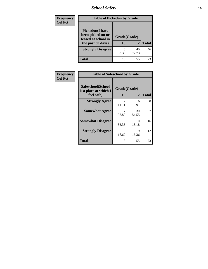*School Safety* **16**

| <b>Frequency</b> | <b>Table of Pickedon by Grade</b>                                                        |                    |             |              |  |  |  |  |
|------------------|------------------------------------------------------------------------------------------|--------------------|-------------|--------------|--|--|--|--|
| <b>Col Pct</b>   | <b>Pickedon</b> (I have<br>been picked on or<br>teased at school in<br>the past 30 days) | Grade(Grade)<br>10 | 12          | <b>Total</b> |  |  |  |  |
|                  | <b>Strongly Disagree</b>                                                                 | 6<br>33.33         | 40<br>72.73 | 46           |  |  |  |  |
|                  | <b>Total</b>                                                                             | 18                 | 55          | 73           |  |  |  |  |

| Frequency      | <b>Table of Safeschool by Grade</b>                      |                    |             |              |  |  |  |  |
|----------------|----------------------------------------------------------|--------------------|-------------|--------------|--|--|--|--|
| <b>Col Pct</b> | Safeschool(School<br>is a place at which I<br>feel safe) | Grade(Grade)<br>10 | 12          | <b>Total</b> |  |  |  |  |
|                | <b>Strongly Agree</b>                                    | 2<br>11.11         | 6<br>10.91  | 8            |  |  |  |  |
|                | <b>Somewhat Agree</b>                                    | 7<br>38.89         | 30<br>54.55 | 37           |  |  |  |  |
|                | <b>Somewhat Disagree</b>                                 | 6<br>33.33         | 10<br>18.18 | 16           |  |  |  |  |
|                | <b>Strongly Disagree</b>                                 | 3<br>16.67         | 9<br>16.36  | 12           |  |  |  |  |
|                | <b>Total</b>                                             | 18                 | 55          | 73           |  |  |  |  |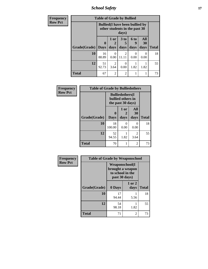*School Safety* **17**

| <b>Frequency</b> | <b>Table of Grade by Bullied</b> |             |                        |                                                                                  |                      |                  |              |  |  |  |
|------------------|----------------------------------|-------------|------------------------|----------------------------------------------------------------------------------|----------------------|------------------|--------------|--|--|--|
| <b>Row Pct</b>   |                                  |             |                        | <b>Bullied</b> (I have been bullied by<br>other students in the past 30<br>days) |                      |                  |              |  |  |  |
|                  |                                  | $\mathbf 0$ | 1 or<br>$\mathbf{2}$   | 3 to<br>5                                                                        | 6 <sub>to</sub><br>9 | <b>All</b><br>30 |              |  |  |  |
|                  | Grade(Grade)   Days              |             | days                   | days                                                                             | days                 | days             | <b>Total</b> |  |  |  |
|                  | 10                               | 16<br>88.89 | $\Omega$<br>0.00       | $\mathfrak{D}$<br>11.11                                                          | 0<br>0.00            | 0.00             | 18           |  |  |  |
|                  | 12                               | 51<br>92.73 | $\overline{2}$<br>3.64 | 0<br>0.00                                                                        | 1.82                 | 1.82             | 55           |  |  |  |
|                  | <b>Total</b>                     | 67          | $\overline{2}$         | $\mathfrak{D}$                                                                   | 1                    |                  | 73           |  |  |  |

| Frequency      | <b>Table of Grade by Bulliedothers</b> |                         |                                                                   |                        |              |
|----------------|----------------------------------------|-------------------------|-------------------------------------------------------------------|------------------------|--------------|
| <b>Row Pct</b> |                                        |                         | <b>Bulliedothers</b> (I<br>bullied others in<br>the past 30 days) |                        |              |
|                | Grade(Grade)                           | $\bf{0}$<br><b>Days</b> | 1 or<br>days                                                      | All<br>30<br>days      | <b>Total</b> |
|                | 10                                     | 18<br>100.00            | 0<br>0.00                                                         | 0<br>0.00              | 18           |
|                | 12                                     | 52<br>94.55             | 1.82                                                              | $\overline{c}$<br>3.64 | 55           |
|                | <b>Total</b>                           | 70                      | 1                                                                 | 2                      | 73           |

| Frequency      | <b>Table of Grade by Weaponschool</b> |                                                                         |                    |              |
|----------------|---------------------------------------|-------------------------------------------------------------------------|--------------------|--------------|
| <b>Row Pct</b> |                                       | Weaponschool(I<br>brought a weapon<br>to school in the<br>past 30 days) |                    |              |
|                | Grade(Grade)                          | 0 Days                                                                  | $1$ or $2$<br>days | <b>Total</b> |
|                | 10                                    | 17<br>94.44                                                             | 5.56               | 18           |
|                | 12                                    | 54<br>98.18                                                             | 1.82               | 55           |
|                | Total                                 | 71                                                                      | $\overline{c}$     | 73           |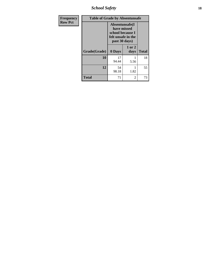*School Safety* **18**

| <b>Frequency</b> |              | <b>Table of Grade by Absentunsafe</b>                                                     |                |              |  |  |  |
|------------------|--------------|-------------------------------------------------------------------------------------------|----------------|--------------|--|--|--|
| <b>Row Pct</b>   |              | Absentunsafe(I)<br>have missed<br>school because I<br>felt unsafe in the<br>past 30 days) |                |              |  |  |  |
|                  | Grade(Grade) | 0 Days                                                                                    | 1 or 2<br>days | <b>Total</b> |  |  |  |
|                  | 10           | 17<br>94.44                                                                               | 5.56           | 18           |  |  |  |
|                  | 12           | 54<br>98.18                                                                               | 1.82           | 55           |  |  |  |
|                  | <b>Total</b> | 71                                                                                        | 2              | 73           |  |  |  |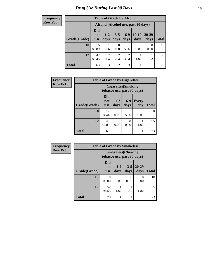# *Drug Use During Last 30 Days* **19**

**Frequency Row Pct**

| <b>Table of Grade by Alcohol</b> |                                                                                                                                                |                                     |                        |                        |           |                           |    |  |  |
|----------------------------------|------------------------------------------------------------------------------------------------------------------------------------------------|-------------------------------------|------------------------|------------------------|-----------|---------------------------|----|--|--|
|                                  |                                                                                                                                                | Alcohol (Alcohol use, past 30 days) |                        |                        |           |                           |    |  |  |
| Grade(Grade)                     | <b>Did</b><br>$10-19$<br>$6-9$<br>$20 - 29$<br>$3 - 5$<br>$1 - 2$<br>not<br>days<br><b>Total</b><br>days<br>days<br>days<br>days<br><b>use</b> |                                     |                        |                        |           |                           |    |  |  |
| 10                               | 16<br>88.89                                                                                                                                    | 5.56                                | 0<br>0.00              | 5.56                   | 0<br>0.00 | $\mathbf{\Omega}$<br>0.00 | 18 |  |  |
| 12                               | 47<br>85.45                                                                                                                                    | 2<br>3.64                           | $\overline{2}$<br>3.64 | $\mathfrak{D}$<br>3.64 | 1.82      | 1.82                      | 55 |  |  |
| <b>Total</b>                     | 63                                                                                                                                             | 3                                   | $\overline{2}$         | 3                      |           |                           | 73 |  |  |

| Frequency      |              | <b>Table of Grade by Cigarettes</b> |                            |               |                            |              |
|----------------|--------------|-------------------------------------|----------------------------|---------------|----------------------------|--------------|
| <b>Row Pct</b> |              |                                     | <b>Cigarettes</b> (Smoking |               | tobacco use, past 30 days) |              |
|                | Grade(Grade) | Did<br>not<br><b>use</b>            | $1 - 2$<br>days            | $6-9$<br>days | <b>Every</b><br>day        | <b>Total</b> |
|                | 10           | 17<br>94.44                         | $\mathcal{O}$<br>0.00      | 5.56          | $\Omega$<br>0.00           | 18           |
|                | 12           | 49<br>89.09                         | 5<br>9.09                  | 0<br>0.00     | 1.82                       | 55           |
|                | <b>Total</b> | 66                                  | 5                          |               |                            | 73           |

| Frequency      | <b>Table of Grade by Smokeless</b> |                                 |                                                         |                 |                   |              |  |
|----------------|------------------------------------|---------------------------------|---------------------------------------------------------|-----------------|-------------------|--------------|--|
| <b>Row Pct</b> |                                    |                                 | <b>Smokeless</b> (Chewing<br>tobacco use, past 30 days) |                 |                   |              |  |
|                | Grade(Grade)                       | <b>Did</b><br>not<br><b>use</b> | $1 - 2$<br>days                                         | $3 - 5$<br>days | $20 - 29$<br>days | <b>Total</b> |  |
|                | 10                                 | 18<br>100.00                    | $\theta$<br>0.00                                        | 0<br>0.00       | 0<br>0.00         | 18           |  |
|                | 12                                 | 52<br>94.55                     | 1.82                                                    | 1.82            | 1.82              | 55           |  |
|                | <b>Total</b>                       | 70                              |                                                         | 1               |                   | 73           |  |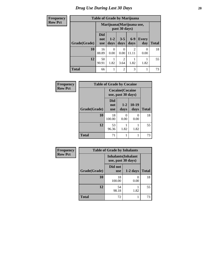# *Drug Use During Last 30 Days* 20

| <b>Frequency</b> | <b>Table of Grade by Marijuana</b> |                                 |               |                        |                           |                     |              |
|------------------|------------------------------------|---------------------------------|---------------|------------------------|---------------------------|---------------------|--------------|
| <b>Row Pct</b>   |                                    |                                 |               | past 30 days)          | Marijuana (Marijuana use, |                     |              |
|                  | Grade(Grade)                       | <b>Did</b><br>not<br><b>use</b> | $1-2$<br>days | $3 - 5$<br>days        | $6-9$<br>days             | <b>Every</b><br>day | <b>Total</b> |
|                  | 10                                 | 16<br>88.89                     | 0<br>0.00     | 0<br>0.00              | $\overline{2}$<br>11.11   | 0<br>0.00           | 18           |
|                  | 12                                 | 50<br>90.91                     | 1.82          | $\overline{c}$<br>3.64 | 1.82                      | 1.82                | 55           |
|                  | <b>Total</b>                       | 66                              |               | $\overline{2}$         | 3                         |                     | 73           |

| Frequency      | <b>Table of Grade by Cocaine</b> |                                 |                                               |                      |              |
|----------------|----------------------------------|---------------------------------|-----------------------------------------------|----------------------|--------------|
| <b>Row Pct</b> |                                  |                                 | <b>Cocaine</b> (Cocaine<br>use, past 30 days) |                      |              |
|                | Grade(Grade)                     | <b>Did</b><br>not<br><b>use</b> | $1 - 2$<br>days                               | $10-19$<br>days      | <b>Total</b> |
|                | 10                               | 18<br>100.00                    | 0<br>0.00                                     | $\mathbf{0}$<br>0.00 | 18           |
|                | 12                               | 53<br>96.36                     | 1.82                                          | 1.82                 | 55           |
|                | <b>Total</b>                     | 71                              | 1                                             |                      | 73           |

| Frequency      | <b>Table of Grade by Inhalants</b> |                                                  |            |              |
|----------------|------------------------------------|--------------------------------------------------|------------|--------------|
| <b>Row Pct</b> |                                    | <b>Inhalants</b> (Inhalant<br>use, past 30 days) |            |              |
|                | Grade(Grade)                       | Did not<br><b>use</b>                            | $1-2$ days | <b>Total</b> |
|                | 10                                 | 18<br>100.00                                     | 0.00       | 18           |
|                | 12                                 | 54<br>98.18                                      | 1.82       | 55           |
|                | <b>Total</b>                       | 72                                               |            | 73           |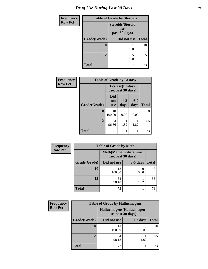| <b>Frequency</b> | <b>Table of Grade by Steroids</b> |                                                   |              |  |
|------------------|-----------------------------------|---------------------------------------------------|--------------|--|
| <b>Row Pct</b>   |                                   | <b>Steroids</b> (Steroid<br>use,<br>past 30 days) |              |  |
|                  | Grade(Grade)                      | Did not use                                       | <b>Total</b> |  |
|                  | 10                                | 18<br>100.00                                      | 18           |  |
|                  | 12                                | 55<br>100.00                                      | 55           |  |
|                  | <b>Total</b>                      | 73                                                | 73           |  |

| Frequency      | <b>Table of Grade by Ecstasy</b> |                                 |                                               |               |              |
|----------------|----------------------------------|---------------------------------|-----------------------------------------------|---------------|--------------|
| <b>Row Pct</b> |                                  |                                 | <b>Ecstasy</b> (Ecstasy<br>use, past 30 days) |               |              |
|                | Grade(Grade)                     | <b>Did</b><br>not<br><b>use</b> | $1 - 2$<br>days                               | $6-9$<br>days | <b>Total</b> |
|                | 10                               | 18<br>100.00                    | $\Omega$<br>0.00                              | 0<br>0.00     | 18           |
|                | 12                               | 53<br>96.36                     | 1.82                                          | 1.82          | 55           |
|                | <b>Total</b>                     | 71                              |                                               | 1             | 73           |

| <b>Frequency</b> | <b>Table of Grade by Meth</b> |                                                    |            |              |  |
|------------------|-------------------------------|----------------------------------------------------|------------|--------------|--|
| <b>Row Pct</b>   |                               | <b>Meth</b> (Methamphetamine<br>use, past 30 days) |            |              |  |
|                  | Grade(Grade)                  | Did not use                                        | $3-5$ days | <b>Total</b> |  |
|                  | 10                            | 18<br>100.00                                       | 0<br>0.00  | 18           |  |
|                  | 12                            | 54<br>98.18                                        | 1.82       | 55           |  |
|                  | <b>Total</b>                  | 72                                                 |            | 73           |  |

| <b>Frequency</b> |              | <b>Table of Grade by Hallucinogens</b>            |            |              |
|------------------|--------------|---------------------------------------------------|------------|--------------|
| <b>Row Pct</b>   |              | Hallucinogens (Hallucinogen<br>use, past 30 days) |            |              |
|                  | Grade(Grade) | Did not use                                       | $1-2$ days | <b>Total</b> |
|                  | 10           | 18<br>100.00                                      | 0.00       | 18           |
|                  | 12           | 54<br>98.18                                       | 1.82       | 55           |
|                  | <b>Total</b> | 72                                                |            | 73           |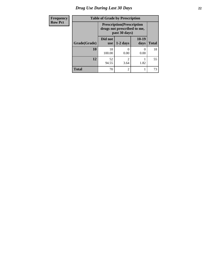# *Drug Use During Last 30 Days* **22**

| Frequency      | <b>Table of Grade by Prescription</b><br><b>Prescription</b> (Prescription<br>drugs not prescribed to me,<br>past 30 days) |                       |                |                 |              |
|----------------|----------------------------------------------------------------------------------------------------------------------------|-----------------------|----------------|-----------------|--------------|
| <b>Row Pct</b> |                                                                                                                            |                       |                |                 |              |
|                | Grade(Grade)                                                                                                               | Did not<br><b>use</b> | $1-2$ days     | $10-19$<br>days | <b>Total</b> |
|                | 10                                                                                                                         | 18<br>100.00          | 0.00           | 0<br>0.00       | 18           |
|                | 12                                                                                                                         | 52<br>94.55           | っ<br>3.64      | 1.82            | 55           |
|                | <b>Total</b>                                                                                                               | 70                    | $\mathfrak{D}$ |                 | 73           |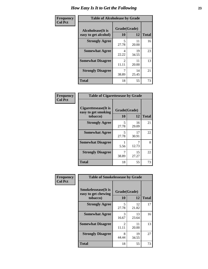| Frequency      | <b>Table of Alcoholease by Grade</b>              |                    |             |              |
|----------------|---------------------------------------------------|--------------------|-------------|--------------|
| <b>Col Pct</b> | <b>Alcoholease</b> (It is<br>easy to get alcohol) | Grade(Grade)<br>10 | 12          | <b>Total</b> |
|                | <b>Strongly Agree</b>                             | 5<br>27.78         | 11<br>20.00 | 16           |
|                | <b>Somewhat Agree</b>                             | 4<br>22.22         | 19<br>34.55 | 23           |
|                | <b>Somewhat Disagree</b>                          | 2<br>11.11         | 11<br>20.00 | 13           |
|                | <b>Strongly Disagree</b>                          | 7<br>38.89         | 14<br>25.45 | 21           |
|                | <b>Total</b>                                      | 18                 | 55          | 73           |

| Frequency      | <b>Table of Cigarettesease by Grade</b>                 |                    |             |              |
|----------------|---------------------------------------------------------|--------------------|-------------|--------------|
| <b>Col Pct</b> | Cigarettesease(It is<br>easy to get smoking<br>tobacco) | Grade(Grade)<br>10 | 12          | <b>Total</b> |
|                | <b>Strongly Agree</b>                                   | 5<br>27.78         | 16<br>29.09 | 21           |
|                | <b>Somewhat Agree</b>                                   | 5<br>27.78         | 17<br>30.91 | 22           |
|                | <b>Somewhat Disagree</b>                                | 5.56               | 7<br>12.73  | 8            |
|                | <b>Strongly Disagree</b>                                | 38.89              | 15<br>27.27 | 22           |
|                | <b>Total</b>                                            | 18                 | 55          | 73           |

| Frequency      | <b>Table of Smokelessease by Grade</b>             |                                      |             |              |
|----------------|----------------------------------------------------|--------------------------------------|-------------|--------------|
| <b>Col Pct</b> | <b>Smokelessease</b> (It is<br>easy to get chewing | Grade(Grade)                         |             |              |
|                | tobacco)                                           | 10                                   | 12          | <b>Total</b> |
|                | <b>Strongly Agree</b>                              | 5<br>27.78                           | 12<br>21.82 | 17           |
|                | <b>Somewhat Agree</b>                              | 3<br>16.67                           | 13<br>23.64 | 16           |
|                | <b>Somewhat Disagree</b>                           | $\mathcal{D}_{\mathcal{L}}$<br>11.11 | 11<br>20.00 | 13           |
|                | <b>Strongly Disagree</b>                           | 8<br>44.44                           | 19<br>34.55 | 27           |
|                | Total                                              | 18                                   | 55          | 73           |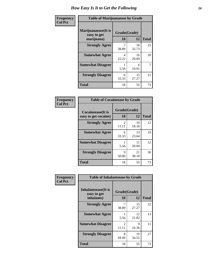| Frequency      | <b>Table of Marijuanaease by Grade</b>            |                    |             |              |
|----------------|---------------------------------------------------|--------------------|-------------|--------------|
| <b>Col Pct</b> | Marijuanaease (It is<br>easy to get<br>marijuana) | Grade(Grade)<br>10 | 12          | <b>Total</b> |
|                | <b>Strongly Agree</b>                             | 38.89              | 18<br>32.73 | 25           |
|                | <b>Somewhat Agree</b>                             | 4<br>22.22         | 16<br>29.09 | 20           |
|                | <b>Somewhat Disagree</b>                          | 5.56               | 6<br>10.91  | 7            |
|                | <b>Strongly Disagree</b>                          | 6<br>33.33         | 15<br>27.27 | 21           |
|                | <b>Total</b>                                      | 18                 | 55          | 73           |

| <b>Table of Cocaineease by Grade</b>              |                    |             |              |  |
|---------------------------------------------------|--------------------|-------------|--------------|--|
| <b>Cocaineease</b> (It is<br>easy to get cocaine) | Grade(Grade)<br>10 | 12          | <b>Total</b> |  |
| <b>Strongly Agree</b>                             | 2<br>11.11         | 10<br>18.18 | 12           |  |
| <b>Somewhat Agree</b>                             | 6<br>33.33         | 13<br>23.64 | 19           |  |
| <b>Somewhat Disagree</b>                          | 5.56               | 11<br>20.00 | 12           |  |
| <b>Strongly Disagree</b>                          | 9<br>50.00         | 21<br>38.18 | 30           |  |
| <b>Total</b>                                      | 18                 | 55          | 73           |  |

| Frequency      | <b>Table of Inhalantsease by Grade</b>                   |                         |             |              |
|----------------|----------------------------------------------------------|-------------------------|-------------|--------------|
| <b>Col Pct</b> | <b>Inhalantsease</b> (It is<br>easy to get<br>inhalants) | Grade(Grade)<br>10      | 12          | <b>Total</b> |
|                | <b>Strongly Agree</b>                                    |                         | 15          | 22           |
|                |                                                          | 38.89                   | 27.27       |              |
|                | <b>Somewhat Agree</b>                                    | 5.56                    | 12<br>21.82 | 13           |
|                | <b>Somewhat Disagree</b>                                 | $\mathfrak{D}$<br>11.11 | 9<br>16.36  | 11           |
|                | <b>Strongly Disagree</b>                                 | 8<br>44.44              | 19<br>34.55 | 27           |
|                | <b>Total</b>                                             | 18                      | 55          | 73           |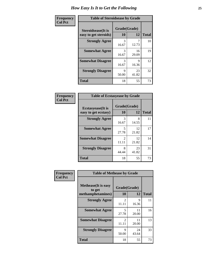| Frequency      | <b>Table of Steroidsease by Grade</b>               |                    |             |              |  |  |  |
|----------------|-----------------------------------------------------|--------------------|-------------|--------------|--|--|--|
| <b>Col Pct</b> | <b>Steroidsease</b> (It is<br>easy to get steroids) | Grade(Grade)<br>10 | 12          | <b>Total</b> |  |  |  |
|                | <b>Strongly Agree</b>                               | 3<br>16.67         | 12.73       | 10           |  |  |  |
|                | <b>Somewhat Agree</b>                               | 3<br>16.67         | 16<br>29.09 | 19           |  |  |  |
|                | <b>Somewhat Disagree</b>                            | 3<br>16.67         | 9<br>16.36  | 12           |  |  |  |
|                | <b>Strongly Disagree</b>                            | 9<br>50.00         | 23<br>41.82 | 32           |  |  |  |
|                | <b>Total</b>                                        | 18                 | 55          | 73           |  |  |  |

| Frequency      | <b>Table of Ecstasyease by Grade</b>              |                    |             |              |  |  |  |
|----------------|---------------------------------------------------|--------------------|-------------|--------------|--|--|--|
| <b>Col Pct</b> | <b>Ecstasyease</b> (It is<br>easy to get ecstasy) | Grade(Grade)<br>10 | 12          | <b>Total</b> |  |  |  |
|                | <b>Strongly Agree</b>                             | 3<br>16.67         | 8<br>14.55  | 11           |  |  |  |
|                | <b>Somewhat Agree</b>                             | 5<br>27.78         | 12<br>21.82 | 17           |  |  |  |
|                | <b>Somewhat Disagree</b>                          | 2<br>11.11         | 12<br>21.82 | 14           |  |  |  |
|                | <b>Strongly Disagree</b>                          | 8<br>44.44         | 23<br>41.82 | 31           |  |  |  |
|                | <b>Total</b>                                      | 18                 | 55          | 73           |  |  |  |

| Frequency      | <b>Table of Methease by Grade</b>                          |                                      |             |              |
|----------------|------------------------------------------------------------|--------------------------------------|-------------|--------------|
| <b>Col Pct</b> | <b>Methease</b> (It is easy<br>to get<br>methamphetamines) | Grade(Grade)<br>10                   | 12          | <b>Total</b> |
|                | <b>Strongly Agree</b>                                      | $\mathfrak{D}$<br>11.11              | 9<br>16.36  | 11           |
|                | <b>Somewhat Agree</b>                                      | 5<br>27.78                           | 11<br>20.00 | 16           |
|                | <b>Somewhat Disagree</b>                                   | $\mathcal{D}_{\mathcal{L}}$<br>11.11 | 11<br>20.00 | 13           |
|                | <b>Strongly Disagree</b>                                   | 9<br>50.00                           | 24<br>43.64 | 33           |
|                | <b>Total</b>                                               | 18                                   | 55          | 73           |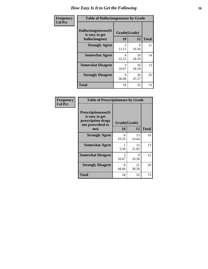| <b>Frequency</b> | <b>Table of Hallucinogensease by Grade</b>               |                                      |             |              |
|------------------|----------------------------------------------------------|--------------------------------------|-------------|--------------|
| <b>Col Pct</b>   | Hallucinogensease(It<br>is easy to get<br>hallucinogens) | Grade(Grade)<br>10                   | 12          | <b>Total</b> |
|                  | <b>Strongly Agree</b>                                    | $\mathcal{D}_{\mathcal{L}}$<br>11.11 | 9<br>16.36  | 11           |
|                  | <b>Somewhat Agree</b>                                    | 4<br>22.22                           | 10<br>18.18 | 14           |
|                  | <b>Somewhat Disagree</b>                                 | 3<br>16.67                           | 10<br>18.18 | 13           |
|                  | <b>Strongly Disagree</b>                                 | Q<br>50.00                           | 26<br>47.27 | 35           |
|                  | <b>Total</b>                                             | 18                                   | 55          | 73           |

| <b>Table of Prescriptionease by Grade</b>                                                |            |              |              |  |  |  |
|------------------------------------------------------------------------------------------|------------|--------------|--------------|--|--|--|
| <b>Prescriptionease</b> (It<br>is easy to get<br>prescription drugs<br>not prescribed to |            | Grade(Grade) |              |  |  |  |
| me)                                                                                      | 10         | 12           | <b>Total</b> |  |  |  |
| <b>Strongly Agree</b>                                                                    | 6<br>33.33 | 13<br>23.64  | 19           |  |  |  |
| <b>Somewhat Agree</b>                                                                    | 5.56       | 12<br>21.82  | 13           |  |  |  |
| <b>Somewhat Disagree</b>                                                                 | 3<br>16.67 | Q<br>16.36   | 12           |  |  |  |
| <b>Strongly Disagree</b>                                                                 | 8<br>44.44 | 21<br>38.18  | 29           |  |  |  |
| Total                                                                                    | 18         | 55           | 73           |  |  |  |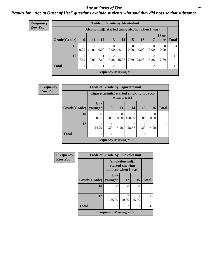#### *Age at Onset of Use* **27** *Results for "Age at Onset of Use" questions exclude students who said they did not use that substance*

| Frequency      | <b>Table of Grade by Alcoholinit</b>             |                  |           |           |                               |                         |                  |                  |                         |                  |                |
|----------------|--------------------------------------------------|------------------|-----------|-----------|-------------------------------|-------------------------|------------------|------------------|-------------------------|------------------|----------------|
| <b>Row Pct</b> | Alcoholinit (I started using alcohol when I was) |                  |           |           |                               |                         |                  |                  |                         |                  |                |
|                | Grade(Grade)                                     | 9                | 11        | 12        | 13                            | 14                      | 15               | <b>16</b>        | 17                      | <b>18 or</b>     | older   Total  |
|                | 10                                               | $\Omega$<br>0.00 | 25.00     | 0<br>0.00 | $\theta$<br>0.00              | 3<br>75.00              | $\Omega$<br>0.00 | $\theta$<br>0.00 | $\Omega$<br>0.00        | $\theta$<br>0.00 | $\overline{4}$ |
|                | 12                                               | 7.69             | 0<br>0.00 | 7.69      | 2<br>15.38                    | $\overline{2}$<br>15.38 | 7.69             | 3<br>23.08       | $\overline{2}$<br>15.38 | 7.69             | 13             |
|                | <b>Total</b>                                     |                  |           |           | 2                             | 5                       |                  | $\mathcal{R}$    | $\overline{2}$          |                  | 17             |
|                |                                                  |                  |           |           | <b>Frequency Missing = 56</b> |                         |                  |                  |                         |                  |                |

| <b>Frequency</b> |              | <b>Table of Grade by Cigarettesinit</b> |                                                         |                          |             |                  |                  |              |
|------------------|--------------|-----------------------------------------|---------------------------------------------------------|--------------------------|-------------|------------------|------------------|--------------|
| <b>Row Pct</b>   |              |                                         | Cigarettesinit(I started smoking tobacco<br>when I was) |                          |             |                  |                  |              |
|                  | Grade(Grade) | <b>8 or</b><br>younger                  | 9                                                       | 13                       | <b>14</b>   | 15               | 16               | <b>Total</b> |
|                  | 10           | $\Omega$<br>0.00                        | 0<br>0.00                                               | $\Omega$<br>0.00         | 3<br>100.00 | $\Omega$<br>0.00 | $\Omega$<br>0.00 | 3            |
|                  | 12           | 14.29                                   | 14.29                                                   | 14.29                    | 28.57       | 14.29            | 14.29            | 7            |
|                  | <b>Total</b> |                                         |                                                         |                          | 5           |                  |                  | 10           |
|                  |              |                                         |                                                         | Frequency Missing $= 63$ |             |                  |                  |              |

| Frequency      | <b>Table of Grade by Smokelessinit</b> |                     |                                    |       |                  |  |  |  |
|----------------|----------------------------------------|---------------------|------------------------------------|-------|------------------|--|--|--|
| <b>Row Pct</b> |                                        | tobacco when I was) | Smokelessinit(I<br>started chewing |       |                  |  |  |  |
|                | Grade(Grade)                           | 8 or<br>younger     | 12                                 | 15    | <b>Total</b>     |  |  |  |
|                | 10                                     | 0                   | 0                                  | 0     | $\left( \right)$ |  |  |  |
|                | 12                                     | 25.00               | っ<br>50.00                         | 25.00 | 4                |  |  |  |
|                | <b>Total</b>                           |                     | $\mathfrak{D}$                     |       | 4                |  |  |  |
|                | <b>Frequency Missing = 69</b>          |                     |                                    |       |                  |  |  |  |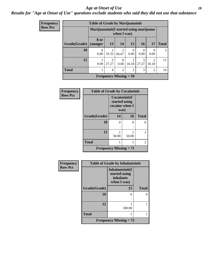#### *Age at Onset of Use* **28**

### *Results for "Age at Onset of Use" questions exclude students who said they did not use that substance*

| Frequency      | <b>Table of Grade by Marijuanainit</b> |                  |                                                        |                          |                         |                  |                         |              |  |
|----------------|----------------------------------------|------------------|--------------------------------------------------------|--------------------------|-------------------------|------------------|-------------------------|--------------|--|
| <b>Row Pct</b> |                                        |                  | Marijuanainit(I started using marijuana<br>when I was) |                          |                         |                  |                         |              |  |
|                | Grade(Grade)   younger                 | 8 or             | 13                                                     | 14                       | 15                      | 16               | 17                      | <b>Total</b> |  |
|                | 10                                     | $\Omega$<br>0.00 | 33.33                                                  | $\overline{c}$<br>66.67  | 0<br>0.00               | $\Omega$<br>0.00 | $\Omega$<br>0.00        | 3            |  |
|                | 12                                     | 9.09             | 3<br>27.27                                             | $\Omega$<br>0.00         | $\overline{2}$<br>18.18 | 3<br>27.27       | $\overline{2}$<br>18.18 | 11           |  |
|                | <b>Total</b>                           |                  | $\overline{4}$                                         | $\overline{2}$           | $\overline{2}$          | 3                | $\overline{2}$          | 14           |  |
|                |                                        |                  |                                                        | Frequency Missing $= 59$ |                         |                  |                         |              |  |

| <b>Frequency</b> | <b>Table of Grade by Cocaineinit</b> |                                                          |       |              |
|------------------|--------------------------------------|----------------------------------------------------------|-------|--------------|
| <b>Row Pct</b>   |                                      | Cocaineinit(I<br>started using<br>cocaine when I<br>was) |       |              |
|                  | Grade(Grade)                         | 14                                                       | 16    | <b>Total</b> |
|                  | 10                                   | 0                                                        | 0     | ∩            |
|                  |                                      |                                                          |       |              |
|                  | 12                                   | 50.00                                                    | 50.00 | 2            |
|                  | <b>Total</b>                         |                                                          | 1     | 2            |
|                  |                                      | <b>Frequency Missing = 71</b>                            |       |              |

| Frequency      | <b>Table of Grade by Inhalantsinit</b> |                                                                     |              |  |  |  |
|----------------|----------------------------------------|---------------------------------------------------------------------|--------------|--|--|--|
| <b>Row Pct</b> |                                        | Inhalantsinit(I<br>started using<br><i>inhalants</i><br>when I was) |              |  |  |  |
|                | Grade(Grade)                           | 15                                                                  | <b>Total</b> |  |  |  |
|                | 10                                     | 0                                                                   | 0            |  |  |  |
|                | 12                                     | 100.00                                                              |              |  |  |  |
|                | <b>Total</b>                           |                                                                     |              |  |  |  |
|                |                                        | <b>Frequency Missing = 72</b>                                       |              |  |  |  |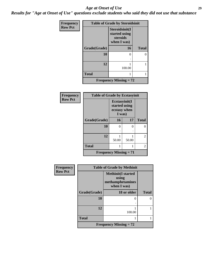#### *Age at Onset of Use* **29**

*Results for "Age at Onset of Use" questions exclude students who said they did not use that substance*

| Frequency      | <b>Table of Grade by Steroidsinit</b> |                                                            |              |  |  |  |
|----------------|---------------------------------------|------------------------------------------------------------|--------------|--|--|--|
| <b>Row Pct</b> |                                       | Steroidsinit(I<br>started using<br>steroids<br>when I was) |              |  |  |  |
|                | Grade(Grade)                          | 16                                                         | <b>Total</b> |  |  |  |
|                | 10                                    | 0                                                          | 0            |  |  |  |
|                | 12                                    | 100.00                                                     |              |  |  |  |
|                | <b>Total</b>                          |                                                            |              |  |  |  |
|                | <b>Frequency Missing = 72</b>         |                                                            |              |  |  |  |

| <b>Frequency</b> | <b>Table of Grade by Ecstasyinit</b>       |                                                          |       |              |
|------------------|--------------------------------------------|----------------------------------------------------------|-------|--------------|
| <b>Row Pct</b>   |                                            | Ecstasyinit(I<br>started using<br>ecstasy when<br>I was) |       |              |
|                  | Grade(Grade)                               | 16                                                       | 17    | <b>Total</b> |
|                  | 10                                         | ∩                                                        | 0     | 0            |
|                  |                                            |                                                          |       |              |
|                  | 12                                         | 50.00                                                    | 50.00 | 2            |
|                  | <b>Total</b>                               |                                                          | 1     | 2            |
|                  | <b>Frequency Missing <math>= 71</math></b> |                                                          |       |              |

| <b>Frequency</b> | <b>Table of Grade by Methinit</b> |                                                                       |              |  |
|------------------|-----------------------------------|-----------------------------------------------------------------------|--------------|--|
| <b>Row Pct</b>   |                                   | <b>Methinit(I started</b><br>using<br>methamphetamines<br>when I was) |              |  |
|                  | Grade(Grade)                      | 18 or older                                                           | <b>Total</b> |  |
|                  | 10                                | 0                                                                     | 0            |  |
|                  | 12                                | 100.00                                                                |              |  |
|                  | <b>Total</b>                      |                                                                       |              |  |
|                  |                                   | Frequency Missing $= 72$                                              |              |  |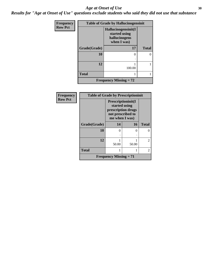#### Age at Onset of Use **30**

*Results for "Age at Onset of Use" questions exclude students who said they did not use that substance*

| <b>Frequency</b> | <b>Table of Grade by Hallucinogensinit</b> |                                                                      |              |  |
|------------------|--------------------------------------------|----------------------------------------------------------------------|--------------|--|
| <b>Row Pct</b>   |                                            | Hallucinogensinit(I<br>started using<br>hallucinogens<br>when I was) |              |  |
|                  | Grade(Grade)                               | 17                                                                   | <b>Total</b> |  |
|                  | 10                                         | 0                                                                    | 0            |  |
|                  |                                            |                                                                      |              |  |
|                  | 12                                         | 100.00                                                               |              |  |
|                  | <b>Total</b>                               |                                                                      |              |  |
|                  |                                            | <b>Frequency Missing = 72</b>                                        |              |  |

| <b>Frequency</b> | <b>Table of Grade by Prescriptioninit</b> |                                                                                                  |          |                |
|------------------|-------------------------------------------|--------------------------------------------------------------------------------------------------|----------|----------------|
| <b>Row Pct</b>   |                                           | Prescriptioninit(I<br>started using<br>prescription drugs<br>not prescribed to<br>me when I was) |          |                |
|                  | Grade(Grade)                              | 14                                                                                               | 16       | <b>Total</b>   |
|                  | 10                                        | 0                                                                                                | $\Omega$ | $\Omega$       |
|                  |                                           |                                                                                                  |          |                |
|                  | 12                                        |                                                                                                  |          | $\overline{c}$ |
|                  |                                           | 50.00                                                                                            | 50.00    |                |
|                  | <b>Total</b>                              |                                                                                                  |          | $\overline{c}$ |
|                  |                                           | Frequency Missing $= 71$                                                                         |          |                |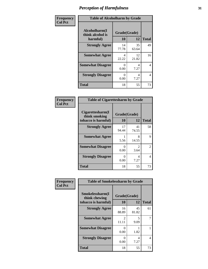| Frequency      | <b>Table of Alcoholharm by Grade</b>          |                    |             |              |
|----------------|-----------------------------------------------|--------------------|-------------|--------------|
| <b>Col Pct</b> | Alcoholharm(I<br>think alcohol is<br>harmful) | Grade(Grade)<br>10 | 12          | <b>Total</b> |
|                | <b>Strongly Agree</b>                         | 14<br>77.78        | 35<br>63.64 | 49           |
|                | <b>Somewhat Agree</b>                         | 4<br>22.22         | 12<br>21.82 | 16           |
|                | <b>Somewhat Disagree</b>                      | 0<br>0.00          | 4<br>7.27   | 4            |
|                | <b>Strongly Disagree</b>                      | 0<br>0.00          | 4<br>7.27   | 4            |
|                | <b>Total</b>                                  | 18                 | 55          | 73           |

| <b>Table of Cigarettesharm by Grade</b>                  |                    |                                     |              |  |  |
|----------------------------------------------------------|--------------------|-------------------------------------|--------------|--|--|
| Cigarettesharm(I<br>think smoking<br>tobacco is harmful) | Grade(Grade)<br>10 | 12                                  | <b>Total</b> |  |  |
| <b>Strongly Agree</b>                                    | 17<br>94.44        | 41<br>74.55                         | 58           |  |  |
| <b>Somewhat Agree</b>                                    | 5.56               | 8<br>14.55                          | 9            |  |  |
| <b>Somewhat Disagree</b>                                 | 0<br>0.00          | $\mathcal{D}_{\mathcal{L}}$<br>3.64 | 2            |  |  |
| <b>Strongly Disagree</b>                                 | 0<br>0.00          | 4<br>7.27                           | 4            |  |  |
| <b>Total</b>                                             | 18                 | 55                                  | 73           |  |  |

| Frequency      | <b>Table of Smokelessharm by Grade</b>                  |                           |             |              |  |
|----------------|---------------------------------------------------------|---------------------------|-------------|--------------|--|
| <b>Col Pct</b> | Smokelessharm(I<br>think chewing<br>tobacco is harmful) | Grade(Grade)<br>10        | 12          | <b>Total</b> |  |
|                | <b>Strongly Agree</b>                                   | 16<br>88.89               | 45<br>81.82 | 61           |  |
|                | <b>Somewhat Agree</b>                                   | $\mathfrak{D}$<br>11.11   | 5<br>9.09   |              |  |
|                | <b>Somewhat Disagree</b>                                | $\mathbf{\Omega}$<br>0.00 | 1.82        |              |  |
|                | <b>Strongly Disagree</b>                                | $\mathbf{\Omega}$<br>0.00 | 4<br>7.27   | 4            |  |
|                | <b>Total</b>                                            | 18                        | 55          | 73           |  |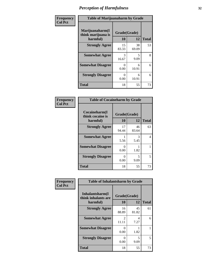| Frequency      | <b>Table of Marijuanaharm by Grade</b>            |                      |             |              |
|----------------|---------------------------------------------------|----------------------|-------------|--------------|
| <b>Col Pct</b> | Marijuanaharm(I<br>think marijuana is<br>harmful) | Grade(Grade)<br>10   | 12          | <b>Total</b> |
|                | <b>Strongly Agree</b>                             | 15<br>83.33          | 38<br>69.09 | 53           |
|                | <b>Somewhat Agree</b>                             | 3<br>16.67           | 5<br>9.09   | 8            |
|                | <b>Somewhat Disagree</b>                          | $\mathbf{0}$<br>0.00 | 6<br>10.91  | 6            |
|                | <b>Strongly Disagree</b>                          | $\mathbf{0}$<br>0.00 | 6<br>10.91  | 6            |
|                | <b>Total</b>                                      | 18                   | 55          | 73           |

| <b>Table of Cocaineharm by Grade</b>          |                           |             |              |  |  |
|-----------------------------------------------|---------------------------|-------------|--------------|--|--|
| Cocaineharm(I<br>think cocaine is<br>harmful) | Grade(Grade)<br>10        | 12          | <b>Total</b> |  |  |
| <b>Strongly Agree</b>                         | 17<br>94.44               | 46<br>83.64 | 63           |  |  |
| <b>Somewhat Agree</b>                         | 5.56                      | 3<br>5.45   | 4            |  |  |
| <b>Somewhat Disagree</b>                      | $\mathbf{\Omega}$<br>0.00 | 1.82        |              |  |  |
| <b>Strongly Disagree</b>                      | 0<br>0.00                 | 5<br>9.09   | 5            |  |  |
| <b>Total</b>                                  | 18                        | 55          | 73           |  |  |

| Frequency      | <b>Table of Inhalantsharm by Grade</b>              |                           |             |              |  |
|----------------|-----------------------------------------------------|---------------------------|-------------|--------------|--|
| <b>Col Pct</b> | Inhalantsharm(I)<br>think inhalants are<br>harmful) | Grade(Grade)<br>10        | 12          | <b>Total</b> |  |
|                | <b>Strongly Agree</b>                               | 16<br>88.89               | 45<br>81.82 | 61           |  |
|                | <b>Somewhat Agree</b>                               | $\mathfrak{D}$<br>11.11   | 4<br>7.27   | 6            |  |
|                | <b>Somewhat Disagree</b>                            | 0<br>0.00                 | 1.82        |              |  |
|                | <b>Strongly Disagree</b>                            | $\mathbf{\Omega}$<br>0.00 | 5<br>9.09   | 5            |  |
|                | <b>Total</b>                                        | 18                        | 55          | 73           |  |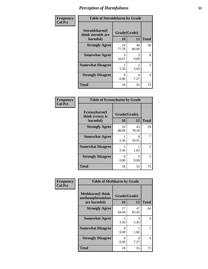| Frequency      | <b>Table of Steroidsharm by Grade</b>            |                    |                        |              |
|----------------|--------------------------------------------------|--------------------|------------------------|--------------|
| <b>Col Pct</b> | Steroidsharm(I<br>think steroids are<br>harmful) | Grade(Grade)<br>10 | 12                     | <b>Total</b> |
|                | <b>Strongly Agree</b>                            | 14<br>77.78        | 44<br>80.00            | 58           |
|                | <b>Somewhat Agree</b>                            | 3<br>16.67         | 5<br>9.09              | 8            |
|                | <b>Somewhat Disagree</b>                         | 5.56               | $\mathfrak{D}$<br>3.64 | 3            |
|                | <b>Strongly Disagree</b>                         | 0<br>0.00          | 4<br>7.27              | 4            |
|                | <b>Total</b>                                     | 18                 | 55                     | 73           |

| <b>Table of Ecstasyharm by Grade</b>          |                    |             |              |  |  |
|-----------------------------------------------|--------------------|-------------|--------------|--|--|
| Ecstasyharm(I<br>think ecstasy is<br>harmful) | Grade(Grade)<br>10 | 12          | <b>Total</b> |  |  |
| <b>Strongly Agree</b>                         | 16<br>88.89        | 43<br>78.18 | 59           |  |  |
| <b>Somewhat Agree</b>                         | 1<br>5.56          | 6<br>10.91  | 7            |  |  |
| <b>Somewhat Disagree</b>                      | 5.56               | 1.82        | 2            |  |  |
| <b>Strongly Disagree</b>                      | 0<br>0.00          | 5<br>9.09   | 5            |  |  |
| <b>Total</b>                                  | 18                 | 55          | 73           |  |  |

| Frequency      | <b>Table of Methharm by Grade</b>                            |                           |             |              |
|----------------|--------------------------------------------------------------|---------------------------|-------------|--------------|
| <b>Col Pct</b> | <b>Methharm</b> (I think<br>methamphetamines<br>are harmful) | Grade(Grade)<br><b>10</b> | 12          | <b>Total</b> |
|                | <b>Strongly Agree</b>                                        | 17<br>94.44               | 47<br>85.45 | 64           |
|                | <b>Somewhat Agree</b>                                        | 5.56                      | 3<br>5.45   | 4            |
|                | <b>Somewhat Disagree</b>                                     | 0<br>0.00                 | 1.82        |              |
|                | <b>Strongly Disagree</b>                                     | $\Omega$<br>0.00          | 4<br>7.27   | 4            |
|                | <b>Total</b>                                                 | 18                        | 55          | 73           |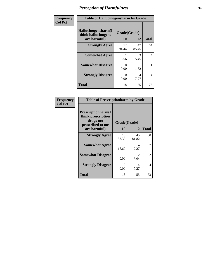| <b>Frequency</b> | <b>Table of Hallucinogensharm by Grade</b>                 |                    |             |                |
|------------------|------------------------------------------------------------|--------------------|-------------|----------------|
| <b>Col Pct</b>   | Hallucinogensharm(I<br>think hallucinogens<br>are harmful) | Grade(Grade)<br>10 | 12          | <b>Total</b>   |
|                  | <b>Strongly Agree</b>                                      | 17<br>94.44        | 47<br>85.45 | 64             |
|                  | <b>Somewhat Agree</b>                                      | 5.56               | 3<br>5.45   | $\overline{4}$ |
|                  | <b>Somewhat Disagree</b>                                   | 0<br>0.00          | 1.82        | 1              |
|                  | <b>Strongly Disagree</b>                                   | 0<br>0.00          | 4<br>7.27   | $\overline{4}$ |
|                  | <b>Total</b>                                               | 18                 | 55          | 73             |

| <b>Table of Prescriptionharm by Grade</b>                                         |              |                       |                |  |
|-----------------------------------------------------------------------------------|--------------|-----------------------|----------------|--|
| <b>Prescriptionharm</b> (I<br>think prescription<br>drugs not<br>prescribed to me | Grade(Grade) |                       |                |  |
| are harmful)                                                                      | 10           | 12                    | <b>Total</b>   |  |
| <b>Strongly Agree</b>                                                             | 15<br>83.33  | 45<br>81.82           | 60             |  |
| <b>Somewhat Agree</b>                                                             | 3<br>16.67   | Δ<br>7.27             | 7              |  |
| <b>Somewhat Disagree</b>                                                          | 0<br>0.00    | $\mathcal{L}$<br>3.64 | $\mathfrak{D}$ |  |
| <b>Strongly Disagree</b>                                                          | 0<br>0.00    | 4<br>7.27             | 4              |  |
| Total                                                                             | 18           | 55                    | 73             |  |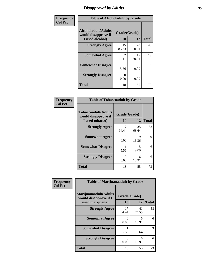# *Disapproval by Adults* **35**

| Frequency      | <b>Table of Alcoholadult by Grade</b>                                 |                         |             |              |
|----------------|-----------------------------------------------------------------------|-------------------------|-------------|--------------|
| <b>Col Pct</b> | <b>Alcoholadult</b> (Adults<br>would disapprove if<br>I used alcohol) | Grade(Grade)<br>10      | 12          | <b>Total</b> |
|                | <b>Strongly Agree</b>                                                 | 15<br>83.33             | 28<br>50.91 | 43           |
|                | <b>Somewhat Agree</b>                                                 | $\mathfrak{D}$<br>11.11 | 17<br>30.91 | 19           |
|                | <b>Somewhat Disagree</b>                                              | 5.56                    | 5<br>9.09   | 6            |
|                | <b>Strongly Disagree</b>                                              | 0<br>0.00               | 5<br>9.09   | 5            |
|                | <b>Total</b>                                                          | 18                      | 55          | 73           |

| <b>Table of Tobaccoadult by Grade</b>                                 |             |                    |              |  |  |
|-----------------------------------------------------------------------|-------------|--------------------|--------------|--|--|
| <b>Tobaccoadult</b> (Adults<br>would disapprove if<br>I used tobacco) | 10          | Grade(Grade)<br>12 | <b>Total</b> |  |  |
| <b>Strongly Agree</b>                                                 | 17<br>94.44 | 35<br>63.64        | 52           |  |  |
| <b>Somewhat Agree</b>                                                 | 0<br>0.00   | 9<br>16.36         | 9            |  |  |
| <b>Somewhat Disagree</b>                                              | 1<br>5.56   | 5<br>9.09          | 6            |  |  |
| <b>Strongly Disagree</b>                                              | 0<br>0.00   | 6<br>10.91         | 6            |  |  |
| <b>Total</b>                                                          | 18          | 55                 | 73           |  |  |

| Frequency      | <b>Table of Marijuanaadult by Grade</b>                           |                           |                        |              |
|----------------|-------------------------------------------------------------------|---------------------------|------------------------|--------------|
| <b>Col Pct</b> | Marijuanaadult(Adults<br>would disapprove if I<br>used marijuana) | Grade(Grade)<br>10        | 12                     | <b>Total</b> |
|                | <b>Strongly Agree</b>                                             | 17<br>94.44               | 41<br>74.55            | 58           |
|                | <b>Somewhat Agree</b>                                             | 0<br>0.00                 | 6<br>10.91             | 6            |
|                | <b>Somewhat Disagree</b>                                          | 5.56                      | $\mathfrak{D}$<br>3.64 | 3            |
|                | <b>Strongly Disagree</b>                                          | $\mathbf{\Omega}$<br>0.00 | 6<br>10.91             | 6            |
|                | <b>Total</b>                                                      | 18                        | 55                     | 73           |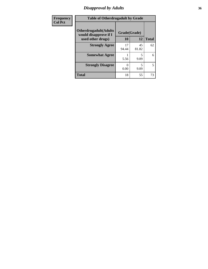# *Disapproval by Adults* **36**

| Frequency      | <b>Table of Otherdrugadult by Grade</b>                                     |                    |             |              |
|----------------|-----------------------------------------------------------------------------|--------------------|-------------|--------------|
| <b>Col Pct</b> | <b>Otherdrugadult</b> (Adults<br>would disapprove if I<br>used other drugs) | Grade(Grade)<br>10 | 12          | <b>Total</b> |
|                | <b>Strongly Agree</b>                                                       | 17<br>94.44        | 45<br>81.82 | 62           |
|                | <b>Somewhat Agree</b>                                                       | 5.56               | 9.09        | 6            |
|                | <b>Strongly Disagree</b>                                                    | 0.00               | 5<br>9.09   | 5            |
|                | <b>Total</b>                                                                | 18                 | 55          | 73           |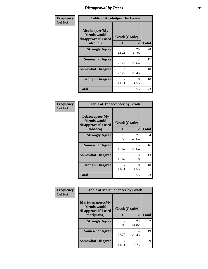# *Disapproval by Peers* **37**

| Frequency      | <b>Table of Alcoholpeer by Grade</b>                    |                         |             |              |  |
|----------------|---------------------------------------------------------|-------------------------|-------------|--------------|--|
| <b>Col Pct</b> | Alcoholpeer(My<br>friends would<br>disapprove if I used | Grade(Grade)            |             |              |  |
|                | alcohol)                                                | 10                      | 12          | <b>Total</b> |  |
|                | <b>Strongly Agree</b>                                   | 8<br>44.44              | 20<br>36.36 | 28           |  |
|                | <b>Somewhat Agree</b>                                   | 4<br>22.22              | 13<br>23.64 | 17           |  |
|                | <b>Somewhat Disagree</b>                                | 4<br>22.22              | 14<br>25.45 | 18           |  |
|                | <b>Strongly Disagree</b>                                | $\mathfrak{D}$<br>11.11 | 8<br>14.55  | 10           |  |
|                | Total                                                   | 18                      | 55          | 73           |  |

| Frequency      | <b>Table of Tobaccopeer by Grade</b>                                |                         |             |              |  |
|----------------|---------------------------------------------------------------------|-------------------------|-------------|--------------|--|
| <b>Col Pct</b> | Tobaccopeer(My<br>friends would<br>disapprove if I used<br>tobacco) | Grade(Grade)<br>10      | 12          | <b>Total</b> |  |
|                | <b>Strongly Agree</b>                                               | 10<br>55.56             | 24<br>43.64 | 34           |  |
|                | <b>Somewhat Agree</b>                                               | 3<br>16.67              | 13<br>23.64 | 16           |  |
|                | <b>Somewhat Disagree</b>                                            | 3<br>16.67              | 10<br>18.18 | 13           |  |
|                | <b>Strongly Disagree</b>                                            | $\mathfrak{D}$<br>11.11 | 8<br>14.55  | 10           |  |
|                | <b>Total</b>                                                        | 18                      | 55          | 73           |  |

| Frequency      | <b>Table of Marijuanapeer by Grade</b>                    |                |             |              |
|----------------|-----------------------------------------------------------|----------------|-------------|--------------|
| <b>Col Pct</b> | Marijuanapeer(My<br>friends would<br>disapprove if I used | Grade(Grade)   |             |              |
|                | marijuana)                                                | 10             | 12          | <b>Total</b> |
|                | <b>Strongly Agree</b>                                     | Q<br>50.00     | 23<br>41.82 | 32           |
|                | <b>Somewhat Agree</b>                                     | 5<br>27.78     | 14<br>25.45 | 19           |
|                | <b>Somewhat Disagree</b>                                  | $\mathfrak{D}$ | 12.73       | $\mathbf Q$  |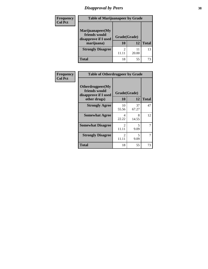# *Disapproval by Peers* **38**

| Frequency<br><b>Col Pct</b> | <b>Table of Marijuanapeer by Grade</b>                                  |                    |             |              |
|-----------------------------|-------------------------------------------------------------------------|--------------------|-------------|--------------|
|                             | Marijuanapeer(My<br>friends would<br>disapprove if I used<br>marijuana) | Grade(Grade)<br>10 | 12          | <b>Total</b> |
|                             | <b>Strongly Disagree</b>                                                | 2                  | 11<br>20.00 | 13           |
|                             | Total                                                                   | 18                 | 55          | 73           |

| Frequency      | <b>Table of Otherdrugpeer by Grade</b>                                    |                                      |             |              |  |
|----------------|---------------------------------------------------------------------------|--------------------------------------|-------------|--------------|--|
| <b>Col Pct</b> | Otherdrugpeer(My<br>friends would<br>disapprove if I used<br>other drugs) | Grade(Grade)<br><b>10</b>            | 12          | <b>Total</b> |  |
|                | <b>Strongly Agree</b>                                                     | 10<br>55.56                          | 37<br>67.27 | 47           |  |
|                | <b>Somewhat Agree</b>                                                     | 4<br>22.22                           | 8<br>14.55  | 12           |  |
|                | <b>Somewhat Disagree</b>                                                  | $\mathcal{D}_{\mathcal{L}}$<br>11.11 | 5<br>9.09   |              |  |
|                | <b>Strongly Disagree</b>                                                  | $\overline{2}$<br>11.11              | 5<br>9.09   | 7            |  |
|                | Total                                                                     | 18                                   | 55          | 73           |  |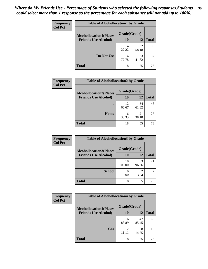| <b>Frequency</b> | <b>Table of Alcohollocation1 by Grade</b> |              |             |              |
|------------------|-------------------------------------------|--------------|-------------|--------------|
| <b>Col Pct</b>   | <b>Alcohollocation1(Places</b>            | Grade(Grade) |             |              |
|                  | <b>Friends Use Alcohol)</b>               | 10           | 12          | <b>Total</b> |
|                  |                                           | 4<br>22.22   | 32<br>58.18 | 36           |
|                  | Do Not Use                                | 14<br>77.78  | 23<br>41.82 | 37           |
|                  | <b>Total</b>                              | 18           | 55          | 73           |

| <b>Frequency</b><br><b>Col Pct</b> | <b>Table of Alcohollocation2 by Grade</b>                     |                    |             |              |
|------------------------------------|---------------------------------------------------------------|--------------------|-------------|--------------|
|                                    | <b>Alcohollocation2(Places</b><br><b>Friends Use Alcohol)</b> | Grade(Grade)<br>10 | 12          | <b>Total</b> |
|                                    |                                                               | 12<br>66.67        | 34<br>61.82 | 46           |
|                                    | Home                                                          | 6<br>33.33         | 21<br>38.18 | 27           |
|                                    | <b>Total</b>                                                  | 18                 | 55          | 73           |

| <b>Frequency</b><br><b>Col Pct</b> | <b>Table of Alcohollocation 3 by Grade</b> |              |                        |                |
|------------------------------------|--------------------------------------------|--------------|------------------------|----------------|
|                                    | <b>Alcohollocation3(Places</b>             | Grade(Grade) |                        |                |
|                                    | <b>Friends Use Alcohol)</b>                | 10           | 12                     | <b>Total</b>   |
|                                    |                                            | 18<br>100.00 | 53<br>96.36            | 71             |
|                                    | <b>School</b>                              | 0.00         | $\overline{2}$<br>3.64 | $\overline{2}$ |
|                                    | <b>Total</b>                               | 18           | 55                     | 73             |

| <b>Frequency</b> | <b>Table of Alcohollocation4 by Grade</b> |              |             |              |  |
|------------------|-------------------------------------------|--------------|-------------|--------------|--|
| <b>Col Pct</b>   | <b>Alcohollocation4(Places</b>            | Grade(Grade) |             |              |  |
|                  | <b>Friends Use Alcohol)</b>               | 10           | 12          | <b>Total</b> |  |
|                  |                                           | 16<br>88.89  | 47<br>85.45 | 63           |  |
|                  | Car                                       | 2            | 8<br>14.55  | 10           |  |
|                  | <b>Total</b>                              | 18           | 55          | 73           |  |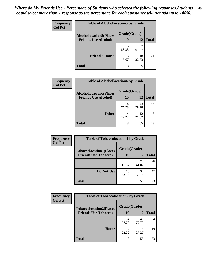| Frequency<br><b>Col Pct</b> | <b>Table of Alcohollocation5 by Grade</b> |              |             |              |
|-----------------------------|-------------------------------------------|--------------|-------------|--------------|
|                             | <b>Alcohollocation5(Places</b>            | Grade(Grade) |             |              |
|                             | <b>Friends Use Alcohol)</b>               | 10           | 12          | <b>Total</b> |
|                             |                                           | 15<br>83.33  | 37<br>67.27 | 52           |
|                             | <b>Friend's House</b>                     | 3<br>16.67   | 18<br>32.73 | 21           |
|                             | <b>Total</b>                              | 18           | 55          | 73           |

| <b>Frequency</b> | <b>Table of Alcohollocation6 by Grade</b> |              |             |              |
|------------------|-------------------------------------------|--------------|-------------|--------------|
| <b>Col Pct</b>   | <b>Alcohollocation6(Places</b>            | Grade(Grade) |             |              |
|                  | <b>Friends Use Alcohol)</b>               | 10           | 12          | <b>Total</b> |
|                  |                                           | 14<br>77.78  | 43<br>78.18 | 57           |
|                  | <b>Other</b>                              | 4<br>22.22   | 12<br>21.82 | 16           |
|                  | <b>Total</b>                              | 18           | 55          | 73           |

| Frequency      | <b>Table of Tobaccolocation1 by Grade</b> |              |             |              |
|----------------|-------------------------------------------|--------------|-------------|--------------|
| <b>Col Pct</b> | <b>Tobaccolocation1(Places</b>            | Grade(Grade) |             |              |
|                | <b>Friends Use Tobacco)</b>               | <b>10</b>    | 12          | <b>Total</b> |
|                |                                           | 3<br>16.67   | 23<br>41.82 | 26           |
|                | Do Not Use                                | 15<br>83.33  | 32<br>58.18 | 47           |
|                | <b>Total</b>                              | 18           | 55          | 73           |

| <b>Frequency</b> | <b>Table of Tobaccolocation2 by Grade</b> |              |             |              |  |
|------------------|-------------------------------------------|--------------|-------------|--------------|--|
| <b>Col Pct</b>   | <b>Tobaccolocation2(Places</b>            | Grade(Grade) |             |              |  |
|                  | <b>Friends Use Tobacco)</b>               | 10           | <b>12</b>   | <b>Total</b> |  |
|                  |                                           | 14<br>77.78  | 40<br>72.73 | 54           |  |
|                  | Home                                      | 22.22        | 15<br>27.27 | 19           |  |
|                  | <b>Total</b>                              | 18           | 55          | 73           |  |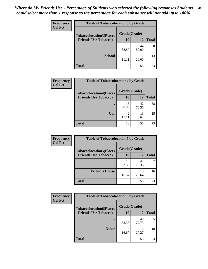| Frequency      | <b>Table of Tobaccolocation 3 by Grade</b> |              |             |              |  |
|----------------|--------------------------------------------|--------------|-------------|--------------|--|
| <b>Col Pct</b> | <b>Tobaccolocation3(Places</b>             | Grade(Grade) |             |              |  |
|                | <b>Friends Use Tobacco)</b>                | 10           | 12          | <b>Total</b> |  |
|                |                                            | 16<br>88.89  | 44<br>80.00 | 60           |  |
|                | <b>School</b>                              | 2<br>11 11   | 11<br>20.00 | 13           |  |
|                | <b>Total</b>                               | 18           | 55          | 73           |  |

| <b>Frequency</b> | <b>Table of Tobaccolocation4 by Grade</b> |                         |             |              |
|------------------|-------------------------------------------|-------------------------|-------------|--------------|
| <b>Col Pct</b>   | <b>Tobaccolocation4(Places</b>            | Grade(Grade)            |             |              |
|                  | <b>Friends Use Tobacco)</b>               | 10                      | 12          | <b>Total</b> |
|                  |                                           | 16<br>88.89             | 42<br>76.36 | 58           |
|                  | Car                                       | $\overline{c}$<br>11.11 | 13<br>23.64 | 15           |
|                  | <b>Total</b>                              | 18                      | 55          | 73           |

| <b>Frequency</b> | <b>Table of Tobaccolocation5 by Grade</b> |              |             |              |
|------------------|-------------------------------------------|--------------|-------------|--------------|
| <b>Col Pct</b>   | <b>Tobaccolocation5(Places</b>            | Grade(Grade) |             |              |
|                  | <b>Friends Use Tobacco)</b>               | 10           | 12          | <b>Total</b> |
|                  |                                           | 15<br>83.33  | 42<br>76.36 | 57           |
|                  | <b>Friend's House</b>                     | 3<br>16.67   | 13<br>23.64 | 16           |
|                  | <b>Total</b>                              | 18           | 55          | 73           |

| Frequency      | <b>Table of Tobaccolocation6 by Grade</b> |              |             |              |  |
|----------------|-------------------------------------------|--------------|-------------|--------------|--|
| <b>Col Pct</b> | <b>Tobaccolocation6(Places</b>            | Grade(Grade) |             |              |  |
|                | <b>Friends Use Tobacco)</b>               | 10           | 12          | <b>Total</b> |  |
|                |                                           | 15<br>83.33  | 40<br>72.73 | 55           |  |
|                | <b>Other</b>                              | 3<br>16.67   | 15<br>27.27 | 18           |  |
|                | <b>Total</b>                              | 18           | 55          | 73           |  |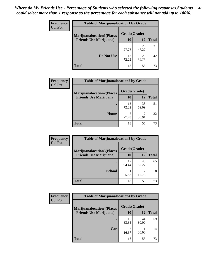| <b>Frequency</b> | <b>Table of Marijuanalocation1 by Grade</b> |              |             |              |
|------------------|---------------------------------------------|--------------|-------------|--------------|
| <b>Col Pct</b>   | <b>Marijuanalocation1(Places</b>            | Grade(Grade) |             |              |
|                  | <b>Friends Use Marijuana</b> )              | 10           | 12          | <b>Total</b> |
|                  |                                             | 27.78        | 26<br>47.27 | 31           |
|                  | Do Not Use                                  | 13<br>72.22  | 29<br>52.73 | 42           |
|                  | Total                                       | 18           | 55          | 73           |

| Frequency      | <b>Table of Marijuanalocation2 by Grade</b>                        |                           |             |              |
|----------------|--------------------------------------------------------------------|---------------------------|-------------|--------------|
| <b>Col Pct</b> | <b>Marijuanalocation2(Places</b><br><b>Friends Use Marijuana</b> ) | Grade(Grade)<br><b>10</b> | 12          | <b>Total</b> |
|                |                                                                    |                           |             |              |
|                |                                                                    | 13<br>72.22               | 38<br>69.09 | 51           |
|                | Home                                                               | 27.78                     | 17<br>30.91 | 22           |
|                | <b>Total</b>                                                       | 18                        | 55          | 73           |

| Frequency<br><b>Col Pct</b> | <b>Table of Marijuanalocation3 by Grade</b> |              |             |       |
|-----------------------------|---------------------------------------------|--------------|-------------|-------|
|                             | <b>Marijuanalocation3</b> (Places           | Grade(Grade) |             |       |
|                             | <b>Friends Use Marijuana</b> )              | 10           | 12          | Total |
|                             |                                             | 17<br>94.44  | 48<br>87.27 | 65    |
|                             | <b>School</b>                               | 5.56         | 12.73       | 8     |
|                             | <b>Total</b>                                | 18           | 55          | 73    |

| <b>Frequency</b> | <b>Table of Marijuanalocation4 by Grade</b> |              |             |              |  |
|------------------|---------------------------------------------|--------------|-------------|--------------|--|
| <b>Col Pct</b>   | <b>Marijuanalocation4(Places</b>            | Grade(Grade) |             |              |  |
|                  | <b>Friends Use Marijuana</b> )              | <b>10</b>    | 12          | <b>Total</b> |  |
|                  |                                             | 15<br>83.33  | 44<br>80.00 | 59           |  |
|                  | Car                                         | 3<br>16.67   | 11<br>20.00 | 14           |  |
|                  | <b>Total</b>                                | 18           | 55          | 73           |  |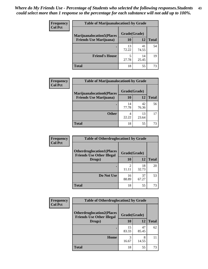| <b>Frequency</b> | <b>Table of Marijuanalocation5 by Grade</b> |              |             |              |
|------------------|---------------------------------------------|--------------|-------------|--------------|
| <b>Col Pct</b>   | <b>Marijuanalocation5</b> (Places           | Grade(Grade) |             |              |
|                  | <b>Friends Use Marijuana</b> )              | 10           | 12          | <b>Total</b> |
|                  |                                             | 13<br>72.22  | 41<br>74.55 | 54           |
|                  | <b>Friend's House</b>                       | 27.78        | 14<br>25.45 | 19           |
|                  | <b>Total</b>                                | 18           | 55          | 73           |

| <b>Frequency</b> | <b>Table of Marijuanalocation6 by Grade</b>                        |                           |             |              |
|------------------|--------------------------------------------------------------------|---------------------------|-------------|--------------|
| <b>Col Pct</b>   | <b>Marijuanalocation6(Places</b><br><b>Friends Use Marijuana</b> ) | Grade(Grade)<br><b>10</b> | 12          | <b>Total</b> |
|                  |                                                                    | 14<br>77.78               | 42<br>76.36 | 56           |
|                  | <b>Other</b>                                                       | 4<br>22.22                | 13<br>23.64 | 17           |
|                  | <b>Total</b>                                                       | 18                        | 55          | 73           |

| <b>Frequency</b> | <b>Table of Otherdruglocation1 by Grade</b>                          |              |             |              |
|------------------|----------------------------------------------------------------------|--------------|-------------|--------------|
| <b>Col Pct</b>   | <b>Otherdruglocation1(Places</b><br><b>Friends Use Other Illegal</b> | Grade(Grade) |             |              |
|                  | Drugs)                                                               | 10           | 12          | <b>Total</b> |
|                  |                                                                      | 11.11        | 18<br>32.73 | 20           |
|                  | Do Not Use                                                           | 16<br>88.89  | 37<br>67.27 | 53           |
|                  | <b>Total</b>                                                         | 18           | 55          | 73           |

| <b>Frequency</b> | <b>Table of Otherdruglocation2 by Grade</b>                          |             |              |              |
|------------------|----------------------------------------------------------------------|-------------|--------------|--------------|
| <b>Col Pct</b>   | <b>Otherdruglocation2(Places</b><br><b>Friends Use Other Illegal</b> |             | Grade(Grade) |              |
|                  | Drugs)                                                               | 10          | 12           | <b>Total</b> |
|                  |                                                                      | 15<br>83.33 | 47<br>85.45  | 62           |
|                  | Home                                                                 | 3<br>16.67  | 8<br>14.55   | 11           |
|                  | <b>Total</b>                                                         | 18          | 55           | 73           |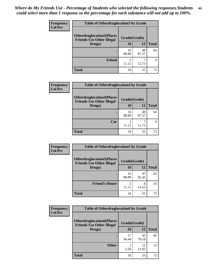| <b>Frequency</b> | <b>Table of Otherdruglocation3 by Grade</b>                          |              |             |              |
|------------------|----------------------------------------------------------------------|--------------|-------------|--------------|
| <b>Col Pct</b>   | <b>Otherdruglocation3(Places</b><br><b>Friends Use Other Illegal</b> | Grade(Grade) |             |              |
|                  | Drugs)                                                               | 10           | 12          | <b>Total</b> |
|                  |                                                                      | 16<br>88.89  | 48<br>87.27 | 64           |
|                  | <b>School</b>                                                        | 2<br>11.11   | 12.73       | q            |
|                  | <b>Total</b>                                                         | 18           | 55          | 73           |

| <b>Frequency</b> | <b>Table of Otherdruglocation4 by Grade</b>                          |              |             |              |
|------------------|----------------------------------------------------------------------|--------------|-------------|--------------|
| <b>Col Pct</b>   | <b>Otherdruglocation4(Places</b><br><b>Friends Use Other Illegal</b> | Grade(Grade) |             |              |
|                  | Drugs)                                                               | 10           | 12          | <b>Total</b> |
|                  |                                                                      | 16<br>88.89  | 48<br>87.27 | 64           |
|                  | Car                                                                  | 11.11        | 12.73       | Q            |
|                  | <b>Total</b>                                                         | 18           | 55          | 73           |

| <b>Frequency</b> | <b>Table of Otherdruglocation5 by Grade</b>                          |                                                                                                                                                                          |             |              |
|------------------|----------------------------------------------------------------------|--------------------------------------------------------------------------------------------------------------------------------------------------------------------------|-------------|--------------|
| <b>Col Pct</b>   | <b>Otherdruglocation5(Places</b><br><b>Friends Use Other Illegal</b> | Grade(Grade)                                                                                                                                                             |             |              |
|                  | Drugs)                                                               | 10                                                                                                                                                                       | 12          | <b>Total</b> |
|                  |                                                                      | 16<br>88.89                                                                                                                                                              | 47<br>85.45 | 63           |
|                  | <b>Friend's House</b>                                                | $\mathcal{D}_{\mathcal{A}}^{\mathcal{A}}(\mathcal{A})=\mathcal{D}_{\mathcal{A}}^{\mathcal{A}}(\mathcal{A})\mathcal{D}_{\mathcal{A}}^{\mathcal{A}}(\mathcal{A})$<br>11.11 | 8<br>14.55  | 10           |
|                  | <b>Total</b>                                                         | 18                                                                                                                                                                       | 55          | 73           |

| <b>Frequency</b> | <b>Table of Otherdruglocation6 by Grade</b>                          |              |             |              |
|------------------|----------------------------------------------------------------------|--------------|-------------|--------------|
| <b>Col Pct</b>   | <b>Otherdruglocation6(Places</b><br><b>Friends Use Other Illegal</b> | Grade(Grade) |             |              |
|                  | Drugs)                                                               | 10           | 12          | <b>Total</b> |
|                  |                                                                      | 17<br>94.44  | 43<br>78.18 | 60           |
|                  | <b>Other</b>                                                         | 5.56         | 12<br>21.82 | 13           |
|                  | <b>Total</b>                                                         | 18           | 55          | 73           |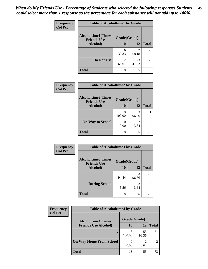| Frequency      | <b>Table of Alcoholtime1 by Grade</b>           |              |             |              |
|----------------|-------------------------------------------------|--------------|-------------|--------------|
| <b>Col Pct</b> | <b>Alcoholtime1(Times</b><br><b>Friends Use</b> | Grade(Grade) |             |              |
|                | Alcohol)                                        | <b>10</b>    | 12          | <b>Total</b> |
|                |                                                 | 6<br>33.33   | 32<br>58.18 | 38           |
|                | Do Not Use                                      | 12<br>66.67  | 23<br>41.82 | 35           |
|                | <b>Total</b>                                    | 18           | 55          | 73           |

| Frequency      | <b>Table of Alcoholtime2 by Grade</b>           |              |             |              |
|----------------|-------------------------------------------------|--------------|-------------|--------------|
| <b>Col Pct</b> | <b>Alcoholtime2(Times</b><br><b>Friends Use</b> | Grade(Grade) |             |              |
|                | Alcohol)                                        | 10           | 12          | <b>Total</b> |
|                |                                                 | 18<br>100.00 | 53<br>96.36 | 71           |
|                | <b>On Way to School</b>                         | 0.00         | 2<br>3.64   | 2            |
|                | <b>Total</b>                                    | 18           | 55          | 73           |

| Frequency      | <b>Table of Alcoholtime3 by Grade</b>           |              |             |              |
|----------------|-------------------------------------------------|--------------|-------------|--------------|
| <b>Col Pct</b> | <b>Alcoholtime3(Times</b><br><b>Friends Use</b> | Grade(Grade) |             |              |
|                | Alcohol)                                        | 10           | 12          | <b>Total</b> |
|                |                                                 | 17<br>94.44  | 53<br>96.36 | 70           |
|                | <b>During School</b>                            | 5.56         | 2<br>3.64   | 3            |
|                | Total                                           | 18           | 55          | 73           |

| <b>Frequency</b><br><b>Col Pct</b> | <b>Table of Alcoholtime4 by Grade</b> |              |             |                |
|------------------------------------|---------------------------------------|--------------|-------------|----------------|
|                                    | <b>Alcoholtime4(Times</b>             | Grade(Grade) |             |                |
|                                    | <b>Friends Use Alcohol)</b>           | 10           | 12          | <b>Total</b>   |
|                                    |                                       | 18<br>100.00 | 53<br>96.36 | 71             |
|                                    | <b>On Way Home From School</b>        | 0.00         | 3.64        | $\mathfrak{D}$ |
|                                    | <b>Total</b>                          | 18           | 55          | 73             |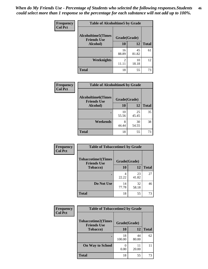*When do My Friends Use - Percentage of Students who selected the following responses.Students could select more than 1 response so the percentage for each substance will not add up to 100%.* **46**

| <b>Frequency</b> | <b>Table of Alcoholtime5 by Grade</b>           |                         |             |              |
|------------------|-------------------------------------------------|-------------------------|-------------|--------------|
| <b>Col Pct</b>   | <b>Alcoholtime5(Times</b><br><b>Friends Use</b> | Grade(Grade)            |             |              |
|                  | Alcohol)                                        | 10                      | 12          | <b>Total</b> |
|                  |                                                 | 16<br>88.89             | 45<br>81.82 | 61           |
|                  | Weeknights                                      | $\mathfrak{D}$<br>11.11 | 10<br>18.18 | 12           |
|                  | <b>Total</b>                                    | 18                      | 55          | 73           |

| Frequency      |                                                 | <b>Table of Alcoholtime6 by Grade</b> |             |              |  |
|----------------|-------------------------------------------------|---------------------------------------|-------------|--------------|--|
| <b>Col Pct</b> | <b>Alcoholtime6(Times</b><br><b>Friends Use</b> | Grade(Grade)                          |             |              |  |
|                | Alcohol)                                        | 10                                    | 12          | <b>Total</b> |  |
|                |                                                 | 10<br>55.56                           | 25<br>45.45 | 35           |  |
|                | Weekends                                        | 8<br>44.44                            | 30<br>54.55 | 38           |  |
|                | <b>Total</b>                                    | 18                                    | 55          | 73           |  |

| Frequency      | <b>Table of Tobaccotime1 by Grade</b>           |              |             |              |
|----------------|-------------------------------------------------|--------------|-------------|--------------|
| <b>Col Pct</b> | <b>Tobaccotime1(Times</b><br><b>Friends Use</b> | Grade(Grade) |             |              |
|                | <b>Tobacco</b> )                                | 10           | 12          | <b>Total</b> |
|                |                                                 | 22.22        | 23<br>41.82 | 27           |
|                | Do Not Use                                      | 14<br>77.78  | 32<br>58.18 | 46           |
|                | <b>Total</b>                                    | 18           | 55          | 73           |

| <b>Frequency</b> | <b>Table of Tobaccotime2 by Grade</b>                           |              |             |              |
|------------------|-----------------------------------------------------------------|--------------|-------------|--------------|
| <b>Col Pct</b>   | <b>Tobaccotime2(Times</b><br>Grade(Grade)<br><b>Friends Use</b> |              |             |              |
|                  | <b>Tobacco</b> )                                                | 10           | 12          | <b>Total</b> |
|                  |                                                                 | 18<br>100.00 | 44<br>80.00 | 62           |
|                  | <b>On Way to School</b>                                         | 0<br>0.00    | 11<br>20.00 | 11           |
|                  | <b>Total</b>                                                    | 18           | 55          | 73           |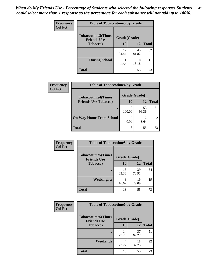*When do My Friends Use - Percentage of Students who selected the following responses.Students could select more than 1 response so the percentage for each substance will not add up to 100%.* **47**

| <b>Frequency</b> | <b>Table of Tobaccotime3 by Grade</b>           |             |              |              |  |
|------------------|-------------------------------------------------|-------------|--------------|--------------|--|
| <b>Col Pct</b>   | <b>Tobaccotime3(Times</b><br><b>Friends Use</b> |             | Grade(Grade) |              |  |
|                  | <b>Tobacco</b> )                                | 10          | 12           | <b>Total</b> |  |
|                  |                                                 | 17<br>94.44 | 45<br>81.82  | 62           |  |
|                  | <b>During School</b>                            | 5.56        | 10<br>18.18  | 11           |  |
|                  | <b>Total</b>                                    | 18          | 55           | 73           |  |

| Frequency<br><b>Col Pct</b> | <b>Table of Tobaccotime4 by Grade</b> |              |             |              |
|-----------------------------|---------------------------------------|--------------|-------------|--------------|
|                             | <b>Tobaccotime4(Times</b>             | Grade(Grade) |             |              |
|                             | <b>Friends Use Tobacco)</b>           | 10           | 12          | <b>Total</b> |
|                             |                                       | 18<br>100.00 | 53<br>96.36 | 71           |
|                             | <b>On Way Home From School</b>        | 0.00         | 3.64        |              |
|                             | <b>Total</b>                          | 18           | 55          | 73           |

| <b>Frequency</b> | <b>Table of Tobaccotime5 by Grade</b>            |              |             |              |
|------------------|--------------------------------------------------|--------------|-------------|--------------|
| <b>Col Pct</b>   | <b>Tobaccotime5</b> (Times<br><b>Friends Use</b> | Grade(Grade) |             |              |
|                  | <b>Tobacco</b> )                                 | 10           | 12          | <b>Total</b> |
|                  |                                                  | 15<br>83.33  | 39<br>70.91 | 54           |
|                  | <b>Weeknights</b>                                | 3<br>16.67   | 16<br>29.09 | 19           |
|                  | <b>Total</b>                                     | 18           | 55          | 73           |

| <b>Frequency</b> | <b>Table of Tobaccotime6 by Grade</b>           |              |             |              |
|------------------|-------------------------------------------------|--------------|-------------|--------------|
| <b>Col Pct</b>   | <b>Tobaccotime6(Times</b><br><b>Friends Use</b> | Grade(Grade) |             |              |
|                  | <b>Tobacco</b> )                                | 10           | 12          | <b>Total</b> |
|                  |                                                 | 14<br>77.78  | 37<br>67.27 | 51           |
|                  | Weekends                                        | 4<br>22.22   | 18<br>32.73 | 22           |
|                  | <b>Total</b>                                    | 18           | 55          | 73           |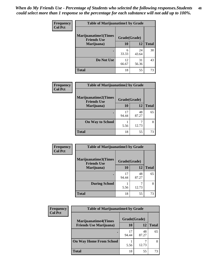| <b>Frequency</b> | <b>Table of Marijuanatime1 by Grade</b>           |              |             |              |
|------------------|---------------------------------------------------|--------------|-------------|--------------|
| <b>Col Pct</b>   | <b>Marijuanatime1(Times</b><br><b>Friends Use</b> | Grade(Grade) |             |              |
|                  | Marijuana)                                        | 10           | 12          | <b>Total</b> |
|                  |                                                   | 6<br>33.33   | 24<br>43.64 | 30           |
|                  | Do Not Use                                        | 12<br>66.67  | 31<br>56.36 | 43           |
|                  | <b>Total</b>                                      | 18           | 55          | 73           |

| <b>Frequency</b> | <b>Table of Marijuanatime2 by Grade</b>           |              |             |              |
|------------------|---------------------------------------------------|--------------|-------------|--------------|
| <b>Col Pct</b>   | <b>Marijuanatime2(Times</b><br><b>Friends Use</b> | Grade(Grade) |             |              |
|                  | Marijuana)                                        | 10           | 12          | <b>Total</b> |
|                  | ٠                                                 | 17<br>94.44  | 48<br>87.27 | 65           |
|                  | <b>On Way to School</b>                           | 5.56         | 12.73       | 8            |
|                  | <b>Total</b>                                      | 18           | 55          | 73           |

| Frequency      | <b>Table of Marijuanatime3 by Grade</b>    |              |             |              |
|----------------|--------------------------------------------|--------------|-------------|--------------|
| <b>Col Pct</b> | Marijuanatime3(Times<br><b>Friends Use</b> | Grade(Grade) |             |              |
|                | Marijuana)                                 | 10           | 12          | <b>Total</b> |
|                |                                            | 17<br>94.44  | 48<br>87.27 | 65           |
|                | <b>During School</b>                       | 5.56         | 12.73       | 8            |
|                | <b>Total</b>                               | 18           | 55          | 73           |

| <b>Frequency</b> | <b>Table of Marijuanatime4 by Grade</b> |              |             |              |
|------------------|-----------------------------------------|--------------|-------------|--------------|
| <b>Col Pct</b>   | <b>Marijuanatime4(Times</b>             | Grade(Grade) |             |              |
|                  | <b>Friends Use Marijuana</b> )          | 10           | 12          | <b>Total</b> |
|                  |                                         | 17<br>94.44  | 48<br>87.27 | 65           |
|                  | <b>On Way Home From School</b>          | 5.56         | 12.73       | 8            |
|                  | <b>Total</b>                            | 18           | 55          | 73           |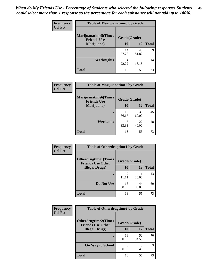| <b>Frequency</b> | <b>Table of Marijuanatime5 by Grade</b>            |              |             |              |
|------------------|----------------------------------------------------|--------------|-------------|--------------|
| <b>Col Pct</b>   | <b>Marijuanatime5</b> (Times<br><b>Friends Use</b> | Grade(Grade) |             |              |
|                  | Marijuana)                                         | 10           | 12          | <b>Total</b> |
|                  |                                                    | 14<br>77.78  | 45<br>81.82 | 59           |
|                  | <b>Weeknights</b>                                  | 4<br>22.22   | 10<br>18.18 | 14           |
|                  | <b>Total</b>                                       | 18           | 55          | 73           |

| Frequency      | <b>Table of Marijuanatime6 by Grade</b>    |              |             |              |
|----------------|--------------------------------------------|--------------|-------------|--------------|
| <b>Col Pct</b> | Marijuanatime6(Times<br><b>Friends Use</b> | Grade(Grade) |             |              |
|                | Marijuana)                                 | 10           | 12          | <b>Total</b> |
|                |                                            | 12<br>66.67  | 33<br>60.00 | 45           |
|                | Weekends                                   | 6<br>33.33   | 22<br>40.00 | 28           |
|                | <b>Total</b>                               | 18           | 55          | 73           |

| <b>Frequency</b> | <b>Table of Otherdrugtime1 by Grade</b>                 |              |             |              |
|------------------|---------------------------------------------------------|--------------|-------------|--------------|
| <b>Col Pct</b>   | <b>Otherdrugtime1(Times</b><br><b>Friends Use Other</b> | Grade(Grade) |             |              |
|                  | <b>Illegal Drugs</b> )                                  | 10           | 12          | <b>Total</b> |
|                  |                                                         | 2<br>11.11   | 11<br>20.00 | 13           |
|                  | Do Not Use                                              | 16<br>88.89  | 44<br>80.00 | 60           |
|                  | Total                                                   | 18           | 55          | 73           |

| <b>Frequency</b> | <b>Table of Otherdrugtime2 by Grade</b>                 |              |             |              |  |
|------------------|---------------------------------------------------------|--------------|-------------|--------------|--|
| <b>Col Pct</b>   | <b>Otherdrugtime2(Times</b><br><b>Friends Use Other</b> | Grade(Grade) |             |              |  |
|                  | <b>Illegal Drugs</b> )                                  |              | 12          | <b>Total</b> |  |
|                  |                                                         | 18<br>100.00 | 52<br>94.55 | 70           |  |
|                  | <b>On Way to School</b>                                 | 0.00         | 5.45        | 3            |  |
|                  | <b>Total</b>                                            | 18           | 55          | 73           |  |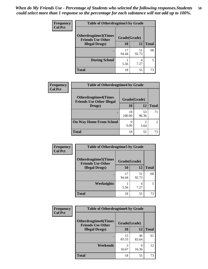| <b>Frequency</b> | <b>Table of Otherdrugtime3 by Grade</b>          |              |             |              |
|------------------|--------------------------------------------------|--------------|-------------|--------------|
| <b>Col Pct</b>   | Otherdrugtime3(Times<br><b>Friends Use Other</b> | Grade(Grade) |             |              |
|                  | <b>Illegal Drugs</b> )                           | 10           | 12          | <b>Total</b> |
|                  |                                                  | 17<br>94.44  | 51<br>92.73 | 68           |
|                  | <b>During School</b>                             | 5.56         | 4<br>7.27   | 5            |
|                  | Total                                            | 18           | 55          | 73           |

| Frequency<br><b>Col Pct</b> | <b>Table of Otherdrugtime4 by Grade</b>                         |              |             |                |  |
|-----------------------------|-----------------------------------------------------------------|--------------|-------------|----------------|--|
|                             | <b>Otherdrugtime4(Times</b><br><b>Friends Use Other Illegal</b> | Grade(Grade) |             |                |  |
|                             | Drugs)                                                          | 10           | 12          | <b>Total</b>   |  |
|                             | ٠                                                               | 18<br>100.00 | 53<br>96.36 | 71             |  |
|                             | <b>On Way Home From School</b>                                  | 0.00         | ာ<br>3.64   | $\mathfrak{D}$ |  |
|                             | <b>Total</b>                                                    | 18           | 55          | 73             |  |

| <b>Frequency</b> | <b>Table of Otherdrugtime5 by Grade</b>                  |              |             |              |  |
|------------------|----------------------------------------------------------|--------------|-------------|--------------|--|
| <b>Col Pct</b>   | <b>Otherdrugtime5</b> (Times<br><b>Friends Use Other</b> | Grade(Grade) |             |              |  |
|                  | <b>Illegal Drugs</b> )                                   | 10           | 12          | <b>Total</b> |  |
|                  |                                                          | 17<br>94.44  | 51<br>92.73 | 68           |  |
|                  | Weeknights                                               | 5.56         | 4<br>7.27   | 5            |  |
|                  | Total                                                    | 18           | 55          | 73           |  |

| <b>Frequency</b> | <b>Table of Otherdrugtime6 by Grade</b>                 |              |             |              |  |
|------------------|---------------------------------------------------------|--------------|-------------|--------------|--|
| <b>Col Pct</b>   | <b>Otherdrugtime6(Times</b><br><b>Friends Use Other</b> | Grade(Grade) |             |              |  |
|                  | <b>Illegal Drugs</b> )                                  | 10           | 12          | <b>Total</b> |  |
|                  |                                                         | 15<br>83.33  | 46<br>83.64 | 61           |  |
|                  | Weekends                                                | 3<br>16.67   | 9<br>16.36  | 12           |  |
|                  | <b>Total</b>                                            | 18           | 55          | 73           |  |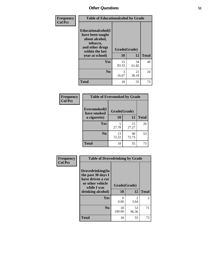| Frequency      | <b>Table of Educationalcohol by Grade</b>                                                                  |              |             |                                |
|----------------|------------------------------------------------------------------------------------------------------------|--------------|-------------|--------------------------------|
| <b>Col Pct</b> | Educationalcohol(I<br>have been taught<br>about alcohol,<br>tobacco,<br>and other drugs<br>within the last | Grade(Grade) |             |                                |
|                | year at school)                                                                                            | 10           | 12          | <b>Total</b><br>49<br>24<br>73 |
|                | Yes                                                                                                        | 15<br>83.33  | 34<br>61.82 |                                |
|                | N <sub>0</sub>                                                                                             | 3<br>16.67   | 21<br>38.18 |                                |
|                | <b>Total</b>                                                                                               | 18           | 55          |                                |

| Frequency      | <b>Table of Eversmoked by Grade</b> |              |             |              |  |
|----------------|-------------------------------------|--------------|-------------|--------------|--|
| <b>Col Pct</b> | Eversmoked(I<br>have smoked         | Grade(Grade) |             |              |  |
|                | a cigarette)                        | 10<br>12     |             | <b>Total</b> |  |
|                | Yes                                 | 5<br>27.78   | 15<br>27.27 | 20           |  |
|                | N <sub>0</sub>                      | 13<br>72.22  | 40<br>72.73 | 53           |  |
|                | <b>Total</b>                        | 18           | 55          | 73           |  |

| Frequency<br><b>Col Pct</b> | <b>Table of Drovedrinking by Grade</b>                                                         |              |             |              |  |
|-----------------------------|------------------------------------------------------------------------------------------------|--------------|-------------|--------------|--|
|                             | Drovedrinking(In<br>the past 30 days I<br>have driven a car<br>or other vehicle<br>while I was | Grade(Grade) |             |              |  |
|                             | drinking alcohol)                                                                              | 10           | 12          | <b>Total</b> |  |
|                             | Yes                                                                                            | 0            | 2           | 2            |  |
|                             |                                                                                                | 0.00         | 3.64        |              |  |
|                             | N <sub>0</sub>                                                                                 | 18<br>100.00 | 53<br>96.36 | 71           |  |
|                             | <b>Total</b>                                                                                   | 18           | 55          | 73           |  |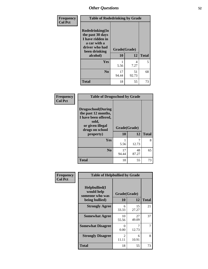| Frequency      | <b>Table of Rodedrinking by Grade</b>                                                                      |              |             |              |  |
|----------------|------------------------------------------------------------------------------------------------------------|--------------|-------------|--------------|--|
| <b>Col Pct</b> | Rodedrinking(In<br>the past 30 days<br>I have ridden in<br>a car with a<br>driver who had<br>been drinking | Grade(Grade) |             |              |  |
|                | alcohol)                                                                                                   | 10           | 12          | <b>Total</b> |  |
|                | <b>Yes</b>                                                                                                 | 5.56         | 4<br>7.27   | 5            |  |
|                | N <sub>0</sub>                                                                                             | 17<br>94.44  | 51<br>92.73 | 68           |  |
|                | <b>Total</b>                                                                                               | 18           | 55          | 73           |  |

#### **Frequency Col Pct**

| <b>Table of Drugsschool by Grade</b>                                                                                      |              |             |              |  |
|---------------------------------------------------------------------------------------------------------------------------|--------------|-------------|--------------|--|
| <b>Drugsschool</b> (During<br>the past 12 months,<br>I have been offered,<br>sold,<br>or given illegal<br>drugs on school | Grade(Grade) |             |              |  |
| property)                                                                                                                 | 10           | 12          | <b>Total</b> |  |
| Yes                                                                                                                       | 5.56         | 12.73       | 8            |  |
| N <sub>0</sub>                                                                                                            | 17<br>94.44  | 48<br>87.27 | 65           |  |
| <b>Total</b>                                                                                                              | 18           | 55          | 73           |  |

| Frequency      | <b>Table of Helpbullied by Grade</b>           |                         |             |              |  |
|----------------|------------------------------------------------|-------------------------|-------------|--------------|--|
| <b>Col Pct</b> | Helpbullied(I<br>would help<br>someone who was | Grade(Grade)            |             |              |  |
|                | being bullied)                                 | 10                      | 12          | <b>Total</b> |  |
|                | <b>Strongly Agree</b>                          | 6<br>33.33              | 15<br>27.27 | 21           |  |
|                | <b>Somewhat Agree</b>                          | 10<br>55.56             | 27<br>49.09 | 37           |  |
|                | <b>Somewhat Disagree</b>                       | 0<br>0.00               | 7<br>12.73  |              |  |
|                | <b>Strongly Disagree</b>                       | $\mathfrak{D}$<br>11.11 | 6<br>10.91  | 8            |  |
|                | <b>Total</b>                                   | 18                      | 55          | 73           |  |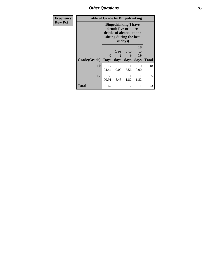*Other Questions* **53**

| <b>Frequency</b> |              | <b>Table of Grade by Bingedrinking</b> |                                                                                                                       |                              |                                           |              |
|------------------|--------------|----------------------------------------|-----------------------------------------------------------------------------------------------------------------------|------------------------------|-------------------------------------------|--------------|
| <b>Row Pct</b>   |              |                                        | <b>Bingedrinking</b> (I have<br>drunk five or more<br>drinks of alcohol at one<br>sitting during the last<br>30 days) |                              |                                           |              |
|                  | Grade(Grade) | 0<br><b>Days</b>                       | 1 or<br>2<br>days                                                                                                     | 6 <sub>to</sub><br>9<br>days | <b>10</b><br>t <sub>0</sub><br>19<br>days | <b>Total</b> |
|                  | 10           | 17<br>94.44                            | 0<br>0.00                                                                                                             | 5.56                         | 0<br>0.00                                 | 18           |
|                  | 12           | 50<br>90.91                            | 3<br>5.45                                                                                                             | 1.82                         | 1.82                                      | 55           |
|                  | <b>Total</b> | 67                                     | 3                                                                                                                     | 2                            |                                           | 73           |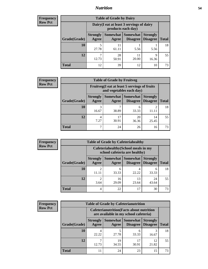## *Nutrition* **54**

| <b>Frequency</b> |
|------------------|
| Row Pct          |

| <b>Table of Grade by Dairy</b> |                          |                                                                 |                                    |                                    |              |  |
|--------------------------------|--------------------------|-----------------------------------------------------------------|------------------------------------|------------------------------------|--------------|--|
|                                |                          | Dairy (I eat at least 3 servings of dairy<br>products each day) |                                    |                                    |              |  |
| Grade(Grade)                   | <b>Strongly</b><br>Agree | Somewhat  <br>Agree                                             | <b>Somewhat</b><br><b>Disagree</b> | <b>Strongly</b><br><b>Disagree</b> | <b>Total</b> |  |
| 10                             | 5<br>27.78               | 11<br>61.11                                                     | 5.56                               | 5.56                               | 18           |  |
| 12                             | ⇁<br>12.73               | 28<br>50.91                                                     | 11<br>20.00                        | Q<br>16.36                         | 55           |  |
| <b>Total</b>                   | 12                       | 39                                                              | 12                                 | 10                                 | 73           |  |

| Frequency      |  |
|----------------|--|
| <b>Row Pct</b> |  |

| $c_{\mathbf{V}}$ | <b>Table of Grade by Fruitveg</b> |                          |                                                                          |                                                   |                 |              |  |
|------------------|-----------------------------------|--------------------------|--------------------------------------------------------------------------|---------------------------------------------------|-----------------|--------------|--|
|                  |                                   |                          | Fruitveg(I eat at least 5 servings of fruits<br>and vegetables each day) |                                                   |                 |              |  |
|                  | Grade(Grade)                      | <b>Strongly</b><br>Agree | Agree                                                                    | <b>Somewhat   Somewhat</b><br>Disagree   Disagree | <b>Strongly</b> | <b>Total</b> |  |
|                  | 10                                | 3<br>16.67               | 38.89                                                                    | 33.33                                             | 11.11           | 18           |  |
|                  | 12                                | 4<br>7.27                | 17<br>30.91                                                              | 20<br>36.36                                       | 14<br>25.45     | 55           |  |
|                  | Total                             | 7                        | 24                                                                       | 26                                                | 16              | 73           |  |

| Frequency      | <b>Table of Grade by Cafeteriahealthy</b> |                                                                       |                     |                                    |                                    |              |  |
|----------------|-------------------------------------------|-----------------------------------------------------------------------|---------------------|------------------------------------|------------------------------------|--------------|--|
| <b>Row Pct</b> |                                           | Cafeteriahealthy (School meals in my<br>school cafeteria are healthy) |                     |                                    |                                    |              |  |
|                | Grade(Grade)                              | <b>Strongly</b><br>Agree                                              | Somewhat  <br>Agree | <b>Somewhat</b><br><b>Disagree</b> | <b>Strongly</b><br><b>Disagree</b> | <b>Total</b> |  |
|                | 10                                        | 11.11                                                                 | 6<br>33.33          | 22.22                              | h<br>33.33                         | 18           |  |
|                | 12                                        | ∍<br>3.64                                                             | 16<br>29.09         | 13<br>23.64                        | 24<br>43.64                        | 55           |  |
|                | <b>Total</b>                              | 4                                                                     | 22                  | 17                                 | 30                                 | 73           |  |

| <b>Frequency</b> |
|------------------|
| <b>Row Pct</b>   |

Н

| <b>Table of Grade by Cafeterianutrition</b> |                          |                                                                                           |                                               |                                    |              |  |  |
|---------------------------------------------|--------------------------|-------------------------------------------------------------------------------------------|-----------------------------------------------|------------------------------------|--------------|--|--|
|                                             |                          | <b>Cafeterianutrition</b> (Facts about nutrition<br>are available in my school cafeteria) |                                               |                                    |              |  |  |
| Grade(Grade)                                | <b>Strongly</b><br>Agree | Agree                                                                                     | <b>Somewhat   Somewhat</b><br><b>Disagree</b> | <b>Strongly</b><br><b>Disagree</b> | <b>Total</b> |  |  |
| 10                                          | 4<br>22.22               | 27.78                                                                                     | 6<br>33.33                                    | 16.67                              | 18           |  |  |
| 12                                          | π<br>12.73               | 19<br>34.55                                                                               | 17<br>30.91                                   | 12<br>21.82                        | 55           |  |  |
| <b>Total</b>                                | 11                       | 24                                                                                        | 23                                            | 15                                 | 73           |  |  |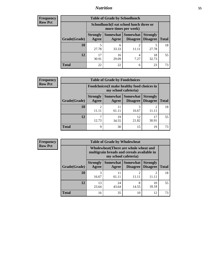## *Nutrition* **55**

| <b>Frequency</b> |
|------------------|
| Row Pct          |

| <b>Table of Grade by Schoollunch</b> |                          |                                                                 |                                   |                                    |              |  |  |
|--------------------------------------|--------------------------|-----------------------------------------------------------------|-----------------------------------|------------------------------------|--------------|--|--|
|                                      |                          | Schoollunch(I eat school lunch three or<br>more times per week) |                                   |                                    |              |  |  |
| Grade(Grade)                         | <b>Strongly</b><br>Agree | Agree                                                           | Somewhat   Somewhat  <br>Disagree | <b>Strongly</b><br><b>Disagree</b> | <b>Total</b> |  |  |
| 10                                   | 5<br>27.78               | 6<br>33.33                                                      | $\overline{2}$                    | 27.78                              | 18           |  |  |
| 12                                   | 17<br>30.91              | 16<br>29.09                                                     | 4<br>7.27                         | 18<br>32.73                        | 55           |  |  |
| <b>Total</b>                         | 22                       | 22                                                              | 6                                 | 23                                 | 73           |  |  |

| <b>Frequency</b> |  |
|------------------|--|
| <b>Row Pct</b>   |  |

| <b>Table of Grade by Foodchoices</b>                                |                          |                     |                             |                                    |              |  |
|---------------------------------------------------------------------|--------------------------|---------------------|-----------------------------|------------------------------------|--------------|--|
| Foodchoices (I make healthy food choices in<br>my school cafeteria) |                          |                     |                             |                                    |              |  |
| Grade(Grade)                                                        | <b>Strongly</b><br>Agree | Somewhat  <br>Agree | <b>Somewhat</b><br>Disagree | <b>Strongly</b><br><b>Disagree</b> | <b>Total</b> |  |
| 10                                                                  | ∍<br>11.11               | 11<br>61.11         | 16.67                       |                                    | 18           |  |
| 12                                                                  | 12.73                    | 19<br>34.55         | 12<br>21.82                 | 30.91                              | 55           |  |
| <b>Total</b>                                                        | Q                        | 30                  | 15                          | 19                                 | 73           |  |

| <b>Frequency</b><br>Row Pct |  |
|-----------------------------|--|
|                             |  |

| V | <b>Table of Grade by Wholewheat</b> |                                                                                                             |                     |                             |                                    |              |
|---|-------------------------------------|-------------------------------------------------------------------------------------------------------------|---------------------|-----------------------------|------------------------------------|--------------|
|   |                                     | Wholewheat (There are whole wheat and<br>multigrain breads and cereals available in<br>my school cafeteria) |                     |                             |                                    |              |
|   | Grade(Grade)                        | <b>Strongly</b><br>Agree                                                                                    | Somewhat  <br>Agree | <b>Somewhat</b><br>Disagree | <b>Strongly</b><br><b>Disagree</b> | <b>Total</b> |
|   | 10                                  | 16.67                                                                                                       | 11<br>61.11         | 11.11                       |                                    | 18           |
|   | 12                                  | 13<br>23.64                                                                                                 | 24<br>43.64         | 8<br>14.55                  | 10<br>18.18                        | 55           |
|   | <b>Total</b>                        | 16                                                                                                          | 35                  | 10                          | 12                                 | 73           |

٦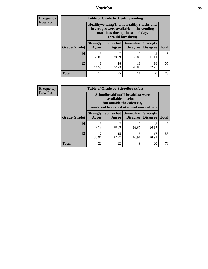## *Nutrition* **56**

**Frequency Row Pct**

| <b>Table of Grade by Healthyvending</b> |                                                                                                                                               |                          |                                    |                                    |              |  |
|-----------------------------------------|-----------------------------------------------------------------------------------------------------------------------------------------------|--------------------------|------------------------------------|------------------------------------|--------------|--|
|                                         | Healthyvending (If only healthy snacks and<br>beverages were available in the vending<br>machines during the school day,<br>I would buy them) |                          |                                    |                                    |              |  |
| Grade(Grade)                            | <b>Strongly</b><br>Agree                                                                                                                      | <b>Somewhat</b><br>Agree | <b>Somewhat</b><br><b>Disagree</b> | <b>Strongly</b><br><b>Disagree</b> | <b>Total</b> |  |
| 10                                      | 9<br>50.00                                                                                                                                    | 38.89                    | 0<br>0.00                          | $\mathfrak{D}$<br>11.11            | 18           |  |
| 12                                      | 8<br>14.55                                                                                                                                    | 18<br>32.73              | 11<br>20.00                        | 18<br>32.73                        | 55           |  |
| <b>Total</b>                            | 17                                                                                                                                            | 25                       | 11                                 | 20                                 | 73           |  |

**Frequency Row Pct**

| <b>Table of Grade by Schoolbreakfast</b> |                                                                                                                                        |             |                                 |                                    |              |  |
|------------------------------------------|----------------------------------------------------------------------------------------------------------------------------------------|-------------|---------------------------------|------------------------------------|--------------|--|
|                                          | Schoolbreakfast(If breakfast were<br>available at school,<br>but outside the cafeteria,<br>I would eat breakfast at school more often) |             |                                 |                                    |              |  |
| Grade(Grade)                             | <b>Strongly</b><br>Agree                                                                                                               | Agree       | Somewhat   Somewhat<br>Disagree | <b>Strongly</b><br><b>Disagree</b> | <b>Total</b> |  |
| <b>10</b>                                | 5<br>27.78                                                                                                                             | 38.89       | 3<br>16.67                      | 3<br>16.67                         | 18           |  |
| 12                                       | 17<br>30.91                                                                                                                            | 15<br>27.27 | 6<br>10.91                      | 17<br>30.91                        | 55           |  |
| <b>Total</b>                             | 22                                                                                                                                     | 22          | 9                               | 20                                 | 73           |  |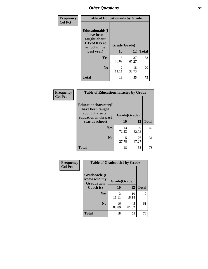| Frequency<br><b>Col Pct</b> | <b>Table of Educationaids by Grade</b>                                                                    |                         |             |              |
|-----------------------------|-----------------------------------------------------------------------------------------------------------|-------------------------|-------------|--------------|
|                             | <b>Educationaids</b> (I<br>have been<br>taught about<br><b>HIV/AIDS</b> at<br>school in the<br>past year) | Grade(Grade)<br>10      | 12          | <b>Total</b> |
|                             | Yes                                                                                                       | 16<br>88.89             | 37<br>67.27 | 53           |
|                             | N <sub>0</sub>                                                                                            | $\mathfrak{D}$<br>11.11 | 18<br>32.73 | 20           |
|                             | <b>Total</b>                                                                                              | 18                      | 55          | 73           |

| Frequency      | <b>Table of Educationcharacter by Grade</b>                         |              |             |              |
|----------------|---------------------------------------------------------------------|--------------|-------------|--------------|
| <b>Col Pct</b> | <b>Educationcharacter(I)</b><br>have been taught<br>about character | Grade(Grade) |             |              |
|                | education in the past<br>year at school)                            | 10           | 12          | <b>Total</b> |
|                | Yes                                                                 | 13<br>72.22  | 29<br>52.73 | 42           |
|                | N <sub>0</sub>                                                      | 5<br>27.78   | 26<br>47.27 | 31           |
|                | <b>Total</b>                                                        | 18           | 55          | 73           |

| Frequency      | <b>Table of Gradcoach1 by Grade</b>              |                         |             |              |
|----------------|--------------------------------------------------|-------------------------|-------------|--------------|
| <b>Col Pct</b> | Gradcoach1(I<br>know who my<br><b>Graduation</b> | Grade(Grade)            |             |              |
|                | Coach is)                                        | 10                      | 12          | <b>Total</b> |
|                | <b>Yes</b>                                       | $\overline{c}$<br>11.11 | 10<br>18.18 | 12           |
|                | N <sub>0</sub>                                   | 16<br>88.89             | 45<br>81.82 | 61           |
|                | <b>Total</b>                                     | 18                      | 55          | 73           |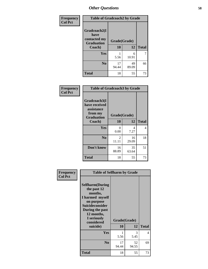| Frequency      | <b>Table of Gradcoach2 by Grade</b> |              |             |              |
|----------------|-------------------------------------|--------------|-------------|--------------|
| <b>Col Pct</b> |                                     |              |             |              |
|                | Gradcoach2(I<br>have                |              |             |              |
|                | contacted my<br><b>Graduation</b>   | Grade(Grade) |             |              |
|                | Coach)                              | 10           | 12          | <b>Total</b> |
|                | Yes                                 | 5.56         | 6<br>10.91  |              |
|                | N <sub>0</sub>                      | 17<br>94.44  | 49<br>89.09 | 66           |
|                | <b>Total</b>                        | 18           | 55          | 73           |

| Frequency<br><b>Col Pct</b> | <b>Table of Gradcoach3 by Grade</b>                    |                         |             |              |
|-----------------------------|--------------------------------------------------------|-------------------------|-------------|--------------|
|                             | Gradcoach3(I<br>have received<br>assistance<br>from my | Grade(Grade)            |             |              |
|                             | <b>Graduation</b><br>Coach)                            | 10                      | 12          | <b>Total</b> |
|                             | Yes                                                    | 0<br>0.00               | 4<br>7.27   | 4            |
|                             | N <sub>0</sub>                                         | $\overline{c}$<br>11.11 | 16<br>29.09 | 18           |
|                             | Don't know                                             | 16<br>88.89             | 35<br>63.64 | 51           |
|                             | <b>Total</b>                                           | 18                      | 55          | 73           |

| Frequency      | <b>Table of Selfharm by Grade</b>                                                                                                                                               |                    |             |              |
|----------------|---------------------------------------------------------------------------------------------------------------------------------------------------------------------------------|--------------------|-------------|--------------|
| <b>Col Pct</b> | <b>Selfharm</b> (During<br>the past 12<br>months,<br>I harmed myself<br>on purpose<br>Suicideconsider<br>During the past<br>12 months,<br>I seriously<br>considered<br>suicide) | Grade(Grade)<br>10 | 12          | <b>Total</b> |
|                | Yes                                                                                                                                                                             | 5.56               | 3<br>5.45   | 4            |
|                | N <sub>0</sub>                                                                                                                                                                  | 17<br>94.44        | 52<br>94.55 | 69           |
|                | <b>Total</b>                                                                                                                                                                    | 18                 | 55          | 73           |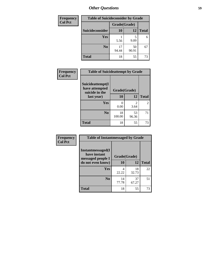| <b>Frequency</b> | <b>Table of Suicideconsider by Grade</b> |              |             |              |
|------------------|------------------------------------------|--------------|-------------|--------------|
| <b>Col Pct</b>   |                                          | Grade(Grade) |             |              |
|                  | Suicideconsider                          | <b>10</b>    | 12          | <b>Total</b> |
|                  | <b>Yes</b>                               | 5.56         | 9.09        | 6            |
|                  | N <sub>0</sub>                           | 17<br>94.44  | 50<br>90.91 | 67           |
|                  | <b>Total</b>                             | 18           | 55          | 73           |

| Frequency      | <b>Table of Suicideattempt by Grade</b>              |              |                                                                                                                                                                         |                |
|----------------|------------------------------------------------------|--------------|-------------------------------------------------------------------------------------------------------------------------------------------------------------------------|----------------|
| <b>Col Pct</b> | Suicideattempt(I<br>have attempted<br>suicide in the | Grade(Grade) |                                                                                                                                                                         |                |
|                | last year)                                           | 10           | 12                                                                                                                                                                      | <b>Total</b>   |
|                | Yes                                                  | 0<br>0.00    | $\mathcal{D}_{\mathcal{A}}^{\mathcal{A}}(\mathcal{A})=\mathcal{D}_{\mathcal{A}}^{\mathcal{A}}(\mathcal{A})\mathcal{D}_{\mathcal{A}}^{\mathcal{A}}(\mathcal{A})$<br>3.64 | $\overline{2}$ |
|                | $\bf No$                                             | 18<br>100.00 | 53<br>96.36                                                                                                                                                             | 71             |
|                | <b>Total</b>                                         | 18           | 55                                                                                                                                                                      | 73             |

| Frequency      | <b>Table of Instantmessaged by Grade</b>               |              |             |              |  |
|----------------|--------------------------------------------------------|--------------|-------------|--------------|--|
| <b>Col Pct</b> | Instantmessaged(I<br>have instant<br>messaged people I | Grade(Grade) |             |              |  |
|                | do not even know)                                      | 10           | 12          | <b>Total</b> |  |
|                | Yes                                                    | 4<br>22.22   | 18<br>32.73 | 22           |  |
|                | N <sub>0</sub>                                         | 14<br>77.78  | 37<br>67.27 | 51           |  |
|                | <b>Total</b>                                           | 18           | 55          | 73           |  |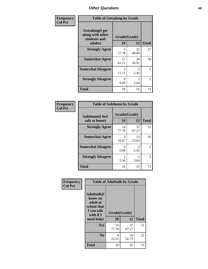| Frequency      | <b>Table of Getsalong by Grade</b>                  |                         |                        |              |  |  |  |
|----------------|-----------------------------------------------------|-------------------------|------------------------|--------------|--|--|--|
| <b>Col Pct</b> | Getsalong(I get<br>along with other<br>students and | Grade(Grade)            |                        |              |  |  |  |
|                | adults)                                             | 10                      | 12                     | <b>Total</b> |  |  |  |
|                | <b>Strongly Agree</b>                               | 5<br>27.78              | 22<br>40.00            | 27           |  |  |  |
|                | <b>Somewhat Agree</b>                               | 11<br>61.11             | 28<br>50.91            | 39           |  |  |  |
|                | <b>Somewhat Disagree</b>                            | $\mathfrak{D}$<br>11.11 | 3<br>5.45              | 5            |  |  |  |
|                | <b>Strongly Disagree</b>                            | 0<br>0.00               | $\mathfrak{D}$<br>3.64 | 2            |  |  |  |
|                | <b>Total</b>                                        | 18                      | 55                     | 73           |  |  |  |

| Frequency      | <b>Table of Safehome by Grade</b> |                    |                        |              |  |  |  |  |
|----------------|-----------------------------------|--------------------|------------------------|--------------|--|--|--|--|
| <b>Col Pct</b> | Safehome(I feel<br>safe at home)  | Grade(Grade)<br>10 | 12                     | <b>Total</b> |  |  |  |  |
|                | <b>Strongly Agree</b>             | 14<br>77.78        | 37<br>67.27            | 51           |  |  |  |  |
|                | <b>Somewhat Agree</b>             | 3<br>16.67         | 13<br>23.64            | 16           |  |  |  |  |
|                | <b>Somewhat Disagree</b>          | 0.00               | 3<br>5.45              | 3            |  |  |  |  |
|                | <b>Strongly Disagree</b>          | 5.56               | $\mathfrak{D}$<br>3.64 | 3            |  |  |  |  |
|                | <b>Total</b>                      | 18                 | 55                     | 73           |  |  |  |  |

| Frequency      | <b>Table of Adulttalk by Grade</b>                                                                  |                    |             |              |  |  |  |
|----------------|-----------------------------------------------------------------------------------------------------|--------------------|-------------|--------------|--|--|--|
| <b>Col Pct</b> | <b>Adulttalk(I</b><br>know an<br>adult at<br>school that<br>I can talk<br>with if $I$<br>need help) | Grade(Grade)<br>10 | 12          | <b>Total</b> |  |  |  |
|                |                                                                                                     |                    |             |              |  |  |  |
|                | <b>Yes</b>                                                                                          | 14<br>77.78        | 37<br>67.27 | 51           |  |  |  |
|                | N <sub>0</sub>                                                                                      | 4<br>22.22         | 18<br>32.73 | 22           |  |  |  |
|                | <b>Total</b>                                                                                        | 18                 | 55          | 73           |  |  |  |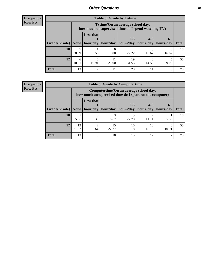**Frequency Row Pct**

| <b>Table of Grade by Tytime</b> |            |                                                                                        |                     |                        |                                  |       |              |  |  |  |
|---------------------------------|------------|----------------------------------------------------------------------------------------|---------------------|------------------------|----------------------------------|-------|--------------|--|--|--|
|                                 |            | Tvtime(On an average school day,<br>how much unsupervised time do I spend watching TV) |                     |                        |                                  |       |              |  |  |  |
| Grade(Grade)   None             |            | <b>Less that</b>                                                                       | hour/day   hour/day | $2 - 3$<br>  hours/day | $4 - 5$<br>hours/day   hours/day | $6+$  | <b>Total</b> |  |  |  |
| 10                              | 38.89      | 5.56                                                                                   | 0.00                | 22.22                  | 16.67                            | 16.67 | 18           |  |  |  |
| 12                              | 6<br>10.91 | 6<br>10.91                                                                             | 11<br>20.00         | 19<br>34.55            | 14.55                            | 9.09  | 55           |  |  |  |
| Total                           | 13         | ℸ                                                                                      | 11                  | 23                     |                                  | 8     | 73           |  |  |  |

**Frequency Row Pct**

| <b>Table of Grade by Computertime</b> |             |                                                                                                                              |            |       |       |      |    |  |  |  |
|---------------------------------------|-------------|------------------------------------------------------------------------------------------------------------------------------|------------|-------|-------|------|----|--|--|--|
|                                       |             | Computertime (On an average school day,<br>how much unsupervised time do I spend on the computer)                            |            |       |       |      |    |  |  |  |
| Grade(Grade)                          | None        | <b>Less that</b><br>$2 - 3$<br>$4 - 5$<br>$6+$<br>hour/day<br>hours/day<br>hour/day   hours/day<br>hours/day<br><b>Total</b> |            |       |       |      |    |  |  |  |
| 10                                    | 5.56        | 6<br>33.33                                                                                                                   | 3<br>16.67 | 27.78 | 11.11 | 5.56 | 18 |  |  |  |
| 12                                    | 12<br>21.82 | 15<br>◠<br>10<br>10<br>6<br>27.27<br>18.18<br>18.18<br>10.91<br>3.64                                                         |            |       |       |      |    |  |  |  |
| <b>Total</b>                          | 13          | 8                                                                                                                            | 18         | 15    | 12    |      | 73 |  |  |  |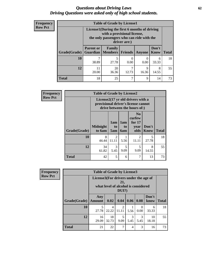#### *Questions about Driving Laws* **62** *Driving Questions were asked only of high school students.*

| <b>Frequency</b> |
|------------------|
| <b>Row Pct</b>   |

| <b>Table of Grade by License1</b> |                              |                                                                                                                                           |                |        |               |              |  |  |  |  |  |
|-----------------------------------|------------------------------|-------------------------------------------------------------------------------------------------------------------------------------------|----------------|--------|---------------|--------------|--|--|--|--|--|
|                                   |                              | License1(During the first 6 months of driving<br>with a provisional license,<br>the only passengers who can ride with the<br>driver are:) |                |        |               |              |  |  |  |  |  |
| Grade(Grade)                      | <b>Parent or</b><br>Guardian | Family<br>  Members                                                                                                                       | <b>Friends</b> | Anyone | Don't<br>Know | <b>Total</b> |  |  |  |  |  |
| 10                                | 38.89                        | 5<br>27.78                                                                                                                                | 0.00           | 0.00   | 6<br>33.33    | 18           |  |  |  |  |  |
| 12                                | 11<br>20.00                  | 20<br>7<br>9<br>8<br>16.36<br>36.36<br>12.73<br>14.55                                                                                     |                |        |               |              |  |  |  |  |  |
| <b>Total</b>                      | 18                           | 25                                                                                                                                        | 7              | 9      | 14            | 73           |  |  |  |  |  |

| <b>Frequency</b> |              | <b>Table of Grade by License2</b>                                                                        |                         |                         |                                                      |                      |              |  |  |  |
|------------------|--------------|----------------------------------------------------------------------------------------------------------|-------------------------|-------------------------|------------------------------------------------------|----------------------|--------------|--|--|--|
| <b>Row Pct</b>   |              | License2(17 yr old drivers with a<br>provisional driver's license cannot<br>drive between the hours of:) |                         |                         |                                                      |                      |              |  |  |  |
|                  | Grade(Grade) | <b>Midnight</b><br>to 6am                                                                                | 1am<br>to<br>5am        | 1am<br>to<br><b>6am</b> | N <sub>0</sub><br>curfew<br>for $17$<br>year<br>olds | Don't<br><b>Know</b> | <b>Total</b> |  |  |  |
|                  | 10           | 8<br>44.44                                                                                               | $\overline{2}$<br>11.11 | 5.56                    | $\mathfrak{D}$<br>11.11                              | 5<br>27.78           | 18           |  |  |  |
|                  | 12           | 34<br>61.82                                                                                              | 3<br>5.45               | 5<br>9.09               | 5<br>9.09                                            | 8<br>14.55           | 55           |  |  |  |
|                  | <b>Total</b> | 42                                                                                                       | 5                       | 6                       | 7                                                    | 13                   | 73           |  |  |  |

| Frequency      | <b>Table of Grade by License3</b>                                                            |                      |                         |            |           |                  |               |              |
|----------------|----------------------------------------------------------------------------------------------|----------------------|-------------------------|------------|-----------|------------------|---------------|--------------|
| <b>Row Pct</b> | License3(For drivers under the age of<br>21,<br>what level of alcohol is considered<br>DUI?) |                      |                         |            |           |                  |               |              |
|                | Grade(Grade)                                                                                 | Any<br><b>Amount</b> | 0.02                    | 0.04       | 0.06      | 0.08             | Don't<br>know | <b>Total</b> |
|                | <b>10</b>                                                                                    | 5<br>27.78           | $\overline{4}$<br>22.22 | 2<br>11.11 | 5.56      | $\Omega$<br>0.00 | 6<br>33.33    | 18           |
|                | 12                                                                                           | 16<br>29.09          | 18<br>32.73             | 5<br>9.09  | 3<br>5.45 | 3<br>5.45        | 10<br>18.18   | 55           |
|                | <b>Total</b>                                                                                 | 21                   | 22                      | 7          | 4         | 3                | 16            | 73           |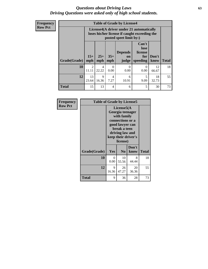#### *Questions about Driving Laws* **63** *Driving Questions were asked only of high school students.*

**Frequency Row Pct**

|              |             |                                                                                                                                                                                                                                                                                       |                  | <b>Table of Grade by License4</b> |                  |             |    |  |  |
|--------------|-------------|---------------------------------------------------------------------------------------------------------------------------------------------------------------------------------------------------------------------------------------------------------------------------------------|------------------|-----------------------------------|------------------|-------------|----|--|--|
|              |             | License4(A driver under 21 automatically<br>loses his/her license if caught exceeding the<br>posted speet limit by:)<br>Can't<br>lose<br><b>Depends</b><br>license<br>$15+$<br>$35+$<br>$25+$<br>Don't<br>for<br><b>on</b><br><b>Total</b><br>mph<br>speeding<br>judge<br>know<br>mph |                  |                                   |                  |             |    |  |  |
| Grade(Grade) | mph         |                                                                                                                                                                                                                                                                                       |                  |                                   |                  |             |    |  |  |
| 10           | 2<br>11.11  | 4<br>22.22                                                                                                                                                                                                                                                                            | $\theta$<br>0.00 | $\Omega$<br>0.00                  | $\Omega$<br>0.00 | 12<br>66.67 | 18 |  |  |
| 12           | 13<br>23.64 | 18<br>9<br>5<br>4<br>6<br>7.27<br>16.36<br>10.91<br>9.09<br>32.73                                                                                                                                                                                                                     |                  |                                   |                  |             |    |  |  |
| <b>Total</b> | 15          | 13                                                                                                                                                                                                                                                                                    | 4                | 6                                 | 5                | 30          | 73 |  |  |

| Frequency      | <b>Table of Grade by License5</b> |            |                                                                                                                                      |                     |       |
|----------------|-----------------------------------|------------|--------------------------------------------------------------------------------------------------------------------------------------|---------------------|-------|
| <b>Row Pct</b> |                                   |            | License5(A)<br>Georgia teenager<br>with family<br>connections or a<br>good lawyer can<br>break a teen<br>driving law and<br>license) | keep their driver's |       |
|                | Grade(Grade)                      | Yes        | N <sub>0</sub>                                                                                                                       | Don't<br>know       | Total |
|                | 10                                | 0<br>0.00  | 10<br>55.56                                                                                                                          | 8<br>44.44          | 18    |
|                | 12                                | 9<br>16.36 | 26<br>47.27                                                                                                                          | 20<br>36.36         | 55    |
|                | <b>Total</b>                      | 9          | 36                                                                                                                                   | 28                  | 73    |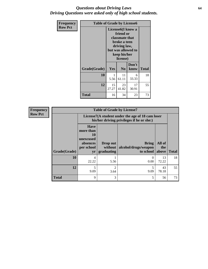### *Questions about Driving Laws* **64** *Driving Questions were asked only of high school students.*

| <b>Frequency</b> | <b>Table of Grade by License6</b> |                                                                                                                                                 |                |               |              |
|------------------|-----------------------------------|-------------------------------------------------------------------------------------------------------------------------------------------------|----------------|---------------|--------------|
| <b>Row Pct</b>   |                                   | License <sub>6</sub> (I know a<br>friend or<br>classmate that<br>broke a teen<br>driving law,<br>but was allowed to<br>keep his/her<br>license) |                |               |              |
|                  | Grade(Grade)                      | Yes                                                                                                                                             | N <sub>0</sub> | Don't<br>know | <b>Total</b> |
|                  | 10                                | 1<br>5.56                                                                                                                                       | 11<br>61.11    | 6<br>33.33    | 18           |
|                  | 12                                | 15<br>27.27                                                                                                                                     | 55             |               |              |
|                  | <b>Total</b>                      | 16                                                                                                                                              | 34             | 23            | 73           |

| <b>Frequency</b> | <b>Table of Grade by License7</b> |                                                                             |                                                                                               |                                                   |                        |              |  |  |
|------------------|-----------------------------------|-----------------------------------------------------------------------------|-----------------------------------------------------------------------------------------------|---------------------------------------------------|------------------------|--------------|--|--|
| <b>Row Pct</b>   |                                   |                                                                             | License7(A student under the age of 18 cam loser<br>his/her driving privileges if he or she:) |                                                   |                        |              |  |  |
|                  | Grade(Grade)                      | <b>Have</b><br>more than<br>10<br>unexcused<br>absences<br>per school<br>yr | Drop out<br>without  <br>graduating                                                           | <b>Bring</b><br>alcohol/drugs/weapon<br>to school | All of<br>the<br>above | <b>Total</b> |  |  |
|                  | <b>10</b>                         | 4<br>22.22                                                                  | 5.56                                                                                          | 0.00                                              | 13<br>72.22            | 18           |  |  |
|                  | 12                                | 5<br>9.09                                                                   | $\mathfrak{D}$<br>3.64                                                                        | 5<br>9.09                                         | 43<br>78.18            | 55           |  |  |
|                  | <b>Total</b>                      | 9                                                                           | 3                                                                                             | 5                                                 | 56                     | 73           |  |  |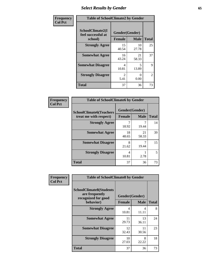# *Select Results by Gender* **65**

| Frequency      | <b>Table of SchoolClimate2 by Gender</b>          |                                 |                  |                |
|----------------|---------------------------------------------------|---------------------------------|------------------|----------------|
| <b>Col Pct</b> | SchoolClimate2(I<br>feel successful at<br>school) | Gender(Gender)<br><b>Female</b> | <b>Male</b>      | <b>Total</b>   |
|                | <b>Strongly Agree</b>                             | 15<br>40.54                     | 10<br>27.78      | 25             |
|                | <b>Somewhat Agree</b>                             | 16<br>43.24                     | 21<br>58.33      | 37             |
|                | <b>Somewhat Disagree</b>                          | 4<br>10.81                      | 5<br>13.89       | 9              |
|                | <b>Strongly Disagree</b>                          | $\mathcal{D}_{\cdot}$<br>5.41   | $\Omega$<br>0.00 | $\overline{2}$ |
|                | <b>Total</b>                                      | 37                              | 36               | 73             |

| Frequency      | <b>Table of SchoolClimate6 by Gender</b>                 |                                 |             |              |  |
|----------------|----------------------------------------------------------|---------------------------------|-------------|--------------|--|
| <b>Col Pct</b> | <b>SchoolClimate6(Teachers</b><br>treat me with respect) | Gender(Gender)<br><b>Female</b> | <b>Male</b> | <b>Total</b> |  |
|                | <b>Strongly Agree</b>                                    | 18.92                           | 19.44       | 14           |  |
|                | <b>Somewhat Agree</b>                                    | 18<br>48.65                     | 21<br>58.33 | 39           |  |
|                | <b>Somewhat Disagree</b>                                 | 8<br>21.62                      | 19.44       | 15           |  |
|                | <b>Strongly Disagree</b>                                 | 4<br>10.81                      | 2.78        | 5            |  |
|                | <b>Total</b>                                             | 37                              | 36          | 73           |  |

| <b>Frequency</b> | <b>Table of SchoolClimate8 by Gender</b>                                             |                                 |                  |    |
|------------------|--------------------------------------------------------------------------------------|---------------------------------|------------------|----|
| <b>Col Pct</b>   | <b>SchoolClimate8(Students</b><br>are frequently<br>recognized for good<br>behavior) | Gender(Gender)<br><b>Female</b> | <b>Total</b>     |    |
|                  | <b>Strongly Agree</b>                                                                | 4                               | <b>Male</b><br>4 | 8  |
|                  |                                                                                      | 10.81                           | 11.11            |    |
|                  | <b>Somewhat Agree</b>                                                                | 11<br>29.73                     | 13<br>36.11      | 24 |
|                  | <b>Somewhat Disagree</b>                                                             | 12<br>32.43                     | 11<br>30.56      | 23 |
|                  | <b>Strongly Disagree</b>                                                             | 10<br>27.03                     | 8<br>22.22       | 18 |
|                  | Total                                                                                | 37                              | 36               | 73 |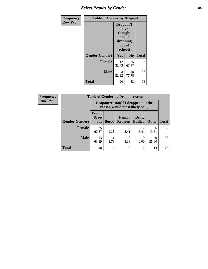# *Select Results by Gender* **66**

| <b>Frequency</b> | <b>Table of Gender by Dropout</b> |                                                                        |                |              |
|------------------|-----------------------------------|------------------------------------------------------------------------|----------------|--------------|
| <b>Row Pct</b>   |                                   | Dropout(I<br>have<br>thought<br>about<br>dropping<br>out of<br>school) |                |              |
|                  | Gender(Gender)                    | Yes                                                                    | N <sub>0</sub> | <b>Total</b> |
|                  | <b>Female</b>                     | 12<br>32.43                                                            | 25<br>67.57    | 37           |
|                  | <b>Male</b>                       | 8<br>22.22                                                             | 28<br>77.78    | 36           |
|                  | <b>Total</b>                      | 20                                                                     | 53             | 73           |

| <b>Frequency</b> | <b>Table of Gender by Dropoutreason</b> |                                                                    |                |                          |                                     |              |              |
|------------------|-----------------------------------------|--------------------------------------------------------------------|----------------|--------------------------|-------------------------------------|--------------|--------------|
| <b>Row Pct</b>   |                                         | Dropoutreason(If I dropped out the<br>reason would most likely be) |                |                          |                                     |              |              |
|                  | <b>Gender(Gender)</b>                   | Won't<br><b>Drop</b><br>out                                        | <b>Bored</b>   | Family<br><b>Reasons</b> | <b>Being</b><br><b>Bullied</b>      | <b>Other</b> | <b>Total</b> |
|                  | <b>Female</b>                           | 25<br>67.57                                                        | 3<br>8.11      | 2<br>5.41                | $\mathcal{D}_{\mathcal{A}}$<br>5.41 | 5<br>13.51   | 37           |
|                  | <b>Male</b>                             | 23<br>63.89                                                        | 2.78           | 3<br>8.33                | 0.00                                | Q<br>25.00   | 36           |
|                  | <b>Total</b>                            | 48                                                                 | $\overline{4}$ | 5                        | $\overline{c}$                      | 14           | 73           |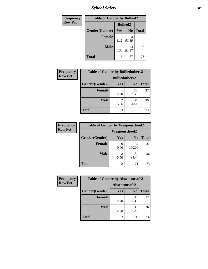*School Safety* **67**

| Frequency      | <b>Table of Gender by Bullied2</b> |                 |                |              |  |
|----------------|------------------------------------|-----------------|----------------|--------------|--|
| <b>Row Pct</b> |                                    | <b>Bullied2</b> |                |              |  |
|                | Gender(Gender)                     | Yes             | N <sub>0</sub> | <b>Total</b> |  |
|                | <b>Female</b>                      | 3<br>8.11       | 34<br>91.89    | 37           |  |
|                | <b>Male</b>                        | 3<br>8.33       | 33<br>91.67    | 36           |  |
|                | <b>Total</b>                       | 6               | 67             | 73           |  |

| <b>Frequency</b> | <b>Table of Gender by Bulliedothers2</b> |                       |             |              |
|------------------|------------------------------------------|-----------------------|-------------|--------------|
| <b>Row Pct</b>   |                                          | <b>Bulliedothers2</b> |             |              |
|                  | Gender(Gender)                           | <b>Yes</b>            | $\bf N_0$   | <b>Total</b> |
|                  | <b>Female</b>                            | 2.70                  | 36<br>97.30 | 37           |
|                  | <b>Male</b>                              | 2<br>5.56             | 34<br>94.44 | 36           |
|                  | Total                                    | 3                     | 70          | 73           |

| Frequency      | <b>Table of Gender by Weaponschool2</b> |                      |                |              |
|----------------|-----------------------------------------|----------------------|----------------|--------------|
| <b>Row Pct</b> |                                         | <b>Weaponschool2</b> |                |              |
|                | Gender(Gender)                          | Yes                  | N <sub>0</sub> | <b>Total</b> |
|                | <b>Female</b>                           | 0.00                 | 37<br>100.00   | 37           |
|                | <b>Male</b>                             | 5.56                 | 34<br>94.44    | 36           |
|                | <b>Total</b>                            | 2                    | 71             | 73           |

| Frequency      | <b>Table of Gender by Absentunsafe2</b> |                |                |              |
|----------------|-----------------------------------------|----------------|----------------|--------------|
| <b>Row Pct</b> |                                         | Absentunsafe2  |                |              |
|                | Gender(Gender)                          | Yes            | N <sub>0</sub> | <b>Total</b> |
|                | <b>Female</b>                           | 2.70           | 36<br>97.30    | 37           |
|                | <b>Male</b>                             | 2.78           | 35<br>97.22    | 36           |
|                | <b>Total</b>                            | $\mathfrak{D}$ | 71             | 73           |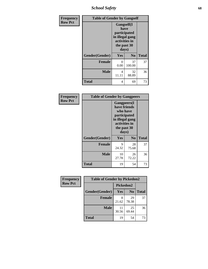*School Safety* **68**

| Frequency      | <b>Table of Gender by Gangself</b> |                                                                                                |                |              |
|----------------|------------------------------------|------------------------------------------------------------------------------------------------|----------------|--------------|
| <b>Row Pct</b> |                                    | Gangself(I<br>have<br>participated<br>in illegal gang<br>activities in<br>the past 30<br>days) |                |              |
|                | Gender(Gender)                     | Yes                                                                                            | N <sub>0</sub> | <b>Total</b> |
|                | <b>Female</b>                      | 0<br>0.00                                                                                      | 37<br>100.00   | 37           |
|                | <b>Male</b>                        | 4<br>11.11                                                                                     | 32<br>88.89    | 36           |
|                | <b>Total</b>                       | 4                                                                                              | 69             | 73           |

| Frequency      | <b>Table of Gender by Gangpeers</b> |                                                                                                                             |                |              |
|----------------|-------------------------------------|-----------------------------------------------------------------------------------------------------------------------------|----------------|--------------|
| <b>Row Pct</b> |                                     | <b>Gangpeers</b> (I<br>have friends<br>who have<br>participated<br>in illegal gang<br>activities in<br>the past 30<br>days) |                |              |
|                | Gender(Gender)                      | <b>Yes</b>                                                                                                                  | N <sub>0</sub> | <b>Total</b> |
|                | <b>Female</b>                       | 9<br>24.32                                                                                                                  | 28<br>75.68    | 37           |
|                | <b>Male</b>                         | 10<br>27.78                                                                                                                 | 26<br>72.22    | 36           |
|                | <b>Total</b>                        | 19                                                                                                                          | 54             | 73           |

| Frequency      | <b>Table of Gender by Pickedon2</b> |             |                |              |  |
|----------------|-------------------------------------|-------------|----------------|--------------|--|
| <b>Row Pct</b> |                                     | Pickedon2   |                |              |  |
|                | Gender(Gender)                      | <b>Yes</b>  | N <sub>0</sub> | <b>Total</b> |  |
|                | <b>Female</b>                       | 8<br>21.62  | 29<br>78.38    | 37           |  |
|                | <b>Male</b>                         | 11<br>30.56 | 25<br>69.44    | 36           |  |
|                | <b>Total</b>                        | 19          | 54             | 73           |  |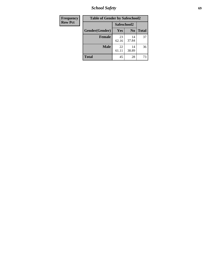*School Safety* **69**

| Frequency      | <b>Table of Gender by Safeschool2</b> |             |                |              |
|----------------|---------------------------------------|-------------|----------------|--------------|
| <b>Row Pct</b> |                                       | Safeschool2 |                |              |
|                | Gender(Gender)                        | Yes         | N <sub>0</sub> | <b>Total</b> |
|                | <b>Female</b>                         | 23<br>62.16 | 14<br>37.84    | 37           |
|                | <b>Male</b>                           | 22<br>61.11 | 14<br>38.89    | 36           |
|                | <b>Total</b>                          | 45          | 28             | 73           |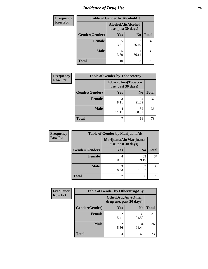# *Incidence of Drug Use* **70**

| <b>Frequency</b> | <b>Table of Gender by AlcoholAlt</b> |                                          |                |              |  |
|------------------|--------------------------------------|------------------------------------------|----------------|--------------|--|
| <b>Row Pct</b>   |                                      | AlcoholAlt(Alcohol<br>use, past 30 days) |                |              |  |
|                  | Gender(Gender)                       | Yes                                      | N <sub>0</sub> | <b>Total</b> |  |
|                  | Female                               | 5<br>13.51                               | 32<br>86.49    | 37           |  |
|                  | <b>Male</b>                          | 5<br>13.89                               | 31<br>86.11    | 36           |  |
|                  | <b>Total</b>                         | 10                                       | 63             | 73           |  |

| <b>Frequency</b> | <b>Table of Gender by TobaccoAny</b> |                                          |                |              |  |
|------------------|--------------------------------------|------------------------------------------|----------------|--------------|--|
| <b>Row Pct</b>   |                                      | TobaccoAny(Tobacco<br>use, past 30 days) |                |              |  |
|                  | Gender(Gender)                       | Yes                                      | N <sub>0</sub> | <b>Total</b> |  |
|                  | Female                               | 3<br>8.11                                | 34<br>91.89    | 37           |  |
|                  | <b>Male</b>                          | 4<br>11.1                                | 32<br>88.89    | 36           |  |
|                  | <b>Total</b>                         | ┑                                        | 66             | 73           |  |

| <b>Frequency</b> | <b>Table of Gender by MarijuanaAlt</b> |            |                                              |              |
|------------------|----------------------------------------|------------|----------------------------------------------|--------------|
| <b>Row Pct</b>   |                                        |            | MarijuanaAlt(Marijuana<br>use, past 30 days) |              |
|                  | Gender(Gender)                         | <b>Yes</b> | N <sub>0</sub>                               | <b>Total</b> |
|                  | Female                                 | 4<br>10.81 | 33<br>89.19                                  | 37           |
|                  | <b>Male</b>                            | 3<br>8.33  | 33<br>91.67                                  | 36           |
|                  | <b>Total</b>                           | 7          | 66                                           | 73           |

| <b>Frequency</b> | <b>Table of Gender by OtherDrugAny</b> |                                                      |                |              |
|------------------|----------------------------------------|------------------------------------------------------|----------------|--------------|
| <b>Row Pct</b>   |                                        | <b>OtherDrugAny(Other</b><br>drug use, past 30 days) |                |              |
|                  | Gender(Gender)                         | <b>Yes</b>                                           | N <sub>0</sub> | <b>Total</b> |
|                  | <b>Female</b>                          | 2<br>5.41                                            | 35<br>94.59    | 37           |
|                  | <b>Male</b>                            | 2<br>5.56                                            | 34<br>94.44    | 36           |
|                  | <b>Total</b>                           | 4                                                    | 69             | 73           |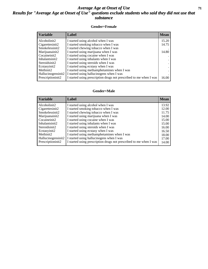### *Average Age at Onset of Use* **71** *Results for "Average Age at Onset of Use" questions exclude students who said they did not use that substance*

#### **Gender=Female**

| <b>Variable</b>    | <b>Label</b>                                                       | <b>Mean</b> |
|--------------------|--------------------------------------------------------------------|-------------|
| Alcoholinit2       | I started using alcohol when I was                                 | 15.20       |
| Cigarettesinit2    | I started smoking tobacco when I was                               | 14.75       |
| Smokelessinit2     | I started chewing tobacco when I was                               |             |
| Marijuanainit2     | I started using marijuana when I was                               | 14.80       |
| Cocaineinit2       | I started using cocaine when I was                                 |             |
| Inhalantsinit2     | I started using inhalants when I was                               |             |
| Steroidsinit2      | I started using steroids when I was                                |             |
| Ecstasyinit2       | I started using ecstasy when I was                                 |             |
| Methinit2          | I started using methamphetamines when I was                        |             |
| Hallucinogensinit2 | I started using hallucinogens when I was                           |             |
| Prescription in t2 | I started using prescription drugs not prescribed to me when I was | 16.00       |

#### **Gender=Male**

| <b>Variable</b>    | Label                                                              | <b>Mean</b> |
|--------------------|--------------------------------------------------------------------|-------------|
| Alcoholinit2       | I started using alcohol when I was                                 | 13.92       |
| Cigarettesinit2    | I started smoking tobacco when I was                               | 12.00       |
| Smokelessinit2     | I started chewing tobacco when I was                               | 11.75       |
| Marijuanainit2     | I started using marijuana when I was                               | 14.00       |
| Cocaineinit2       | I started using cocaine when I was                                 | 15.00       |
| Inhalantsinit2     | I started using inhalants when I was                               | 15.00       |
| Steroidsinit2      | I started using steroids when I was                                | 16.00       |
| Ecstasyinit2       | I started using ecstasy when I was                                 | 16.50       |
| Methinit2          | I started using methamphetamines when I was                        | 18.00       |
| Hallucinogensinit2 | I started using hallucinogens when I was                           | 17.00       |
| Prescriptioninit2  | I started using prescription drugs not prescribed to me when I was | 14.00       |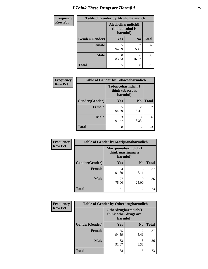# *I Think These Drugs are Harmful* **72**

| <b>Frequency</b> | <b>Table of Gender by Alcoholharmdich</b> |                                                   |                        |              |
|------------------|-------------------------------------------|---------------------------------------------------|------------------------|--------------|
| <b>Row Pct</b>   |                                           | Alcoholharmdich(I<br>think alcohol is<br>harmful) |                        |              |
|                  | Gender(Gender)                            | <b>Yes</b>                                        | N <sub>0</sub>         | <b>Total</b> |
|                  | <b>Female</b>                             | 35<br>94.59                                       | $\overline{2}$<br>5.41 | 37           |
|                  | <b>Male</b>                               | 30<br>83.33                                       | 6<br>16.67             | 36           |
|                  | <b>Total</b>                              | 65                                                | 8                      | 73           |

| Frequency      | <b>Table of Gender by Tobaccoharmdich</b> |                                       |                |              |
|----------------|-------------------------------------------|---------------------------------------|----------------|--------------|
| <b>Row Pct</b> |                                           | Tobaccoharmdich(I<br>think tobacco is | harmful)       |              |
|                | Gender(Gender)                            | Yes                                   | N <sub>0</sub> | <b>Total</b> |
|                | <b>Female</b>                             | 35<br>94.59                           | 2<br>5.41      | 37           |
|                | <b>Male</b>                               | 33<br>91.67                           | 3<br>8.33      | 36           |
|                | <b>Total</b>                              | 68                                    | 5              | 73           |

| Frequency      | <b>Table of Gender by Marijuanaharmdich</b> |                                |                     |              |  |
|----------------|---------------------------------------------|--------------------------------|---------------------|--------------|--|
| <b>Row Pct</b> |                                             | think marijuana is<br>harmful) | Marijuanaharmdich(I |              |  |
|                | Gender(Gender)                              | <b>Yes</b>                     | N <sub>0</sub>      | <b>Total</b> |  |
|                | <b>Female</b>                               | 34<br>91.89                    | 3<br>8.11           | 37           |  |
|                | <b>Male</b>                                 | 27<br>75.00                    | Q<br>25.00          | 36           |  |
|                | <b>Total</b>                                | 61                             | 12                  | 73           |  |

| Frequency      | <b>Table of Gender by Otherdrugharmdich</b> |                                                          |                        |              |
|----------------|---------------------------------------------|----------------------------------------------------------|------------------------|--------------|
| <b>Row Pct</b> |                                             | Otherdrugharmdich(I<br>think other drugs are<br>harmful) |                        |              |
|                | Gender(Gender)                              | <b>Yes</b>                                               | N <sub>0</sub>         | <b>Total</b> |
|                | <b>Female</b>                               | 35<br>94.59                                              | $\overline{c}$<br>5.41 | 37           |
|                | <b>Male</b>                                 | 33<br>91.67                                              | 3<br>8.33              | 36           |
|                | <b>Total</b>                                | 68                                                       | 5                      | 73           |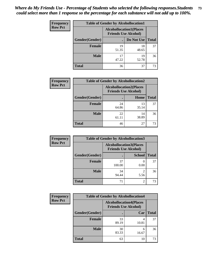| <b>Frequency</b> | <b>Table of Gender by Alcohollocation1</b> |                                                               |             |              |  |
|------------------|--------------------------------------------|---------------------------------------------------------------|-------------|--------------|--|
| <b>Row Pct</b>   |                                            | <b>Alcohollocation1(Places</b><br><b>Friends Use Alcohol)</b> |             |              |  |
|                  | Gender(Gender)                             |                                                               | Do Not Use  | <b>Total</b> |  |
|                  | <b>Female</b>                              | 19<br>51.35                                                   | 18<br>48.65 | 37           |  |
|                  | <b>Male</b>                                | 17<br>47.22                                                   | 19<br>52.78 | 36           |  |
|                  | Total                                      | 36                                                            | 37          | 73           |  |

| <b>Frequency</b> | <b>Table of Gender by Alcohollocation2</b> |                                                               |             |              |
|------------------|--------------------------------------------|---------------------------------------------------------------|-------------|--------------|
| <b>Row Pct</b>   |                                            | <b>Alcohollocation2(Places</b><br><b>Friends Use Alcohol)</b> |             |              |
|                  | Gender(Gender)                             |                                                               | Home        | <b>Total</b> |
|                  | <b>Female</b>                              | 24<br>64.86                                                   | 13<br>35.14 | 37           |
|                  | <b>Male</b>                                | 22<br>61.11                                                   | 14<br>38.89 | 36           |
|                  | <b>Total</b>                               | 46                                                            | 27          | 73           |

| Frequency      | <b>Table of Gender by Alcohollocation3</b> |                                                               |               |              |
|----------------|--------------------------------------------|---------------------------------------------------------------|---------------|--------------|
| <b>Row Pct</b> |                                            | <b>Alcohollocation3(Places</b><br><b>Friends Use Alcohol)</b> |               |              |
|                | Gender(Gender)                             |                                                               | <b>School</b> | <b>Total</b> |
|                | <b>Female</b>                              | 37<br>100.00                                                  | 0.00          | 37           |
|                | <b>Male</b>                                | 34<br>94.44                                                   | 5.56          | 36           |
|                | <b>Total</b>                               | 71                                                            | 2             | 73           |

| <b>Frequency</b> | <b>Table of Gender by Alcohollocation4</b> |                                                               |       |              |
|------------------|--------------------------------------------|---------------------------------------------------------------|-------|--------------|
| <b>Row Pct</b>   |                                            | <b>Alcohollocation4(Places</b><br><b>Friends Use Alcohol)</b> |       |              |
|                  | Gender(Gender)                             |                                                               | Car   | <b>Total</b> |
|                  | <b>Female</b>                              | 33<br>89.19                                                   | 10.81 | 37           |
|                  | <b>Male</b>                                | 30<br>83.33                                                   | 16.67 | 36           |
|                  | <b>Total</b>                               | 63                                                            | 10    | 73           |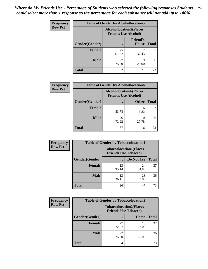| <b>Frequency</b> | <b>Table of Gender by Alcohollocation5</b> |                                                               |                                 |              |
|------------------|--------------------------------------------|---------------------------------------------------------------|---------------------------------|--------------|
| <b>Row Pct</b>   |                                            | <b>Alcohollocation5(Places</b><br><b>Friends Use Alcohol)</b> |                                 |              |
|                  | Gender(Gender)                             |                                                               | <b>Friend's</b><br><b>House</b> | <b>Total</b> |
|                  | <b>Female</b>                              | 25<br>67.57                                                   | 12<br>32.43                     | 37           |
|                  | <b>Male</b>                                | 27<br>75.00                                                   | Q<br>25.00                      | 36           |
|                  | <b>Total</b>                               | 52                                                            | 21                              | 73           |

| Frequency      | <b>Table of Gender by Alcohollocation6</b> |                                                               |              |              |
|----------------|--------------------------------------------|---------------------------------------------------------------|--------------|--------------|
| <b>Row Pct</b> |                                            | <b>Alcohollocation6(Places</b><br><b>Friends Use Alcohol)</b> |              |              |
|                | Gender(Gender)                             |                                                               | <b>Other</b> | <b>Total</b> |
|                | Female                                     | 31<br>83.78                                                   | 6<br>16.22   | 37           |
|                | <b>Male</b>                                | 26<br>72.22                                                   | 10<br>27.78  | 36           |
|                | <b>Total</b>                               | 57                                                            | 16           | 73           |

| Frequency      |                | <b>Table of Gender by Tobaccolocation1</b>                    |             |              |
|----------------|----------------|---------------------------------------------------------------|-------------|--------------|
| <b>Row Pct</b> |                | <b>Tobaccolocation1(Places</b><br><b>Friends Use Tobacco)</b> |             |              |
|                | Gender(Gender) |                                                               | Do Not Use  | <b>Total</b> |
|                | Female         | 13<br>35.14                                                   | 24<br>64.86 | 37           |
|                | <b>Male</b>    | 13<br>36.11                                                   | 23<br>63.89 | 36           |
|                | <b>Total</b>   | 26                                                            | 47          | 73           |

| <b>Frequency</b> | <b>Table of Gender by Tobaccolocation2</b> |                                                               |             |              |
|------------------|--------------------------------------------|---------------------------------------------------------------|-------------|--------------|
| <b>Row Pct</b>   |                                            | <b>Tobaccolocation2(Places</b><br><b>Friends Use Tobacco)</b> |             |              |
|                  | Gender(Gender)                             |                                                               | Home        | <b>Total</b> |
|                  | Female                                     | 27<br>72.97                                                   | 10<br>27.03 | 37           |
|                  | <b>Male</b>                                | 27<br>75.00                                                   | q<br>25.00  | 36           |
|                  | <b>Total</b>                               | 54                                                            | 19          | 73           |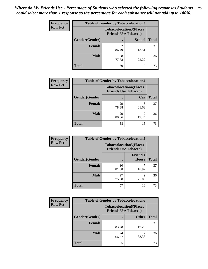| <b>Frequency</b> | <b>Table of Gender by Tobaccolocation3</b> |                                                               |               |              |
|------------------|--------------------------------------------|---------------------------------------------------------------|---------------|--------------|
| <b>Row Pct</b>   |                                            | <b>Tobaccolocation3(Places</b><br><b>Friends Use Tobacco)</b> |               |              |
|                  | Gender(Gender)                             |                                                               | <b>School</b> | <b>Total</b> |
|                  | <b>Female</b>                              | 32<br>86.49                                                   | 13.51         | 37           |
|                  | <b>Male</b>                                | 28<br>77.78                                                   | 8<br>22.22    | 36           |
|                  | <b>Total</b>                               | 60                                                            | 13            | 73           |

| <b>Frequency</b> | <b>Table of Gender by Tobaccolocation4</b> |                                                               |       |              |
|------------------|--------------------------------------------|---------------------------------------------------------------|-------|--------------|
| <b>Row Pct</b>   |                                            | <b>Tobaccolocation4(Places</b><br><b>Friends Use Tobacco)</b> |       |              |
|                  | Gender(Gender)                             |                                                               | Car   | <b>Total</b> |
|                  | <b>Female</b>                              | 29<br>78.38                                                   | 21.62 | 37           |
|                  | <b>Male</b>                                | 29<br>80.56                                                   | 19.44 | 36           |
|                  | <b>Total</b>                               | 58                                                            | 15    | 73           |

| <b>Frequency</b> | <b>Table of Gender by Tobaccolocation5</b> |                                                               |                                 |              |
|------------------|--------------------------------------------|---------------------------------------------------------------|---------------------------------|--------------|
| <b>Row Pct</b>   |                                            | <b>Tobaccolocation5(Places</b><br><b>Friends Use Tobacco)</b> |                                 |              |
|                  | Gender(Gender)                             |                                                               | <b>Friend's</b><br><b>House</b> | <b>Total</b> |
|                  | <b>Female</b>                              | 30<br>81.08                                                   | 18.92                           | 37           |
|                  | <b>Male</b>                                | 27<br>75.00                                                   | q<br>25.00                      | 36           |
|                  | <b>Total</b>                               | 57                                                            | 16                              | 73           |

| <b>Frequency</b> | <b>Table of Gender by Tobaccolocation6</b> |                                                               |              |              |  |
|------------------|--------------------------------------------|---------------------------------------------------------------|--------------|--------------|--|
| <b>Row Pct</b>   |                                            | <b>Tobaccolocation6(Places</b><br><b>Friends Use Tobacco)</b> |              |              |  |
|                  | Gender(Gender)                             |                                                               | <b>Other</b> | <b>Total</b> |  |
|                  | Female                                     | 31<br>83.78                                                   | 6<br>16.22   | 37           |  |
|                  | <b>Male</b>                                | 24<br>66.67                                                   | 12<br>33.33  | 36           |  |
|                  | <b>Total</b>                               | 55                                                            | 18           | 73           |  |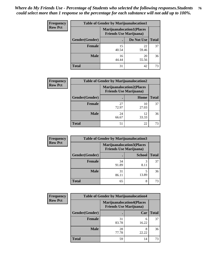| <b>Frequency</b> | <b>Table of Gender by Marijuanalocation1</b> |                                                                    |             |              |
|------------------|----------------------------------------------|--------------------------------------------------------------------|-------------|--------------|
| <b>Row Pct</b>   |                                              | <b>Marijuanalocation1(Places</b><br><b>Friends Use Marijuana</b> ) |             |              |
|                  | Gender(Gender)                               |                                                                    | Do Not Use  | <b>Total</b> |
|                  | <b>Female</b>                                | 15<br>40.54                                                        | 22<br>59.46 | 37           |
|                  | <b>Male</b>                                  | 16<br>44.44                                                        | 20<br>55.56 | 36           |
|                  | <b>Total</b>                                 | 31                                                                 | 42          | 73           |

| <b>Frequency</b> | <b>Table of Gender by Marijuanalocation2</b> |                                                                    |             |              |
|------------------|----------------------------------------------|--------------------------------------------------------------------|-------------|--------------|
| <b>Row Pct</b>   |                                              | <b>Marijuanalocation2(Places</b><br><b>Friends Use Marijuana</b> ) |             |              |
|                  | Gender(Gender)                               |                                                                    | Home        | <b>Total</b> |
|                  | Female                                       | 27<br>72.97                                                        | 10<br>27.03 | 37           |
|                  | <b>Male</b>                                  | 24<br>66.67                                                        | 12<br>33.33 | 36           |
|                  | <b>Total</b>                                 | 51                                                                 | 22          | 73           |

| Frequency      | <b>Table of Gender by Marijuanalocation3</b> |                                                                    |               |              |
|----------------|----------------------------------------------|--------------------------------------------------------------------|---------------|--------------|
| <b>Row Pct</b> |                                              | <b>Marijuanalocation3(Places</b><br><b>Friends Use Marijuana</b> ) |               |              |
|                | Gender(Gender)                               |                                                                    | <b>School</b> | <b>Total</b> |
|                | Female                                       | 34<br>91.89                                                        | 3<br>8.11     | 37           |
|                | <b>Male</b>                                  | 31<br>86.11                                                        | 13.89         | 36           |
|                | <b>Total</b>                                 | 65                                                                 | 8             | 73           |

| <b>Frequency</b> | <b>Table of Gender by Marijuanalocation4</b> |                                                                    |            |              |  |
|------------------|----------------------------------------------|--------------------------------------------------------------------|------------|--------------|--|
| <b>Row Pct</b>   |                                              | <b>Marijuanalocation4(Places</b><br><b>Friends Use Marijuana</b> ) |            |              |  |
|                  | Gender(Gender)                               |                                                                    | Car        | <b>Total</b> |  |
|                  | <b>Female</b>                                | 31<br>83.78                                                        | 6<br>16.22 | 37           |  |
|                  | <b>Male</b>                                  | 28<br>77.78                                                        | 22.22      | 36           |  |
|                  | <b>Total</b>                                 | 59                                                                 | 14         | 73           |  |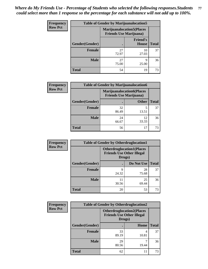| Frequency      | <b>Table of Gender by Marijuanalocation5</b> |                                                                    |                          |              |
|----------------|----------------------------------------------|--------------------------------------------------------------------|--------------------------|--------------|
| <b>Row Pct</b> |                                              | <b>Marijuanalocation5(Places</b><br><b>Friends Use Marijuana</b> ) |                          |              |
|                | Gender(Gender)                               |                                                                    | <b>Friend's</b><br>House | <b>Total</b> |
|                | <b>Female</b>                                | 27<br>72.97                                                        | 10<br>27.03              | 37           |
|                | <b>Male</b>                                  | 27<br>75.00                                                        | Q<br>25.00               | 36           |
|                | <b>Total</b>                                 | 54                                                                 | 19                       | 73           |

| <b>Frequency</b> | <b>Table of Gender by Marijuanalocation6</b> |                                                                    |              |              |
|------------------|----------------------------------------------|--------------------------------------------------------------------|--------------|--------------|
| <b>Row Pct</b>   |                                              | <b>Marijuanalocation6(Places</b><br><b>Friends Use Marijuana</b> ) |              |              |
|                  | <b>Gender</b> (Gender)                       |                                                                    | <b>Other</b> | <b>Total</b> |
|                  | <b>Female</b>                                | 32<br>86.49                                                        | 5<br>13.51   | 37           |
|                  | <b>Male</b>                                  | 24<br>66.67                                                        | 12<br>33.33  | 36           |
|                  | Total                                        | 56                                                                 | 17           |              |

| Frequency      | <b>Table of Gender by Otherdruglocation1</b> |                                                                                |             |              |
|----------------|----------------------------------------------|--------------------------------------------------------------------------------|-------------|--------------|
| <b>Row Pct</b> |                                              | <b>Otherdruglocation1(Places</b><br><b>Friends Use Other Illegal</b><br>Drugs) |             |              |
|                | <b>Gender</b> (Gender)                       |                                                                                | Do Not Use  | <b>Total</b> |
|                | <b>Female</b>                                | q<br>24.32                                                                     | 28<br>75.68 | 37           |
|                | <b>Male</b>                                  | 11<br>30.56                                                                    | 25<br>69.44 | 36           |
|                | <b>Total</b>                                 | 20                                                                             | 53          | 73           |

| Frequency      | <b>Table of Gender by Otherdruglocation2</b>                                   |             |            |              |
|----------------|--------------------------------------------------------------------------------|-------------|------------|--------------|
| <b>Row Pct</b> | <b>Otherdruglocation2(Places</b><br><b>Friends Use Other Illegal</b><br>Drugs) |             |            |              |
|                | Gender(Gender)                                                                 |             | Home       | <b>Total</b> |
|                | Female                                                                         | 33<br>89.19 | 4<br>10.81 | 37           |
|                | <b>Male</b>                                                                    | 29<br>80.56 | 19.44      | 36           |
|                | <b>Total</b>                                                                   | 62          | 11         | 73           |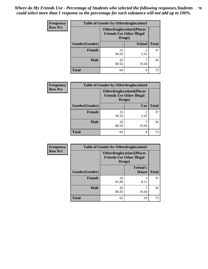| Frequency      | <b>Table of Gender by Otherdruglocation3</b> |                                                                                |               |              |
|----------------|----------------------------------------------|--------------------------------------------------------------------------------|---------------|--------------|
| <b>Row Pct</b> |                                              | <b>Otherdruglocation3(Places</b><br><b>Friends Use Other Illegal</b><br>Drugs) |               |              |
|                | Gender(Gender)                               |                                                                                | <b>School</b> | <b>Total</b> |
|                | <b>Female</b>                                | 35<br>94.59                                                                    | 2<br>5.41     | 37           |
|                | <b>Male</b>                                  | 29<br>80.56                                                                    | 19.44         | 36           |
|                | <b>Total</b>                                 | 64                                                                             | Q             | 73           |

| Frequency      | <b>Table of Gender by Otherdruglocation4</b> |                                                                                |       |              |
|----------------|----------------------------------------------|--------------------------------------------------------------------------------|-------|--------------|
| <b>Row Pct</b> |                                              | <b>Otherdruglocation4(Places</b><br><b>Friends Use Other Illegal</b><br>Drugs) |       |              |
|                | Gender(Gender)                               |                                                                                | Car   | <b>Total</b> |
|                | Female                                       | 35<br>94.59                                                                    | 5.41  | 37           |
|                | <b>Male</b>                                  | 29<br>80.56                                                                    | 19.44 | 36           |
|                | <b>Total</b>                                 | 64                                                                             | 9     | 73           |

| <b>Frequency</b> | <b>Table of Gender by Otherdruglocation5</b> |             |                                                                      |              |
|------------------|----------------------------------------------|-------------|----------------------------------------------------------------------|--------------|
| <b>Row Pct</b>   |                                              | Drugs)      | <b>Otherdruglocation5(Places</b><br><b>Friends Use Other Illegal</b> |              |
|                  | Gender(Gender)                               |             | <b>Friend's</b><br><b>House</b>                                      | <b>Total</b> |
|                  | <b>Female</b>                                | 34          | 3                                                                    | 37           |
|                  |                                              | 91.89       | 8.11                                                                 |              |
|                  | <b>Male</b>                                  | 29<br>80.56 | 19.44                                                                | 36           |
|                  | <b>Total</b>                                 | 63          | 10                                                                   | 73           |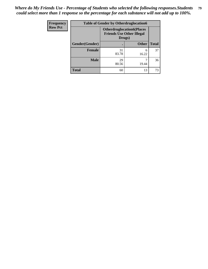| <b>Frequency</b> | <b>Table of Gender by Otherdruglocation6</b> |                                                                                |              |              |
|------------------|----------------------------------------------|--------------------------------------------------------------------------------|--------------|--------------|
| <b>Row Pct</b>   |                                              | <b>Otherdruglocation6(Places</b><br><b>Friends Use Other Illegal</b><br>Drugs) |              |              |
|                  | Gender(Gender)                               |                                                                                | <b>Other</b> | <b>Total</b> |
|                  | <b>Female</b>                                | 31<br>83.78                                                                    | 6<br>16.22   | 37           |
|                  | <b>Male</b>                                  | 29<br>80.56                                                                    | 19.44        | 36           |
|                  | <b>Total</b>                                 | 60                                                                             | 13           | 73           |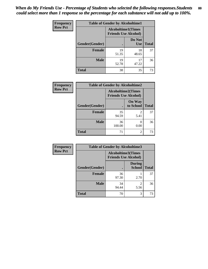| Frequency      | <b>Table of Gender by Alcoholtime1</b> |                                                          |                      |              |
|----------------|----------------------------------------|----------------------------------------------------------|----------------------|--------------|
| <b>Row Pct</b> |                                        | <b>Alcoholtime1(Times</b><br><b>Friends Use Alcohol)</b> |                      |              |
|                | Gender(Gender)                         | $\bullet$                                                | Do Not<br><b>Use</b> | <b>Total</b> |
|                | <b>Female</b>                          | 19<br>51.35                                              | 18<br>48.65          | 37           |
|                | <b>Male</b>                            | 19<br>52.78                                              | 17<br>47.22          | 36           |
|                | <b>Total</b>                           | 38                                                       | 35                   | 73           |

| <b>Frequency</b> | <b>Table of Gender by Alcoholtime2</b> |                                                          |                            |              |
|------------------|----------------------------------------|----------------------------------------------------------|----------------------------|--------------|
| <b>Row Pct</b>   |                                        | <b>Alcoholtime2(Times</b><br><b>Friends Use Alcohol)</b> |                            |              |
|                  | Gender(Gender)                         |                                                          | <b>On Way</b><br>to School | <b>Total</b> |
|                  | <b>Female</b>                          | 35<br>94.59                                              | 2<br>5.41                  | 37           |
|                  | <b>Male</b>                            | 36<br>100.00                                             | 0<br>0.00                  | 36           |
|                  | <b>Total</b>                           | 71                                                       | 2                          | 73           |

| Frequency      | <b>Table of Gender by Alcoholtime3</b> |                                                          |                                  |              |
|----------------|----------------------------------------|----------------------------------------------------------|----------------------------------|--------------|
| <b>Row Pct</b> |                                        | <b>Alcoholtime3(Times</b><br><b>Friends Use Alcohol)</b> |                                  |              |
|                | Gender(Gender)                         |                                                          | <b>During</b><br><b>School</b>   | <b>Total</b> |
|                | Female                                 | 36<br>97.30                                              | 2.70                             | 37           |
|                | <b>Male</b>                            | 34<br>94.44                                              | $\overline{\mathcal{L}}$<br>5.56 | 36           |
|                | <b>Total</b>                           | 70                                                       | 3                                | 73           |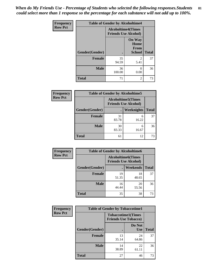*When do My Friends Use - Percentage of Students who selected the following responses.Students could select more than 1 response so the percentage for each substance will not add up to 100%.* **81**

| <b>Frequency</b> | <b>Table of Gender by Alcoholtime4</b> |                                                          |                                                       |              |
|------------------|----------------------------------------|----------------------------------------------------------|-------------------------------------------------------|--------------|
| <b>Row Pct</b>   |                                        | <b>Alcoholtime4(Times</b><br><b>Friends Use Alcohol)</b> |                                                       |              |
|                  | Gender(Gender)                         | $\bullet$                                                | <b>On Way</b><br>Home<br><b>From</b><br><b>School</b> | <b>Total</b> |
|                  | <b>Female</b>                          | 35<br>94.59                                              | 2<br>5.41                                             | 37           |
|                  | <b>Male</b>                            | 36<br>100.00                                             | 0<br>0.00                                             | 36           |
|                  | <b>Total</b>                           | 71                                                       | 2                                                     | 73           |

| <b>Frequency</b> | <b>Table of Gender by Alcoholtime5</b> |                                                           |                   |              |
|------------------|----------------------------------------|-----------------------------------------------------------|-------------------|--------------|
| <b>Row Pct</b>   |                                        | <b>Alcoholtime5</b> (Times<br><b>Friends Use Alcohol)</b> |                   |              |
|                  | Gender(Gender)                         |                                                           | <b>Weeknights</b> | <b>Total</b> |
|                  | <b>Female</b>                          | 31<br>83.78                                               | 6<br>16.22        | 37           |
|                  | <b>Male</b>                            | 30<br>83.33                                               | 6<br>16.67        | 36           |
|                  | <b>Total</b>                           | 61                                                        | 12                | 73           |

| <b>Frequency</b> | <b>Table of Gender by Alcoholtime6</b> |             |                                                          |              |
|------------------|----------------------------------------|-------------|----------------------------------------------------------|--------------|
| <b>Row Pct</b>   |                                        |             | <b>Alcoholtime6(Times</b><br><b>Friends Use Alcohol)</b> |              |
|                  | Gender(Gender)                         |             | <b>Weekends</b>                                          | <b>Total</b> |
|                  | Female                                 | 19<br>51.35 | 18<br>48.65                                              | 37           |
|                  | <b>Male</b>                            | 16<br>44.44 | 20<br>55.56                                              | 36           |
|                  | <b>Total</b>                           | 35          | 38                                                       | 73           |

| Frequency      | <b>Table of Gender by Tobaccotime1</b> |                                                          |                      |              |
|----------------|----------------------------------------|----------------------------------------------------------|----------------------|--------------|
| <b>Row Pct</b> |                                        | <b>Tobaccotime1(Times</b><br><b>Friends Use Tobacco)</b> |                      |              |
|                | Gender(Gender)                         |                                                          | Do Not<br><b>Use</b> | <b>Total</b> |
|                | <b>Female</b>                          | 13<br>35.14                                              | 24<br>64.86          | 37           |
|                | <b>Male</b>                            | 14<br>38.89                                              | 22<br>61.11          | 36           |
|                | <b>Total</b>                           | 27                                                       | 46                   | 73           |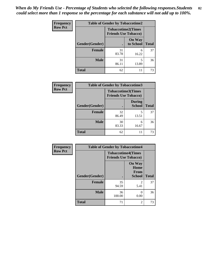*When do My Friends Use - Percentage of Students who selected the following responses.Students could select more than 1 response so the percentage for each substance will not add up to 100%.* **82**

| Frequency      | <b>Table of Gender by Tobaccotime2</b> |                                                          |                            |              |
|----------------|----------------------------------------|----------------------------------------------------------|----------------------------|--------------|
| <b>Row Pct</b> |                                        | <b>Tobaccotime2(Times</b><br><b>Friends Use Tobacco)</b> |                            |              |
|                | Gender(Gender)                         | $\bullet$                                                | <b>On Way</b><br>to School | <b>Total</b> |
|                | <b>Female</b>                          | 31<br>83.78                                              | 6<br>16.22                 | 37           |
|                | <b>Male</b>                            | 31<br>86.11                                              | 5<br>13.89                 | 36           |
|                | <b>Total</b>                           | 62                                                       | 11                         | 73           |

| Frequency      | <b>Table of Gender by Tobaccotime3</b> |                                                          |                                |              |
|----------------|----------------------------------------|----------------------------------------------------------|--------------------------------|--------------|
| <b>Row Pct</b> |                                        | <b>Tobaccotime3(Times</b><br><b>Friends Use Tobacco)</b> |                                |              |
|                | Gender(Gender)                         |                                                          | <b>During</b><br><b>School</b> | <b>Total</b> |
|                | Female                                 | 32<br>86.49                                              | 5<br>13.51                     | 37           |
|                | <b>Male</b>                            | 30<br>83.33                                              | 6<br>16.67                     | 36           |
|                | <b>Total</b>                           | 62                                                       | 11                             | 73           |

| <b>Frequency</b> | <b>Table of Gender by Tobaccotime4</b> |                                                          |                                                       |              |
|------------------|----------------------------------------|----------------------------------------------------------|-------------------------------------------------------|--------------|
| <b>Row Pct</b>   |                                        | <b>Tobaccotime4(Times</b><br><b>Friends Use Tobacco)</b> |                                                       |              |
|                  | Gender(Gender)                         |                                                          | <b>On Way</b><br>Home<br><b>From</b><br><b>School</b> | <b>Total</b> |
|                  | <b>Female</b>                          | 35<br>94.59                                              | $\mathfrak{D}$<br>5.41                                | 37           |
|                  | <b>Male</b>                            | 36<br>100.00                                             | 0.00                                                  | 36           |
|                  | <b>Total</b>                           | 71                                                       | $\overline{c}$                                        | 73           |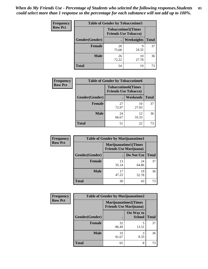| <b>Frequency</b> | <b>Table of Gender by Tobaccotime5</b> |             |                                                           |              |  |
|------------------|----------------------------------------|-------------|-----------------------------------------------------------|--------------|--|
| <b>Row Pct</b>   |                                        |             | <b>Tobaccotime5</b> (Times<br><b>Friends Use Tobacco)</b> |              |  |
|                  | Gender(Gender)                         |             | Weeknights                                                | <b>Total</b> |  |
|                  | <b>Female</b>                          | 28<br>75.68 | q<br>24.32                                                | 37           |  |
|                  | <b>Male</b>                            | 26<br>72.22 | 10<br>27.78                                               | 36           |  |
|                  | Total                                  | 54          | 19                                                        | 73           |  |

| <b>Frequency</b> | <b>Table of Gender by Tobaccotime6</b> |                                                          |             |              |
|------------------|----------------------------------------|----------------------------------------------------------|-------------|--------------|
| <b>Row Pct</b>   |                                        | <b>Tobaccotime6(Times</b><br><b>Friends Use Tobacco)</b> |             |              |
|                  | Gender(Gender)                         |                                                          | Weekends    | <b>Total</b> |
|                  | Female                                 | 27<br>72.97                                              | 10<br>27.03 | 37           |
|                  | <b>Male</b>                            | 24<br>66.67                                              | 12<br>33.33 | 36           |
|                  | <b>Total</b>                           | 51                                                       | 22          | 73           |

| Frequency      | <b>Table of Gender by Marijuanatime1</b> |                                                               |             |              |
|----------------|------------------------------------------|---------------------------------------------------------------|-------------|--------------|
| <b>Row Pct</b> |                                          | <b>Marijuanatime1(Times</b><br><b>Friends Use Marijuana</b> ) |             |              |
|                | Gender(Gender)                           |                                                               | Do Not Use  | <b>Total</b> |
|                | <b>Female</b>                            | 13<br>35.14                                                   | 24<br>64.86 | 37           |
|                | <b>Male</b>                              | 17<br>47.22                                                   | 19<br>52.78 | 36           |
|                | <b>Total</b>                             | 30                                                            | 43          | 73           |

| <b>Frequency</b> | <b>Table of Gender by Marijuanatime2</b> |                                                               |                            |              |
|------------------|------------------------------------------|---------------------------------------------------------------|----------------------------|--------------|
| <b>Row Pct</b>   |                                          | <b>Marijuanatime2(Times</b><br><b>Friends Use Marijuana</b> ) |                            |              |
|                  | Gender(Gender)                           |                                                               | On Way to<br><b>School</b> | <b>Total</b> |
|                  | <b>Female</b>                            | 32<br>86.49                                                   | 5<br>13.51                 | 37           |
|                  | <b>Male</b>                              | 33<br>91.67                                                   | 3<br>8.33                  | 36           |
|                  | <b>Total</b>                             | 65                                                            | 8                          | 73           |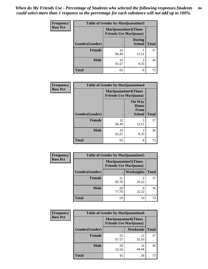| <b>Frequency</b> | <b>Table of Gender by Marijuanatime3</b> |                                                        |                                |              |
|------------------|------------------------------------------|--------------------------------------------------------|--------------------------------|--------------|
| <b>Row Pct</b>   |                                          | Marijuanatime3(Times<br><b>Friends Use Marijuana</b> ) |                                |              |
|                  | Gender(Gender)                           |                                                        | <b>During</b><br><b>School</b> | <b>Total</b> |
|                  | <b>Female</b>                            | 32<br>86.49                                            | 5<br>13.51                     | 37           |
|                  | <b>Male</b>                              | 33<br>91.67                                            | 3<br>8.33                      | 36           |
|                  | <b>Total</b>                             | 65                                                     | 8                              | 73           |

| Frequency      | <b>Table of Gender by Marijuanatime4</b> |                             |                                                |              |
|----------------|------------------------------------------|-----------------------------|------------------------------------------------|--------------|
| <b>Row Pct</b> |                                          | <b>Marijuanatime4(Times</b> | <b>Friends Use Marijuana</b> )                 |              |
|                | Gender(Gender)                           |                             | <b>On Way</b><br>Home<br>From<br><b>School</b> | <b>Total</b> |
|                | <b>Female</b>                            | 32<br>86.49                 | 5<br>13.51                                     | 37           |
|                | <b>Male</b>                              | 33<br>91.67                 | 3<br>8.33                                      | 36           |
|                | <b>Total</b>                             | 65                          | 8                                              | 73           |

| Frequency      | <b>Table of Gender by Marijuanatime5</b> |             |                                                                |              |  |
|----------------|------------------------------------------|-------------|----------------------------------------------------------------|--------------|--|
| <b>Row Pct</b> |                                          |             | <b>Marijuanatime5</b> (Times<br><b>Friends Use Marijuana</b> ) |              |  |
|                | Gender(Gender)                           |             | Weeknights                                                     | <b>Total</b> |  |
|                | <b>Female</b>                            | 31<br>83.78 | 6<br>16.22                                                     | 37           |  |
|                | <b>Male</b>                              | 28<br>77.78 | 8<br>22.22                                                     | 36           |  |
|                | <b>Total</b>                             | 59          | 14                                                             | 73           |  |

| <b>Frequency</b> | <b>Table of Gender by Marijuanatime6</b> |                                                               |                 |              |  |
|------------------|------------------------------------------|---------------------------------------------------------------|-----------------|--------------|--|
| <b>Row Pct</b>   |                                          | <b>Marijuanatime6(Times</b><br><b>Friends Use Marijuana</b> ) |                 |              |  |
|                  | Gender(Gender)                           |                                                               | <b>Weekends</b> | <b>Total</b> |  |
|                  | Female                                   | 25<br>67.57                                                   | 12<br>32.43     | 37           |  |
|                  | <b>Male</b>                              | 20<br>55.56                                                   | 16<br>44.44     | 36           |  |
|                  | <b>Total</b>                             | 45                                                            | 28              | 73           |  |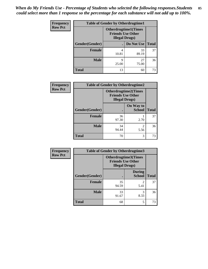| <b>Frequency</b> | <b>Table of Gender by Otherdrugtime1</b> |                                                                                   |             |              |  |
|------------------|------------------------------------------|-----------------------------------------------------------------------------------|-------------|--------------|--|
| <b>Row Pct</b>   |                                          | <b>Otherdrugtime1(Times</b><br><b>Friends Use Other</b><br><b>Illegal Drugs</b> ) |             |              |  |
|                  | Gender(Gender)                           |                                                                                   | Do Not Use  | <b>Total</b> |  |
|                  | <b>Female</b>                            | 4<br>10.81                                                                        | 33<br>89.19 | 37           |  |
|                  | Male                                     | 9<br>25.00                                                                        | 27<br>75.00 | 36           |  |
|                  | <b>Total</b>                             | 13                                                                                | 60          | 73           |  |

| Frequency      | <b>Table of Gender by Otherdrugtime2</b> |                                                                                   |                            |              |
|----------------|------------------------------------------|-----------------------------------------------------------------------------------|----------------------------|--------------|
| <b>Row Pct</b> |                                          | <b>Otherdrugtime2(Times</b><br><b>Friends Use Other</b><br><b>Illegal Drugs</b> ) |                            |              |
|                | Gender(Gender)                           |                                                                                   | On Way to<br><b>School</b> | <b>Total</b> |
|                | <b>Female</b>                            | 36<br>97.30                                                                       | 2.70                       | 37           |
|                | <b>Male</b>                              | 34<br>94.44                                                                       | 5.56                       | 36           |
|                | <b>Total</b>                             | 70                                                                                | 3                          | 73           |

| Frequency      | <b>Table of Gender by Otherdrugtime3</b> |                       |                                                         |              |
|----------------|------------------------------------------|-----------------------|---------------------------------------------------------|--------------|
| <b>Row Pct</b> |                                          | <b>Illegal Drugs)</b> | <b>Otherdrugtime3(Times</b><br><b>Friends Use Other</b> |              |
|                | Gender(Gender)                           |                       | <b>During</b><br><b>School</b>                          | <b>Total</b> |
|                | <b>Female</b>                            | 35<br>94.59           | 2<br>5.41                                               | 37           |
|                | <b>Male</b>                              | 33<br>91.67           | 3<br>8.33                                               | 36           |
|                | <b>Total</b>                             | 68                    | 5                                                       | 73           |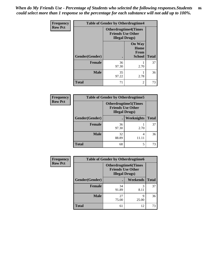*When do My Friends Use - Percentage of Students who selected the following responses.Students could select more than 1 response so the percentage for each substance will not add up to 100%.* **86**

| <b>Frequency</b> |                | <b>Table of Gender by Otherdrugtime4</b>           |                                                |              |
|------------------|----------------|----------------------------------------------------|------------------------------------------------|--------------|
| <b>Row Pct</b>   |                | <b>Friends Use Other</b><br><b>Illegal Drugs</b> ) | <b>Otherdrugtime4(Times</b>                    |              |
|                  | Gender(Gender) |                                                    | <b>On Way</b><br>Home<br>From<br><b>School</b> | <b>Total</b> |
|                  | <b>Female</b>  | 36<br>97.30                                        | 2.70                                           | 37           |
|                  | <b>Male</b>    | 35<br>97.22                                        | 2.78                                           | 36           |
|                  | <b>Total</b>   | 71                                                 | $\mathfrak{D}$                                 | 73           |

| Frequency      | <b>Table of Gender by Otherdrugtime5</b> |                                                                                    |                   |              |
|----------------|------------------------------------------|------------------------------------------------------------------------------------|-------------------|--------------|
| <b>Row Pct</b> |                                          | <b>Otherdrugtime5</b> (Times<br><b>Friends Use Other</b><br><b>Illegal Drugs</b> ) |                   |              |
|                | Gender(Gender)                           |                                                                                    | <b>Weeknights</b> | <b>Total</b> |
|                | <b>Female</b>                            | 36<br>97.30                                                                        | 2.70              | 37           |
|                | <b>Male</b>                              | 32<br>88.89                                                                        | 4                 | 36           |
|                | <b>Total</b>                             | 68                                                                                 | 5                 | 73           |

| Frequency      | <b>Table of Gender by Otherdrugtime6</b> |                                                                                   |            |              |  |
|----------------|------------------------------------------|-----------------------------------------------------------------------------------|------------|--------------|--|
| <b>Row Pct</b> |                                          | <b>Otherdrugtime6(Times</b><br><b>Friends Use Other</b><br><b>Illegal Drugs</b> ) |            |              |  |
|                | Gender(Gender)                           |                                                                                   | Weekends   | <b>Total</b> |  |
|                | <b>Female</b>                            | 34<br>91.89                                                                       | 3<br>8.11  | 37           |  |
|                | <b>Male</b>                              | 27<br>75.00                                                                       | Q<br>25.00 | 36           |  |
|                | <b>Total</b>                             | 61                                                                                | 12         | 73           |  |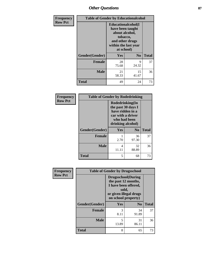## *Other Questions* **87**

| <b>Frequency</b> | <b>Table of Gender by Educationalcohol</b> |                                                                                                                                       |                |              |
|------------------|--------------------------------------------|---------------------------------------------------------------------------------------------------------------------------------------|----------------|--------------|
| <b>Row Pct</b>   |                                            | <b>Educationalcohol</b> (I<br>have been taught<br>about alcohol,<br>tobacco,<br>and other drugs<br>within the last year<br>at school) |                |              |
|                  | Gender(Gender)                             | <b>Yes</b>                                                                                                                            | N <sub>0</sub> | <b>Total</b> |
|                  | <b>Female</b>                              | 28<br>75.68                                                                                                                           | 9<br>24.32     | 37           |
|                  | <b>Male</b>                                | 21<br>58.33                                                                                                                           | 15<br>41.67    | 36           |
|                  | <b>Total</b>                               | 49                                                                                                                                    | 24             | 73           |

| Frequency      | <b>Table of Gender by Rodedrinking</b> |                                                                                                                     |                |              |
|----------------|----------------------------------------|---------------------------------------------------------------------------------------------------------------------|----------------|--------------|
| <b>Row Pct</b> |                                        | Rodedrinking(In<br>the past 30 days I<br>have ridden in a<br>car with a driver<br>who had been<br>drinking alcohol) |                |              |
|                | Gender(Gender)                         | Yes                                                                                                                 | N <sub>0</sub> | <b>Total</b> |
|                | <b>Female</b>                          | 2.70                                                                                                                | 36<br>97.30    | 37           |
|                | <b>Male</b>                            | 4<br>11.11                                                                                                          | 32<br>88.89    | 36           |
|                | <b>Total</b>                           | 5                                                                                                                   | 68             | 73           |

| Frequency      | <b>Table of Gender by Drugsschool</b> |                                                                                                                                     |                |              |
|----------------|---------------------------------------|-------------------------------------------------------------------------------------------------------------------------------------|----------------|--------------|
| <b>Row Pct</b> |                                       | <b>Drugsschool</b> (During<br>the past 12 months,<br>I have been offered,<br>sold,<br>or given illegal drugs<br>on school property) |                |              |
|                | Gender(Gender)                        | <b>Yes</b>                                                                                                                          | N <sub>0</sub> | <b>Total</b> |
|                | <b>Female</b>                         | 3<br>8.11                                                                                                                           | 34<br>91.89    | 37           |
|                | <b>Male</b>                           | 5<br>13.89                                                                                                                          | 31<br>86.11    | 36           |
|                | <b>Total</b>                          | 8                                                                                                                                   | 65             | 73           |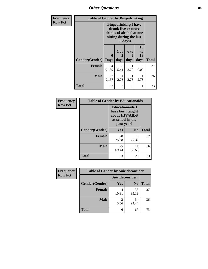*Other Questions* **88**

| <b>Frequency</b> | <b>Table of Gender by Bingedrinking</b> |                                                                                                                       |                   |                   |                        |              |
|------------------|-----------------------------------------|-----------------------------------------------------------------------------------------------------------------------|-------------------|-------------------|------------------------|--------------|
| <b>Row Pct</b>   |                                         | <b>Bingedrinking</b> (I have<br>drunk five or more<br>drinks of alcohol at one<br>sitting during the last<br>30 days) |                   |                   |                        |              |
|                  | Gender(Gender)                          | 0<br><b>Days</b>                                                                                                      | 1 or<br>2<br>days | 6 to<br>9<br>days | 10<br>to<br>19<br>days | <b>Total</b> |
|                  | <b>Female</b>                           | 34<br>91.89                                                                                                           | 2<br>5.41         | 2.70              | 0<br>0.00              | 37           |
|                  | <b>Male</b>                             | 33<br>91.67                                                                                                           | 2.78              | 2.78              | 2.78                   | 36           |
|                  | <b>Total</b>                            | 67                                                                                                                    | 3                 | 2                 |                        | 73           |

| Frequency      | <b>Table of Gender by Educationaids</b> |                                                                                                 |                |              |  |
|----------------|-----------------------------------------|-------------------------------------------------------------------------------------------------|----------------|--------------|--|
| <b>Row Pct</b> |                                         | <b>Educationaids</b> (I<br>have been taught<br>about HIV/AIDS<br>at school in the<br>past year) |                |              |  |
|                | Gender(Gender)                          | <b>Yes</b>                                                                                      | N <sub>0</sub> | <b>Total</b> |  |
|                | <b>Female</b>                           | 28<br>75.68                                                                                     | 9<br>24.32     | 37           |  |
|                | <b>Male</b>                             | 25<br>69.44                                                                                     | 11<br>30.56    | 36           |  |
|                | <b>Total</b>                            | 53                                                                                              | 20             | 73           |  |

| <b>Frequency</b> | <b>Table of Gender by Suicideconsider</b> |                 |                |              |
|------------------|-------------------------------------------|-----------------|----------------|--------------|
| <b>Row Pct</b>   |                                           | Suicideconsider |                |              |
|                  | Gender(Gender)                            | Yes             | N <sub>0</sub> | <b>Total</b> |
|                  | <b>Female</b>                             | 10.81           | 33<br>89.19    | 37           |
|                  | <b>Male</b>                               | 5.56            | 34<br>94.44    | 36           |
|                  | <b>Total</b>                              | 6               | 67             | 73           |